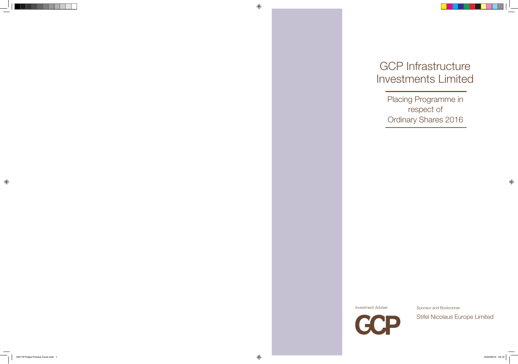# GCP Infrastructure Investments Limited

Placing Programme in respect of Ordinary Shares 2016

Investment Adviser



Sponsor and Bookrunner

Stifel Nicolaus Europe Limited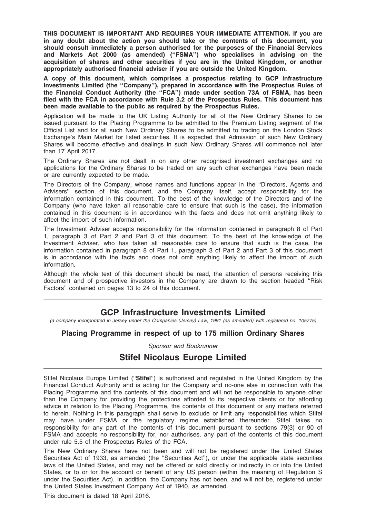THIS DOCUMENT IS IMPORTANT AND REQUIRES YOUR IMMEDIATE ATTENTION. If you are in any doubt about the action you should take or the contents of this document, you should consult immediately a person authorised for the purposes of the Financial Services and Markets Act 2000 (as amended) (''FSMA'') who specialises in advising on the acquisition of shares and other securities if you are in the United Kingdom, or another appropriately authorised financial adviser if you are outside the United Kingdom.

A copy of this document, which comprises a prospectus relating to GCP Infrastructure Investments Limited (the ''Company''), prepared in accordance with the Prospectus Rules of the Financial Conduct Authority (the ''FCA'') made under section 73A of FSMA, has been filed with the FCA in accordance with Rule 3.2 of the Prospectus Rules. This document has been made available to the public as required by the Prospectus Rules.

Application will be made to the UK Listing Authority for all of the New Ordinary Shares to be issued pursuant to the Placing Programme to be admitted to the Premium Listing segment of the Official List and for all such New Ordinary Shares to be admitted to trading on the London Stock Exchange's Main Market for listed securities. It is expected that Admission of such New Ordinary Shares will become effective and dealings in such New Ordinary Shares will commence not later than 17 April 2017.

The Ordinary Shares are not dealt in on any other recognised investment exchanges and no applications for the Ordinary Shares to be traded on any such other exchanges have been made or are currently expected to be made.

The Directors of the Company, whose names and functions appear in the ''Directors, Agents and Advisers'' section of this document, and the Company itself, accept responsibility for the information contained in this document. To the best of the knowledge of the Directors and of the Company (who have taken all reasonable care to ensure that such is the case), the information contained in this document is in accordance with the facts and does not omit anything likely to affect the import of such information.

The Investment Adviser accepts responsibility for the information contained in paragraph 8 of Part 1, paragraph 3 of Part 2 and Part 3 of this document. To the best of the knowledge of the Investment Adviser, who has taken all reasonable care to ensure that such is the case, the information contained in paragraph 8 of Part 1, paragraph 3 of Part 2 and Part 3 of this document is in accordance with the facts and does not omit anything likely to affect the import of such information.

Although the whole text of this document should be read, the attention of persons receiving this document and of prospective investors in the Company are drawn to the section headed ''Risk Factors'' contained on pages 13 to 24 of this document.

# GCP Infrastructure Investments Limited

(a company incorporated in Jersey under the Companies (Jersey) Law, 1991 (as amended) with registered no. 105775)

# Placing Programme in respect of up to 175 million Ordinary Shares

Sponsor and Bookrunner

# Stifel Nicolaus Europe Limited

Stifel Nicolaus Europe Limited ("Stifel") is authorised and regulated in the United Kingdom by the Financial Conduct Authority and is acting for the Company and no-one else in connection with the Placing Programme and the contents of this document and will not be responsible to anyone other than the Company for providing the protections afforded to its respective clients or for affording advice in relation to the Placing Programme, the contents of this document or any matters referred to herein. Nothing in this paragraph shall serve to exclude or limit any responsibilities which Stifel may have under FSMA or the regulatory regime established thereunder. Stifel takes no responsibility for any part of the contents of this document pursuant to sections 79(3) or 90 of FSMA and accepts no responsibility for, nor authorises, any part of the contents of this document under rule 5.5 of the Prospectus Rules of the FCA.

The New Ordinary Shares have not been and will not be registered under the United States Securities Act of 1933, as amended (the ''Securities Act''), or under the applicable state securities laws of the United States, and may not be offered or sold directly or indirectly in or into the United States, or to or for the account or benefit of any US person (within the meaning of Regulation S under the Securities Act). In addition, the Company has not been, and will not be, registered under the United States Investment Company Act of 1940, as amended.

This document is dated 18 April 2016.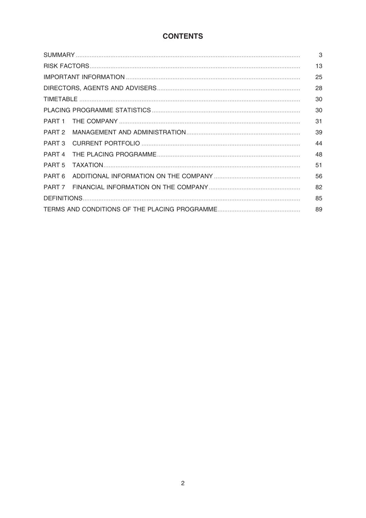# **CONTENTS**

|                   |  | 13 |
|-------------------|--|----|
|                   |  | 25 |
|                   |  | 28 |
|                   |  | 30 |
|                   |  | 30 |
|                   |  | 31 |
| PART <sub>2</sub> |  | 39 |
| PART <sub>3</sub> |  | 44 |
| PART <sub>4</sub> |  | 48 |
| PART <sub>5</sub> |  | 51 |
| PART 6            |  | 56 |
| 82<br>PART 7      |  |    |
|                   |  |    |
| 89                |  |    |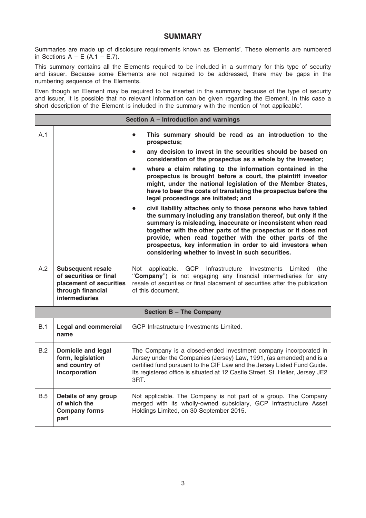# SUMMARY

Summaries are made up of disclosure requirements known as 'Elements'. These elements are numbered in Sections  $A - E$  (A.1 – E.7).

This summary contains all the Elements required to be included in a summary for this type of security and issuer. Because some Elements are not required to be addressed, there may be gaps in the numbering sequence of the Elements.

Even though an Element may be required to be inserted in the summary because of the type of security and issuer, it is possible that no relevant information can be given regarding the Element. In this case a short description of the Element is included in the summary with the mention of 'not applicable'.

|     | Section A - Introduction and warnings                                                                                       |                                                                                                                                                                                                                                                                                                                                                                                                                                                 |  |  |
|-----|-----------------------------------------------------------------------------------------------------------------------------|-------------------------------------------------------------------------------------------------------------------------------------------------------------------------------------------------------------------------------------------------------------------------------------------------------------------------------------------------------------------------------------------------------------------------------------------------|--|--|
| A.1 |                                                                                                                             | This summary should be read as an introduction to the<br>$\bullet$<br>prospectus;                                                                                                                                                                                                                                                                                                                                                               |  |  |
|     |                                                                                                                             | any decision to invest in the securities should be based on<br>$\bullet$<br>consideration of the prospectus as a whole by the investor;                                                                                                                                                                                                                                                                                                         |  |  |
|     |                                                                                                                             | where a claim relating to the information contained in the<br>$\bullet$<br>prospectus is brought before a court, the plaintiff investor<br>might, under the national legislation of the Member States,<br>have to bear the costs of translating the prospectus before the<br>legal proceedings are initiated; and                                                                                                                               |  |  |
|     |                                                                                                                             | civil liability attaches only to those persons who have tabled<br>the summary including any translation thereof, but only if the<br>summary is misleading, inaccurate or inconsistent when read<br>together with the other parts of the prospectus or it does not<br>provide, when read together with the other parts of the<br>prospectus, key information in order to aid investors when<br>considering whether to invest in such securities. |  |  |
| A.2 | <b>Subsequent resale</b><br>of securities or final<br>placement of securities<br>through financial<br><b>intermediaries</b> | Not<br>applicable.<br>GCP Infrastructure Investments<br>Limited<br>(the<br>"Company") is not engaging any financial intermediaries for any<br>resale of securities or final placement of securities after the publication<br>of this document.                                                                                                                                                                                                  |  |  |
|     | <b>Section B - The Company</b>                                                                                              |                                                                                                                                                                                                                                                                                                                                                                                                                                                 |  |  |
| B.1 | <b>Legal and commercial</b><br>name                                                                                         | GCP Infrastructure Investments Limited.                                                                                                                                                                                                                                                                                                                                                                                                         |  |  |
| B.2 | <b>Domicile and legal</b><br>form, legislation<br>and country of<br>incorporation                                           | The Company is a closed-ended investment company incorporated in<br>Jersey under the Companies (Jersey) Law, 1991, (as amended) and is a<br>certified fund pursuant to the CIF Law and the Jersey Listed Fund Guide.<br>Its registered office is situated at 12 Castle Street, St. Helier, Jersey JE2<br>3RT.                                                                                                                                   |  |  |
| B.5 | Details of any group<br>of which the<br><b>Company forms</b><br>part                                                        | Not applicable. The Company is not part of a group. The Company<br>merged with its wholly-owned subsidiary, GCP Infrastructure Asset<br>Holdings Limited, on 30 September 2015.                                                                                                                                                                                                                                                                 |  |  |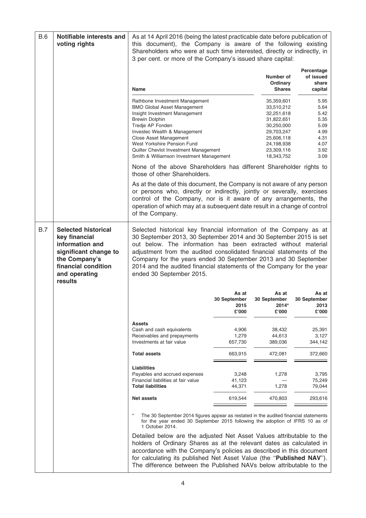| <b>B.6</b> | Notifiable interests and<br>voting rights                                                                                                                   | As at 14 April 2016 (being the latest practicable date before publication of<br>this document), the Company is aware of the following existing<br>Shareholders who were at such time interested, directly or indirectly, in<br>3 per cent. or more of the Company's issued share capital:                                                                                                                                                                |                                        |                                                                                                                                          |                                                                              |
|------------|-------------------------------------------------------------------------------------------------------------------------------------------------------------|----------------------------------------------------------------------------------------------------------------------------------------------------------------------------------------------------------------------------------------------------------------------------------------------------------------------------------------------------------------------------------------------------------------------------------------------------------|----------------------------------------|------------------------------------------------------------------------------------------------------------------------------------------|------------------------------------------------------------------------------|
|            |                                                                                                                                                             | <b>Name</b>                                                                                                                                                                                                                                                                                                                                                                                                                                              |                                        | Number of<br>Ordinary<br><b>Shares</b>                                                                                                   | Percentage<br>of issued<br>share<br>capital                                  |
|            |                                                                                                                                                             | Rathbone Investment Management<br><b>BMO Global Asset Management</b><br>Insight Investment Management<br><b>Brewin Dolphin</b><br>Tredje AP Fonden<br>Investec Wealth & Management<br>Close Asset Management<br>West Yorkshire Pension Fund<br>Quilter Chevlot Investment Management<br>Smith & Williamson Investment Management                                                                                                                         |                                        | 35,359,601<br>33,510,212<br>32,251,618<br>31,822,651<br>30,250,000<br>29,703,247<br>25,606,118<br>24,198,938<br>23,309,116<br>18,343,752 | 5.95<br>5.64<br>5.42<br>5.35<br>5.09<br>4.99<br>4.31<br>4.07<br>3.92<br>3.09 |
|            |                                                                                                                                                             | None of the above Shareholders has different Shareholder rights to<br>those of other Shareholders.                                                                                                                                                                                                                                                                                                                                                       |                                        |                                                                                                                                          |                                                                              |
|            |                                                                                                                                                             | As at the date of this document, the Company is not aware of any person<br>or persons who, directly or indirectly, jointly or severally, exercises<br>control of the Company, nor is it aware of any arrangements, the<br>operation of which may at a subsequent date result in a change of control<br>of the Company.                                                                                                                                   |                                        |                                                                                                                                          |                                                                              |
| <b>B.7</b> | <b>Selected historical</b><br>key financial<br>information and<br>significant change to<br>the Company's<br>financial condition<br>and operating<br>results | Selected historical key financial information of the Company as at<br>30 September 2013, 30 September 2014 and 30 September 2015 is set<br>out below. The information has been extracted without material<br>adjustment from the audited consolidated financial statements of the<br>Company for the years ended 30 September 2013 and 30 September<br>2014 and the audited financial statements of the Company for the year<br>ended 30 September 2015. |                                        |                                                                                                                                          |                                                                              |
|            |                                                                                                                                                             |                                                                                                                                                                                                                                                                                                                                                                                                                                                          | As at<br>30 September<br>2015<br>£'000 | As at<br>30 September<br>2014*<br>£'000                                                                                                  | As at<br>30 September<br>2013<br>£'000                                       |
|            |                                                                                                                                                             | <b>Assets</b><br>Cash and cash equivalents<br>Receivables and prepayments<br>Investments at fair value                                                                                                                                                                                                                                                                                                                                                   | 4,906<br>1,279<br>657,730              | 38,432<br>44,613<br>389,036                                                                                                              | 25,391<br>3,127<br>344,142                                                   |
|            |                                                                                                                                                             | <b>Total assets</b>                                                                                                                                                                                                                                                                                                                                                                                                                                      | 663,915                                | 472,081                                                                                                                                  | 372,660                                                                      |
|            |                                                                                                                                                             | Liabilities<br>Payables and accrued expenses<br>Financial liabilities at fair value<br><b>Total liabilities</b>                                                                                                                                                                                                                                                                                                                                          | 3,248<br>41,123<br>44,371              | 1,278<br>1,278                                                                                                                           | 3,795<br>75,249<br>79,044                                                    |
|            |                                                                                                                                                             | <b>Net assets</b>                                                                                                                                                                                                                                                                                                                                                                                                                                        | 619,544                                | 470,803                                                                                                                                  | 293,616                                                                      |
|            |                                                                                                                                                             | The 30 September 2014 figures appear as restated in the audited financial statements<br>for the year ended 30 September 2015 following the adoption of IFRS 10 as of<br>1 October 2014.                                                                                                                                                                                                                                                                  |                                        |                                                                                                                                          |                                                                              |
|            |                                                                                                                                                             | Detailed below are the adjusted Net Asset Values attributable to the<br>holders of Ordinary Shares as at the relevant dates as calculated in<br>accordance with the Company's policies as described in this document<br>for calculating its published Net Asset Value (the "Published NAV").<br>The difference between the Published NAVs below attributable to the                                                                                      |                                        |                                                                                                                                          |                                                                              |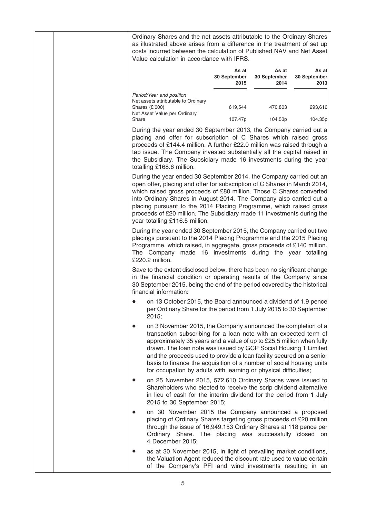Ordinary Shares and the net assets attributable to the Ordinary Shares as illustrated above arises from a difference in the treatment of set up costs incurred between the calculation of Published NAV and Net Asset Value calculation in accordance with IFRS.

|                                                                                                                     | As at<br>30 September<br>2015 | As at<br>30 September<br>2014 | As at<br>30 September<br>2013 |
|---------------------------------------------------------------------------------------------------------------------|-------------------------------|-------------------------------|-------------------------------|
| Period/Year end position<br>Net assets attributable to Ordinary<br>Shares $(E'000)$<br>Net Asset Value per Ordinary | 619.544                       | 470.803                       | 293,616                       |
| Share                                                                                                               | 107.47p                       | 104.53p                       | 104.35p                       |

During the year ended 30 September 2013, the Company carried out a placing and offer for subscription of C Shares which raised gross proceeds of £144.4 million. A further £22.0 million was raised through a tap issue. The Company invested substantially all the capital raised in the Subsidiary. The Subsidiary made 16 investments during the year totalling £168.6 million.

During the year ended 30 September 2014, the Company carried out an open offer, placing and offer for subscription of C Shares in March 2014, which raised gross proceeds of £80 million. Those C Shares converted into Ordinary Shares in August 2014. The Company also carried out a placing pursuant to the 2014 Placing Programme, which raised gross proceeds of £20 million. The Subsidiary made 11 investments during the year totalling £116.5 million.

During the year ended 30 September 2015, the Company carried out two placings pursuant to the 2014 Placing Programme and the 2015 Placing Programme, which raised, in aggregate, gross proceeds of £140 million. The Company made 16 investments during the year totalling £220.2 million.

Save to the extent disclosed below, there has been no significant change in the financial condition or operating results of the Company since 30 September 2015, being the end of the period covered by the historical financial information:

- on 13 October 2015, the Board announced a dividend of 1.9 pence per Ordinary Share for the period from 1 July 2015 to 30 September 2015;
- on 3 November 2015, the Company announced the completion of a transaction subscribing for a loan note with an expected term of approximately 35 years and a value of up to £25.5 million when fully drawn. The loan note was issued by GCP Social Housing 1 Limited and the proceeds used to provide a loan facility secured on a senior basis to finance the acquisition of a number of social housing units for occupation by adults with learning or physical difficulties;
- on 25 November 2015, 572,610 Ordinary Shares were issued to Shareholders who elected to receive the scrip dividend alternative in lieu of cash for the interim dividend for the period from 1 July 2015 to 30 September 2015;
- on 30 November 2015 the Company announced a proposed placing of Ordinary Shares targeting gross proceeds of £20 million through the issue of 16,949,153 Ordinary Shares at 118 pence per Ordinary Share. The placing was successfully closed on 4 December 2015;
- as at 30 November 2015, in light of prevailing market conditions, the Valuation Agent reduced the discount rate used to value certain of the Company's PFI and wind investments resulting in an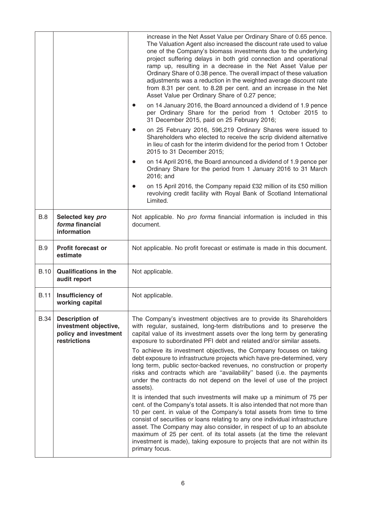|             |                                                                                         | increase in the Net Asset Value per Ordinary Share of 0.65 pence.<br>The Valuation Agent also increased the discount rate used to value<br>one of the Company's biomass investments due to the underlying<br>project suffering delays in both grid connection and operational<br>ramp up, resulting in a decrease in the Net Asset Value per<br>Ordinary Share of 0.38 pence. The overall impact of these valuation<br>adjustments was a reduction in the weighted average discount rate<br>from 8.31 per cent. to 8.28 per cent. and an increase in the Net<br>Asset Value per Ordinary Share of 0.27 pence; |
|-------------|-----------------------------------------------------------------------------------------|---------------------------------------------------------------------------------------------------------------------------------------------------------------------------------------------------------------------------------------------------------------------------------------------------------------------------------------------------------------------------------------------------------------------------------------------------------------------------------------------------------------------------------------------------------------------------------------------------------------|
|             |                                                                                         | on 14 January 2016, the Board announced a dividend of 1.9 pence<br>per Ordinary Share for the period from 1 October 2015 to<br>31 December 2015, paid on 25 February 2016;                                                                                                                                                                                                                                                                                                                                                                                                                                    |
|             |                                                                                         | on 25 February 2016, 596,219 Ordinary Shares were issued to<br>Shareholders who elected to receive the scrip dividend alternative<br>in lieu of cash for the interim dividend for the period from 1 October<br>2015 to 31 December 2015;                                                                                                                                                                                                                                                                                                                                                                      |
|             |                                                                                         | on 14 April 2016, the Board announced a dividend of 1.9 pence per<br>Ordinary Share for the period from 1 January 2016 to 31 March<br>2016; and                                                                                                                                                                                                                                                                                                                                                                                                                                                               |
|             |                                                                                         | on 15 April 2016, the Company repaid £32 million of its £50 million<br>revolving credit facility with Royal Bank of Scotland International<br>Limited.                                                                                                                                                                                                                                                                                                                                                                                                                                                        |
| <b>B.8</b>  | Selected key pro<br>forma financial<br>information                                      | Not applicable. No pro forma financial information is included in this<br>document.                                                                                                                                                                                                                                                                                                                                                                                                                                                                                                                           |
| <b>B.9</b>  | <b>Profit forecast or</b><br>estimate                                                   | Not applicable. No profit forecast or estimate is made in this document.                                                                                                                                                                                                                                                                                                                                                                                                                                                                                                                                      |
| <b>B.10</b> | <b>Qualifications in the</b><br>audit report                                            | Not applicable.                                                                                                                                                                                                                                                                                                                                                                                                                                                                                                                                                                                               |
| <b>B.11</b> | Insufficiency of<br>working capital                                                     | Not applicable.                                                                                                                                                                                                                                                                                                                                                                                                                                                                                                                                                                                               |
| <b>B.34</b> | <b>Description of</b><br>investment objective,<br>policy and investment<br>restrictions | The Company's investment objectives are to provide its Shareholders<br>with regular, sustained, long-term distributions and to preserve the<br>capital value of its investment assets over the long term by generating<br>exposure to subordinated PFI debt and related and/or similar assets.                                                                                                                                                                                                                                                                                                                |
|             |                                                                                         | To achieve its investment objectives, the Company focuses on taking<br>debt exposure to infrastructure projects which have pre-determined, very<br>long term, public sector-backed revenues, no construction or property<br>risks and contracts which are "availability" based (i.e. the payments<br>under the contracts do not depend on the level of use of the project<br>assets).                                                                                                                                                                                                                         |
|             |                                                                                         | It is intended that such investments will make up a minimum of 75 per<br>cent. of the Company's total assets. It is also intended that not more than<br>10 per cent. in value of the Company's total assets from time to time<br>consist of securities or loans relating to any one individual infrastructure<br>asset. The Company may also consider, in respect of up to an absolute<br>maximum of 25 per cent. of its total assets (at the time the relevant<br>investment is made), taking exposure to projects that are not within its<br>primary focus.                                                 |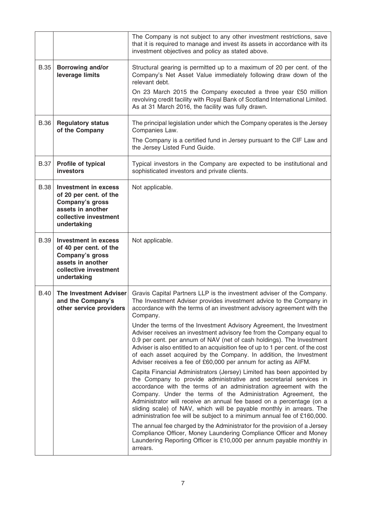|             |                                                                                                                                              | The Company is not subject to any other investment restrictions, save<br>that it is required to manage and invest its assets in accordance with its<br>investment objectives and policy as stated above.                                                                                                                                                                                                                                                                                                     |
|-------------|----------------------------------------------------------------------------------------------------------------------------------------------|--------------------------------------------------------------------------------------------------------------------------------------------------------------------------------------------------------------------------------------------------------------------------------------------------------------------------------------------------------------------------------------------------------------------------------------------------------------------------------------------------------------|
| <b>B.35</b> | <b>Borrowing and/or</b><br>leverage limits                                                                                                   | Structural gearing is permitted up to a maximum of 20 per cent. of the<br>Company's Net Asset Value immediately following draw down of the<br>relevant debt.                                                                                                                                                                                                                                                                                                                                                 |
|             |                                                                                                                                              | On 23 March 2015 the Company executed a three year £50 million<br>revolving credit facility with Royal Bank of Scotland International Limited.<br>As at 31 March 2016, the facility was fully drawn.                                                                                                                                                                                                                                                                                                         |
| <b>B.36</b> | <b>Regulatory status</b><br>of the Company                                                                                                   | The principal legislation under which the Company operates is the Jersey<br>Companies Law.                                                                                                                                                                                                                                                                                                                                                                                                                   |
|             |                                                                                                                                              | The Company is a certified fund in Jersey pursuant to the CIF Law and<br>the Jersey Listed Fund Guide.                                                                                                                                                                                                                                                                                                                                                                                                       |
| <b>B.37</b> | Profile of typical<br>investors                                                                                                              | Typical investors in the Company are expected to be institutional and<br>sophisticated investors and private clients.                                                                                                                                                                                                                                                                                                                                                                                        |
| <b>B.38</b> | <b>Investment in excess</b><br>of 20 per cent. of the<br>Company's gross<br>assets in another<br>collective investment<br>undertaking        | Not applicable.                                                                                                                                                                                                                                                                                                                                                                                                                                                                                              |
| B.39        | <b>Investment in excess</b><br>of 40 per cent. of the<br><b>Company's gross</b><br>assets in another<br>collective investment<br>undertaking | Not applicable.                                                                                                                                                                                                                                                                                                                                                                                                                                                                                              |
| <b>B.40</b> | <b>The Investment Adviser</b><br>and the Company's<br>other service providers                                                                | Gravis Capital Partners LLP is the investment adviser of the Company.<br>The Investment Adviser provides investment advice to the Company in<br>accordance with the terms of an investment advisory agreement with the<br>Company.                                                                                                                                                                                                                                                                           |
|             |                                                                                                                                              | Under the terms of the Investment Advisory Agreement, the Investment<br>Adviser receives an investment advisory fee from the Company equal to<br>0.9 per cent. per annum of NAV (net of cash holdings). The Investment<br>Adviser is also entitled to an acquisition fee of up to 1 per cent. of the cost<br>of each asset acquired by the Company. In addition, the Investment<br>Adviser receives a fee of £60,000 per annum for acting as AIFM.                                                           |
|             |                                                                                                                                              | Capita Financial Administrators (Jersey) Limited has been appointed by<br>the Company to provide administrative and secretarial services in<br>accordance with the terms of an administration agreement with the<br>Company. Under the terms of the Administration Agreement, the<br>Administrator will receive an annual fee based on a percentage (on a<br>sliding scale) of NAV, which will be payable monthly in arrears. The<br>administration fee will be subject to a minimum annual fee of £160,000. |
|             |                                                                                                                                              | The annual fee charged by the Administrator for the provision of a Jersey<br>Compliance Officer, Money Laundering Compliance Officer and Money<br>Laundering Reporting Officer is £10,000 per annum payable monthly in<br>arrears.                                                                                                                                                                                                                                                                           |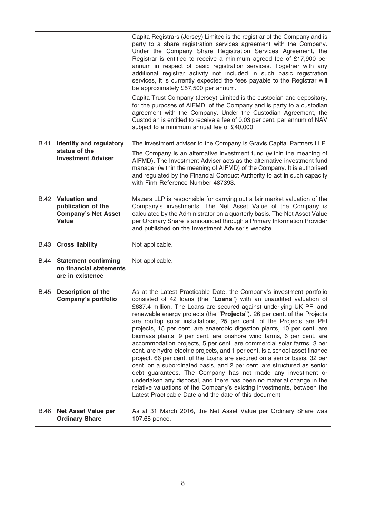|             |                                                                                   | Capita Registrars (Jersey) Limited is the registrar of the Company and is<br>party to a share registration services agreement with the Company.<br>Under the Company Share Registration Services Agreement, the<br>Registrar is entitled to receive a minimum agreed fee of £17,900 per<br>annum in respect of basic registration services. Together with any<br>additional registrar activity not included in such basic registration<br>services, it is currently expected the fees payable to the Registrar will<br>be approximately £57,500 per annum.<br>Capita Trust Company (Jersey) Limited is the custodian and depositary,<br>for the purposes of AIFMD, of the Company and is party to a custodian<br>agreement with the Company. Under the Custodian Agreement, the<br>Custodian is entitled to receive a fee of 0.03 per cent. per annum of NAV<br>subject to a minimum annual fee of £40,000.                                                                                                                                                                                                           |
|-------------|-----------------------------------------------------------------------------------|-----------------------------------------------------------------------------------------------------------------------------------------------------------------------------------------------------------------------------------------------------------------------------------------------------------------------------------------------------------------------------------------------------------------------------------------------------------------------------------------------------------------------------------------------------------------------------------------------------------------------------------------------------------------------------------------------------------------------------------------------------------------------------------------------------------------------------------------------------------------------------------------------------------------------------------------------------------------------------------------------------------------------------------------------------------------------------------------------------------------------|
| B.41        | Identity and regulatory<br>status of the<br><b>Investment Adviser</b>             | The investment adviser to the Company is Gravis Capital Partners LLP.<br>The Company is an alternative investment fund (within the meaning of<br>AIFMD). The Investment Adviser acts as the alternative investment fund<br>manager (within the meaning of AIFMD) of the Company. It is authorised<br>and regulated by the Financial Conduct Authority to act in such capacity<br>with Firm Reference Number 487393.                                                                                                                                                                                                                                                                                                                                                                                                                                                                                                                                                                                                                                                                                                   |
| B.42        | <b>Valuation and</b><br>publication of the<br><b>Company's Net Asset</b><br>Value | Mazars LLP is responsible for carrying out a fair market valuation of the<br>Company's investments. The Net Asset Value of the Company is<br>calculated by the Administrator on a quarterly basis. The Net Asset Value<br>per Ordinary Share is announced through a Primary Information Provider<br>and published on the Investment Adviser's website.                                                                                                                                                                                                                                                                                                                                                                                                                                                                                                                                                                                                                                                                                                                                                                |
| <b>B.43</b> | <b>Cross liability</b>                                                            | Not applicable.                                                                                                                                                                                                                                                                                                                                                                                                                                                                                                                                                                                                                                                                                                                                                                                                                                                                                                                                                                                                                                                                                                       |
| <b>B.44</b> | <b>Statement confirming</b><br>no financial statements<br>are in existence        | Not applicable.                                                                                                                                                                                                                                                                                                                                                                                                                                                                                                                                                                                                                                                                                                                                                                                                                                                                                                                                                                                                                                                                                                       |
| <b>B.45</b> | <b>Description of the</b><br>Company's portfolio                                  | As at the Latest Practicable Date, the Company's investment portfolio<br>consisted of 42 loans (the "Loans") with an unaudited valuation of<br>£687.4 million. The Loans are secured against underlying UK PFI and<br>renewable energy projects (the "Projects"). 26 per cent. of the Projects<br>are rooftop solar installations, 25 per cent. of the Projects are PFI<br>projects, 15 per cent. are anaerobic digestion plants, 10 per cent. are<br>biomass plants, 9 per cent. are onshore wind farms, 6 per cent. are<br>accommodation projects, 5 per cent. are commercial solar farms, 3 per<br>cent. are hydro-electric projects, and 1 per cent. is a school asset finance<br>project. 66 per cent. of the Loans are secured on a senior basis, 32 per<br>cent. on a subordinated basis, and 2 per cent. are structured as senior<br>debt guarantees. The Company has not made any investment or<br>undertaken any disposal, and there has been no material change in the<br>relative valuations of the Company's existing investments, between the<br>Latest Practicable Date and the date of this document. |
| B.46        | <b>Net Asset Value per</b><br><b>Ordinary Share</b>                               | As at 31 March 2016, the Net Asset Value per Ordinary Share was<br>107.68 pence.                                                                                                                                                                                                                                                                                                                                                                                                                                                                                                                                                                                                                                                                                                                                                                                                                                                                                                                                                                                                                                      |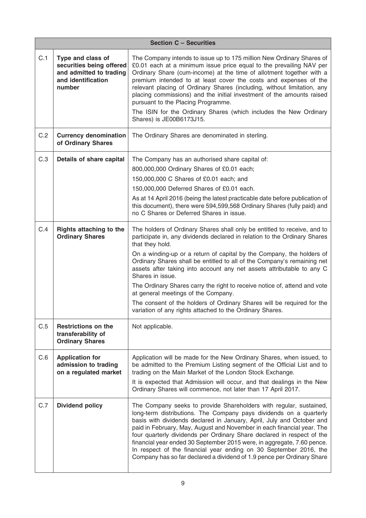|     | <b>Section C - Securities</b>                                                                            |                                                                                                                                                                                                                                                                                                                                                                                                                                                                                                                                                                                                                                                                                     |  |  |
|-----|----------------------------------------------------------------------------------------------------------|-------------------------------------------------------------------------------------------------------------------------------------------------------------------------------------------------------------------------------------------------------------------------------------------------------------------------------------------------------------------------------------------------------------------------------------------------------------------------------------------------------------------------------------------------------------------------------------------------------------------------------------------------------------------------------------|--|--|
| C.1 | Type and class of<br>securities being offered<br>and admitted to trading<br>and identification<br>number | The Company intends to issue up to 175 million New Ordinary Shares of<br>£0.01 each at a minimum issue price equal to the prevailing NAV per<br>Ordinary Share (cum-income) at the time of allotment together with a<br>premium intended to at least cover the costs and expenses of the<br>relevant placing of Ordinary Shares (including, without limitation, any<br>placing commissions) and the initial investment of the amounts raised<br>pursuant to the Placing Programme.<br>The ISIN for the Ordinary Shares (which includes the New Ordinary<br>Shares) is JE00B6173J15.                                                                                                 |  |  |
| C.2 | <b>Currency denomination</b><br>of Ordinary Shares                                                       | The Ordinary Shares are denominated in sterling.                                                                                                                                                                                                                                                                                                                                                                                                                                                                                                                                                                                                                                    |  |  |
| C.3 | Details of share capital                                                                                 | The Company has an authorised share capital of:<br>800,000,000 Ordinary Shares of £0.01 each;<br>150,000,000 C Shares of £0.01 each; and<br>150,000,000 Deferred Shares of £0.01 each.<br>As at 14 April 2016 (being the latest practicable date before publication of<br>this document), there were 594,599,568 Ordinary Shares (fully paid) and<br>no C Shares or Deferred Shares in issue.                                                                                                                                                                                                                                                                                       |  |  |
| C.4 | <b>Rights attaching to the</b><br><b>Ordinary Shares</b>                                                 | The holders of Ordinary Shares shall only be entitled to receive, and to<br>participate in, any dividends declared in relation to the Ordinary Shares<br>that they hold.<br>On a winding-up or a return of capital by the Company, the holders of<br>Ordinary Shares shall be entitled to all of the Company's remaining net<br>assets after taking into account any net assets attributable to any C<br>Shares in issue.<br>The Ordinary Shares carry the right to receive notice of, attend and vote<br>at general meetings of the Company.<br>The consent of the holders of Ordinary Shares will be required for the<br>variation of any rights attached to the Ordinary Shares. |  |  |
| C.5 | <b>Restrictions on the</b><br>transferability of<br><b>Ordinary Shares</b>                               | Not applicable.                                                                                                                                                                                                                                                                                                                                                                                                                                                                                                                                                                                                                                                                     |  |  |
| C.6 | <b>Application for</b><br>admission to trading<br>on a regulated market                                  | Application will be made for the New Ordinary Shares, when issued, to<br>be admitted to the Premium Listing segment of the Official List and to<br>trading on the Main Market of the London Stock Exchange.<br>It is expected that Admission will occur, and that dealings in the New<br>Ordinary Shares will commence, not later than 17 April 2017.                                                                                                                                                                                                                                                                                                                               |  |  |
| C.7 | <b>Dividend policy</b>                                                                                   | The Company seeks to provide Shareholders with regular, sustained,<br>long-term distributions. The Company pays dividends on a quarterly<br>basis with dividends declared in January, April, July and October and<br>paid in February, May, August and November in each financial year. The<br>four quarterly dividends per Ordinary Share declared in respect of the<br>financial year ended 30 September 2015 were, in aggregate, 7.60 pence.<br>In respect of the financial year ending on 30 September 2016, the<br>Company has so far declared a dividend of 1.9 pence per Ordinary Share                                                                                      |  |  |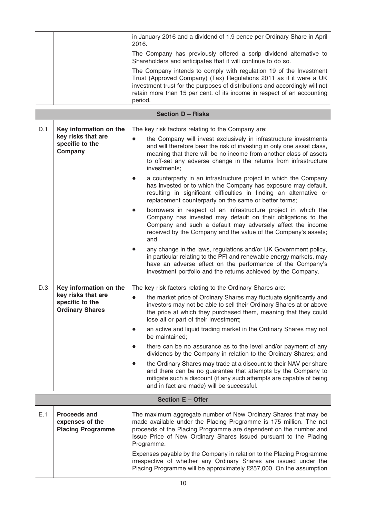| in January 2016 and a dividend of 1.9 pence per Ordinary Share in April<br>2016.                                                                                                                                                                                                                              |
|---------------------------------------------------------------------------------------------------------------------------------------------------------------------------------------------------------------------------------------------------------------------------------------------------------------|
| The Company has previously offered a scrip dividend alternative to<br>Shareholders and anticipates that it will continue to do so.                                                                                                                                                                            |
| The Company intends to comply with regulation 19 of the Investment<br>Trust (Approved Company) (Tax) Regulations 2011 as if it were a UK<br>investment trust for the purposes of distributions and accordingly will not<br>retain more than 15 per cent. of its income in respect of an accounting<br>period. |

|     | <b>Section D - Risks</b>                                                                  |                                                                                                                                                                                                                                                                                                                                                                                                                                                                                                                                                                                                                                                                                                                                                                                                                                                      |  |  |
|-----|-------------------------------------------------------------------------------------------|------------------------------------------------------------------------------------------------------------------------------------------------------------------------------------------------------------------------------------------------------------------------------------------------------------------------------------------------------------------------------------------------------------------------------------------------------------------------------------------------------------------------------------------------------------------------------------------------------------------------------------------------------------------------------------------------------------------------------------------------------------------------------------------------------------------------------------------------------|--|--|
| D.1 | Key information on the<br>key risks that are<br>specific to the<br>Company                | The key risk factors relating to the Company are:<br>the Company will invest exclusively in infrastructure investments<br>$\bullet$<br>and will therefore bear the risk of investing in only one asset class,<br>meaning that there will be no income from another class of assets<br>to off-set any adverse change in the returns from infrastructure<br>investments;<br>a counterparty in an infrastructure project in which the Company<br>has invested or to which the Company has exposure may default,                                                                                                                                                                                                                                                                                                                                         |  |  |
|     |                                                                                           | resulting in significant difficulties in finding an alternative or<br>replacement counterparty on the same or better terms;<br>borrowers in respect of an infrastructure project in which the<br>$\bullet$<br>Company has invested may default on their obligations to the<br>Company and such a default may adversely affect the income<br>received by the Company and the value of the Company's assets;                                                                                                                                                                                                                                                                                                                                                                                                                                           |  |  |
|     |                                                                                           | and<br>any change in the laws, regulations and/or UK Government policy,<br>in particular relating to the PFI and renewable energy markets, may<br>have an adverse effect on the performance of the Company's<br>investment portfolio and the returns achieved by the Company.                                                                                                                                                                                                                                                                                                                                                                                                                                                                                                                                                                        |  |  |
| D.3 | Key information on the<br>key risks that are<br>specific to the<br><b>Ordinary Shares</b> | The key risk factors relating to the Ordinary Shares are:<br>the market price of Ordinary Shares may fluctuate significantly and<br>$\bullet$<br>investors may not be able to sell their Ordinary Shares at or above<br>the price at which they purchased them, meaning that they could<br>lose all or part of their investment;<br>an active and liquid trading market in the Ordinary Shares may not<br>$\bullet$<br>be maintained;<br>there can be no assurance as to the level and/or payment of any<br>$\bullet$<br>dividends by the Company in relation to the Ordinary Shares; and<br>the Ordinary Shares may trade at a discount to their NAV per share<br>and there can be no guarantee that attempts by the Company to<br>mitigate such a discount (if any such attempts are capable of being<br>and in fact are made) will be successful. |  |  |
|     |                                                                                           | Section E - Offer                                                                                                                                                                                                                                                                                                                                                                                                                                                                                                                                                                                                                                                                                                                                                                                                                                    |  |  |
| E.1 | <b>Proceeds and</b><br>expenses of the<br><b>Placing Programme</b>                        | The maximum aggregate number of New Ordinary Shares that may be<br>made available under the Placing Programme is 175 million. The net<br>proceeds of the Placing Programme are dependent on the number and<br>Issue Price of New Ordinary Shares issued pursuant to the Placing<br>Programme.<br>Expenses payable by the Company in relation to the Placing Programme<br>irrespective of whether any Ordinary Shares are issued under the<br>Placing Programme will be approximately £257,000. On the assumption                                                                                                                                                                                                                                                                                                                                     |  |  |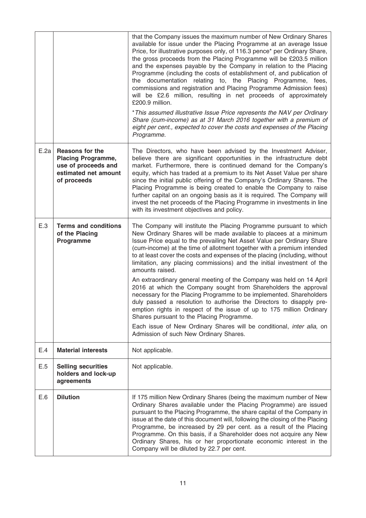|      |                                                                                                                   | that the Company issues the maximum number of New Ordinary Shares<br>available for issue under the Placing Programme at an average Issue<br>Price, for illustrative purposes only, of 116.3 pence* per Ordinary Share,<br>the gross proceeds from the Placing Programme will be £203.5 million<br>and the expenses payable by the Company in relation to the Placing<br>Programme (including the costs of establishment of, and publication of<br>the documentation relating to, the Placing Programme, fees,<br>commissions and registration and Placing Programme Admission fees)<br>will be £2.6 million, resulting in net proceeds of approximately<br>£200.9 million.<br>* This assumed illustrative Issue Price represents the NAV per Ordinary<br>Share (cum-income) as at 31 March 2016 together with a premium of<br>eight per cent., expected to cover the costs and expenses of the Placing<br>Programme. |
|------|-------------------------------------------------------------------------------------------------------------------|----------------------------------------------------------------------------------------------------------------------------------------------------------------------------------------------------------------------------------------------------------------------------------------------------------------------------------------------------------------------------------------------------------------------------------------------------------------------------------------------------------------------------------------------------------------------------------------------------------------------------------------------------------------------------------------------------------------------------------------------------------------------------------------------------------------------------------------------------------------------------------------------------------------------|
| E.2a | <b>Reasons for the</b><br><b>Placing Programme,</b><br>use of proceeds and<br>estimated net amount<br>of proceeds | The Directors, who have been advised by the Investment Adviser,<br>believe there are significant opportunities in the infrastructure debt<br>market. Furthermore, there is continued demand for the Company's<br>equity, which has traded at a premium to its Net Asset Value per share<br>since the initial public offering of the Company's Ordinary Shares. The<br>Placing Programme is being created to enable the Company to raise<br>further capital on an ongoing basis as it is required. The Company will<br>invest the net proceeds of the Placing Programme in investments in line<br>with its investment objectives and policy.                                                                                                                                                                                                                                                                          |
| E.3  | <b>Terms and conditions</b><br>of the Placing<br>Programme                                                        | The Company will institute the Placing Programme pursuant to which<br>New Ordinary Shares will be made available to placees at a minimum<br>Issue Price equal to the prevailing Net Asset Value per Ordinary Share<br>(cum-income) at the time of allotment together with a premium intended<br>to at least cover the costs and expenses of the placing (including, without<br>limitation, any placing commissions) and the initial investment of the<br>amounts raised.<br>An extraordinary general meeting of the Company was held on 14 April                                                                                                                                                                                                                                                                                                                                                                     |
|      |                                                                                                                   | 2016 at which the Company sought from Shareholders the approval<br>necessary for the Placing Programme to be implemented. Shareholders<br>duly passed a resolution to authorise the Directors to disapply pre-<br>emption rights in respect of the issue of up to 175 million Ordinary<br>Shares pursuant to the Placing Programme.<br>Each issue of New Ordinary Shares will be conditional, inter alia, on<br>Admission of such New Ordinary Shares.                                                                                                                                                                                                                                                                                                                                                                                                                                                               |
| E.4  | <b>Material interests</b>                                                                                         | Not applicable.                                                                                                                                                                                                                                                                                                                                                                                                                                                                                                                                                                                                                                                                                                                                                                                                                                                                                                      |
| E.5  | <b>Selling securities</b><br>holders and lock-up<br>agreements                                                    | Not applicable.                                                                                                                                                                                                                                                                                                                                                                                                                                                                                                                                                                                                                                                                                                                                                                                                                                                                                                      |
| E.6  | <b>Dilution</b>                                                                                                   | If 175 million New Ordinary Shares (being the maximum number of New<br>Ordinary Shares available under the Placing Programme) are issued<br>pursuant to the Placing Programme, the share capital of the Company in<br>issue at the date of this document will, following the closing of the Placing<br>Programme, be increased by 29 per cent. as a result of the Placing<br>Programme. On this basis, if a Shareholder does not acquire any New<br>Ordinary Shares, his or her proportionate economic interest in the<br>Company will be diluted by 22.7 per cent.                                                                                                                                                                                                                                                                                                                                                  |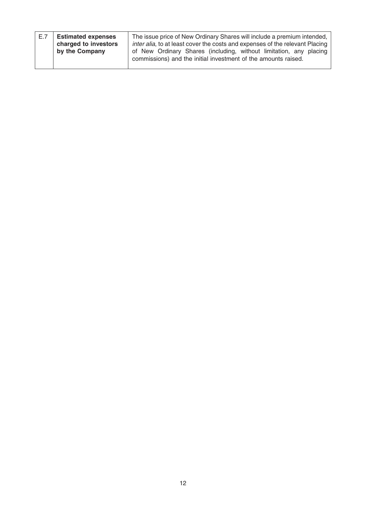| E.7 | <b>Estimated expenses</b><br>charged to investors<br>by the Company | The issue price of New Ordinary Shares will include a premium intended,<br>inter alia, to at least cover the costs and expenses of the relevant Placing<br>of New Ordinary Shares (including, without limitation, any placing<br>commissions) and the initial investment of the amounts raised. |
|-----|---------------------------------------------------------------------|-------------------------------------------------------------------------------------------------------------------------------------------------------------------------------------------------------------------------------------------------------------------------------------------------|
|     |                                                                     |                                                                                                                                                                                                                                                                                                 |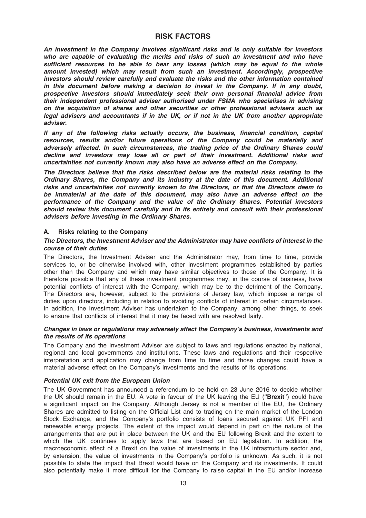# RISK FACTORS

An investment in the Company involves significant risks and is only suitable for investors who are capable of evaluating the merits and risks of such an investment and who have sufficient resources to be able to bear any losses (which may be equal to the whole amount invested) which may result from such an investment. Accordingly, prospective investors should review carefully and evaluate the risks and the other information contained in this document before making a decision to invest in the Company. If in any doubt, prospective investors should immediately seek their own personal financial advice from their independent professional adviser authorised under FSMA who specialises in advising on the acquisition of shares and other securities or other professional advisers such as legal advisers and accountants if in the UK, or if not in the UK from another appropriate adviser.

If any of the following risks actually occurs, the business, financial condition, capital resources, results and/or future operations of the Company could be materially and adversely affected. In such circumstances, the trading price of the Ordinary Shares could decline and investors may lose all or part of their investment. Additional risks and uncertainties not currently known may also have an adverse effect on the Company.

The Directors believe that the risks described below are the material risks relating to the Ordinary Shares, the Company and its industry at the date of this document. Additional risks and uncertainties not currently known to the Directors, or that the Directors deem to be immaterial at the date of this document, may also have an adverse effect on the performance of the Company and the value of the Ordinary Shares. Potential investors should review this document carefully and in its entirety and consult with their professional advisers before investing in the Ordinary Shares.

# A. Risks relating to the Company

#### The Directors, the Investment Adviser and the Administrator may have conflicts of interest in the course of their duties

The Directors, the Investment Adviser and the Administrator may, from time to time, provide services to, or be otherwise involved with, other investment programmes established by parties other than the Company and which may have similar objectives to those of the Company. It is therefore possible that any of these investment programmes may, in the course of business, have potential conflicts of interest with the Company, which may be to the detriment of the Company. The Directors are, however, subject to the provisions of Jersey law, which impose a range of duties upon directors, including in relation to avoiding conflicts of interest in certain circumstances. In addition, the Investment Adviser has undertaken to the Company, among other things, to seek to ensure that conflicts of interest that it may be faced with are resolved fairly.

#### Changes in laws or regulations may adversely affect the Company's business, investments and the results of its operations

The Company and the Investment Adviser are subject to laws and regulations enacted by national, regional and local governments and institutions. These laws and regulations and their respective interpretation and application may change from time to time and those changes could have a material adverse effect on the Company's investments and the results of its operations.

#### Potential UK exit from the European Union

The UK Government has announced a referendum to be held on 23 June 2016 to decide whether the UK should remain in the EU. A vote in favour of the UK leaving the EU ("Brexit") could have a significant impact on the Company. Although Jersey is not a member of the EU, the Ordinary Shares are admitted to listing on the Official List and to trading on the main market of the London Stock Exchange, and the Company's portfolio consists of loans secured against UK PFI and renewable energy projects. The extent of the impact would depend in part on the nature of the arrangements that are put in place between the UK and the EU following Brexit and the extent to which the UK continues to apply laws that are based on EU legislation. In addition, the macroeconomic effect of a Brexit on the value of investments in the UK infrastructure sector and, by extension, the value of investments in the Company's portfolio is unknown. As such, it is not possible to state the impact that Brexit would have on the Company and its investments. It could also potentially make it more difficult for the Company to raise capital in the EU and/or increase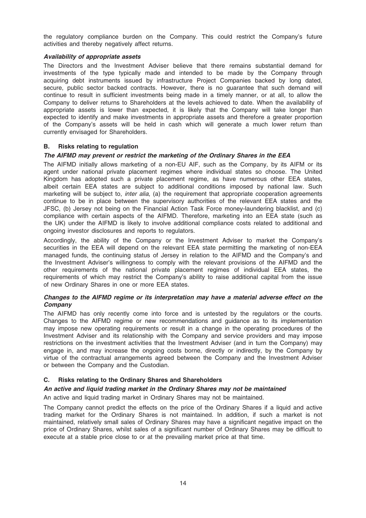the regulatory compliance burden on the Company. This could restrict the Company's future activities and thereby negatively affect returns.

## Availability of appropriate assets

The Directors and the Investment Adviser believe that there remains substantial demand for investments of the type typically made and intended to be made by the Company through acquiring debt instruments issued by infrastructure Project Companies backed by long dated, secure, public sector backed contracts. However, there is no guarantee that such demand will continue to result in sufficient investments being made in a timely manner, or at all, to allow the Company to deliver returns to Shareholders at the levels achieved to date. When the availability of appropriate assets is lower than expected, it is likely that the Company will take longer than expected to identify and make investments in appropriate assets and therefore a greater proportion of the Company's assets will be held in cash which will generate a much lower return than currently envisaged for Shareholders.

#### B. Risks relating to regulation

#### The AIFMD may prevent or restrict the marketing of the Ordinary Shares in the EEA

The AIFMD initially allows marketing of a non-EU AIF, such as the Company, by its AIFM or its agent under national private placement regimes where individual states so choose. The United Kingdom has adopted such a private placement regime, as have numerous other EEA states, albeit certain EEA states are subject to additional conditions imposed by national law. Such marketing will be subject to, *inter alia*, (a) the requirement that appropriate cooperation agreements continue to be in place between the supervisory authorities of the relevant EEA states and the JFSC, (b) Jersey not being on the Financial Action Task Force money-laundering blacklist, and (c) compliance with certain aspects of the AIFMD. Therefore, marketing into an EEA state (such as the UK) under the AIFMD is likely to involve additional compliance costs related to additional and ongoing investor disclosures and reports to regulators.

Accordingly, the ability of the Company or the Investment Adviser to market the Company's securities in the EEA will depend on the relevant EEA state permitting the marketing of non-EEA managed funds, the continuing status of Jersey in relation to the AIFMD and the Company's and the Investment Adviser's willingness to comply with the relevant provisions of the AIFMD and the other requirements of the national private placement regimes of individual EEA states, the requirements of which may restrict the Company's ability to raise additional capital from the issue of new Ordinary Shares in one or more EEA states.

# Changes to the AIFMD regime or its interpretation may have a material adverse effect on the **Company**

The AIFMD has only recently come into force and is untested by the regulators or the courts. Changes to the AIFMD regime or new recommendations and guidance as to its implementation may impose new operating requirements or result in a change in the operating procedures of the Investment Adviser and its relationship with the Company and service providers and may impose restrictions on the investment activities that the Investment Adviser (and in turn the Company) may engage in, and may increase the ongoing costs borne, directly or indirectly, by the Company by virtue of the contractual arrangements agreed between the Company and the Investment Adviser or between the Company and the Custodian.

# C. Risks relating to the Ordinary Shares and Shareholders

# An active and liquid trading market in the Ordinary Shares may not be maintained

An active and liquid trading market in Ordinary Shares may not be maintained.

The Company cannot predict the effects on the price of the Ordinary Shares if a liquid and active trading market for the Ordinary Shares is not maintained. In addition, if such a market is not maintained, relatively small sales of Ordinary Shares may have a significant negative impact on the price of Ordinary Shares, whilst sales of a significant number of Ordinary Shares may be difficult to execute at a stable price close to or at the prevailing market price at that time.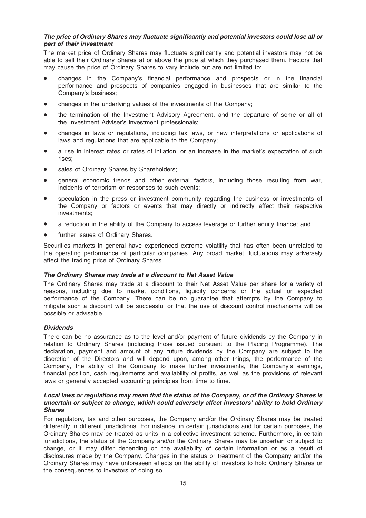# The price of Ordinary Shares may fluctuate significantly and potential investors could lose all or part of their investment

The market price of Ordinary Shares may fluctuate significantly and potential investors may not be able to sell their Ordinary Shares at or above the price at which they purchased them. Factors that may cause the price of Ordinary Shares to vary include but are not limited to:

- changes in the Company's financial performance and prospects or in the financial performance and prospects of companies engaged in businesses that are similar to the Company's business;
- changes in the underlying values of the investments of the Company;
- the termination of the Investment Advisory Agreement, and the departure of some or all of the Investment Adviser's investment professionals;
- \* changes in laws or regulations, including tax laws, or new interpretations or applications of laws and regulations that are applicable to the Company;
- a rise in interest rates or rates of inflation, or an increase in the market's expectation of such rises;
- sales of Ordinary Shares by Shareholders;
- general economic trends and other external factors, including those resulting from war, incidents of terrorism or responses to such events;
- speculation in the press or investment community regarding the business or investments of the Company or factors or events that may directly or indirectly affect their respective investments;
- a reduction in the ability of the Company to access leverage or further equity finance; and
- further issues of Ordinary Shares.

Securities markets in general have experienced extreme volatility that has often been unrelated to the operating performance of particular companies. Any broad market fluctuations may adversely affect the trading price of Ordinary Shares.

#### The Ordinary Shares may trade at a discount to Net Asset Value

The Ordinary Shares may trade at a discount to their Net Asset Value per share for a variety of reasons, including due to market conditions, liquidity concerns or the actual or expected performance of the Company. There can be no guarantee that attempts by the Company to mitigate such a discount will be successful or that the use of discount control mechanisms will be possible or advisable.

#### **Dividends**

There can be no assurance as to the level and/or payment of future dividends by the Company in relation to Ordinary Shares (including those issued pursuant to the Placing Programme). The declaration, payment and amount of any future dividends by the Company are subject to the discretion of the Directors and will depend upon, among other things, the performance of the Company, the ability of the Company to make further investments, the Company's earnings, financial position, cash requirements and availability of profits, as well as the provisions of relevant laws or generally accepted accounting principles from time to time.

## Local laws or regulations may mean that the status of the Company, or of the Ordinary Shares is uncertain or subject to change, which could adversely affect investors' ability to hold Ordinary Shares

For regulatory, tax and other purposes, the Company and/or the Ordinary Shares may be treated differently in different jurisdictions. For instance, in certain jurisdictions and for certain purposes, the Ordinary Shares may be treated as units in a collective investment scheme. Furthermore, in certain jurisdictions, the status of the Company and/or the Ordinary Shares may be uncertain or subject to change, or it may differ depending on the availability of certain information or as a result of disclosures made by the Company. Changes in the status or treatment of the Company and/or the Ordinary Shares may have unforeseen effects on the ability of investors to hold Ordinary Shares or the consequences to investors of doing so.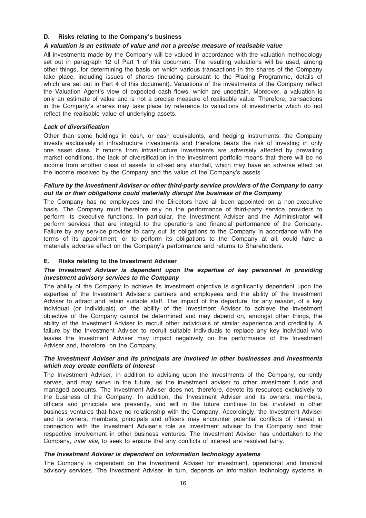## D. Risks relating to the Company's business

#### A valuation is an estimate of value and not a precise measure of realisable value

All investments made by the Company will be valued in accordance with the valuation methodology set out in paragraph 12 of Part 1 of this document. The resulting valuations will be used, among other things, for determining the basis on which various transactions in the shares of the Company take place, including issues of shares (including pursuant to the Placing Programme, details of which are set out in Part 4 of this document). Valuations of the investments of the Company reflect the Valuation Agent's view of expected cash flows, which are uncertain. Moreover, a valuation is only an estimate of value and is not a precise measure of realisable value. Therefore, transactions in the Company's shares may take place by reference to valuations of investments which do not reflect the realisable value of underlying assets.

#### Lack of diversification

Other than some holdings in cash, or cash equivalents, and hedging instruments, the Company invests exclusively in infrastructure investments and therefore bears the risk of investing in only one asset class. If returns from infrastructure investments are adversely affected by prevailing market conditions, the lack of diversification in the investment portfolio means that there will be no income from another class of assets to off-set any shortfall, which may have an adverse effect on the income received by the Company and the value of the Company's assets.

## Failure by the Investment Adviser or other third-party service providers of the Company to carry out its or their obligations could materially disrupt the business of the Company

The Company has no employees and the Directors have all been appointed on a non-executive basis. The Company must therefore rely on the performance of third-party service providers to perform its executive functions. In particular, the Investment Adviser and the Administrator will perform services that are integral to the operations and financial performance of the Company. Failure by any service provider to carry out its obligations to the Company in accordance with the terms of its appointment, or to perform its obligations to the Company at all, could have a materially adverse effect on the Company's performance and returns to Shareholders.

## E. Risks relating to the Investment Adviser

#### The Investment Adviser is dependent upon the expertise of key personnel in providing investment advisory services to the Company

The ability of the Company to achieve its investment objective is significantly dependent upon the expertise of the Investment Adviser's partners and employees and the ability of the Investment Adviser to attract and retain suitable staff. The impact of the departure, for any reason, of a key individual (or individuals) on the ability of the Investment Adviser to achieve the investment objective of the Company cannot be determined and may depend on, amongst other things, the ability of the Investment Adviser to recruit other individuals of similar experience and credibility. A failure by the Investment Adviser to recruit suitable individuals to replace any key individual who leaves the Investment Adviser may impact negatively on the performance of the Investment Adviser and, therefore, on the Company.

#### The Investment Adviser and its principals are involved in other businesses and investments which may create conflicts of interest

The Investment Adviser, in addition to advising upon the investments of the Company, currently serves, and may serve in the future, as the investment adviser to other investment funds and managed accounts. The Investment Adviser does not, therefore, devote its resources exclusively to the business of the Company. In addition, the Investment Adviser and its owners, members, officers and principals are presently, and will in the future continue to be, involved in other business ventures that have no relationship with the Company. Accordingly, the Investment Adviser and its owners, members, principals and officers may encounter potential conflicts of interest in connection with the Investment Adviser's role as investment adviser to the Company and their respective involvement in other business ventures. The Investment Adviser has undertaken to the Company, inter alia, to seek to ensure that any conflicts of interest are resolved fairly.

#### The Investment Adviser is dependent on information technology systems

The Company is dependent on the Investment Adviser for investment, operational and financial advisory services. The Investment Adviser, in turn, depends on information technology systems in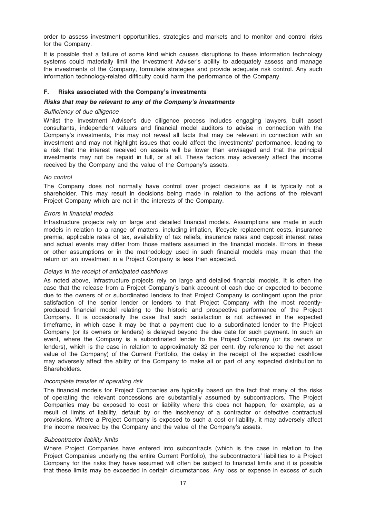order to assess investment opportunities, strategies and markets and to monitor and control risks for the Company.

It is possible that a failure of some kind which causes disruptions to these information technology systems could materially limit the Investment Adviser's ability to adequately assess and manage the investments of the Company, formulate strategies and provide adequate risk control. Any such information technology-related difficulty could harm the performance of the Company.

#### F. Risks associated with the Company's investments

#### Risks that may be relevant to any of the Company's investments

#### Sufficiency of due diligence

Whilst the Investment Adviser's due diligence process includes engaging lawyers, built asset consultants, independent valuers and financial model auditors to advise in connection with the Company's investments, this may not reveal all facts that may be relevant in connection with an investment and may not highlight issues that could affect the investments' performance, leading to a risk that the interest received on assets will be lower than envisaged and that the principal investments may not be repaid in full, or at all. These factors may adversely affect the income received by the Company and the value of the Company's assets.

#### No control

The Company does not normally have control over project decisions as it is typically not a shareholder. This may result in decisions being made in relation to the actions of the relevant Project Company which are not in the interests of the Company.

#### Errors in financial models

Infrastructure projects rely on large and detailed financial models. Assumptions are made in such models in relation to a range of matters, including inflation, lifecycle replacement costs, insurance premia, applicable rates of tax, availability of tax reliefs, insurance rates and deposit interest rates and actual events may differ from those matters assumed in the financial models. Errors in these or other assumptions or in the methodology used in such financial models may mean that the return on an investment in a Project Company is less than expected.

#### Delays in the receipt of anticipated cashflows

As noted above, infrastructure projects rely on large and detailed financial models. It is often the case that the release from a Project Company's bank account of cash due or expected to become due to the owners of or subordinated lenders to that Project Company is contingent upon the prior satisfaction of the senior lender or lenders to that Project Company with the most recentlyproduced financial model relating to the historic and prospective performance of the Project Company. It is occasionally the case that such satisfaction is not achieved in the expected timeframe, in which case it may be that a payment due to a subordinated lender to the Project Company (or its owners or lenders) is delayed beyond the due date for such payment. In such an event, where the Company is a subordinated lender to the Project Company (or its owners or lenders), which is the case in relation to approximately 32 per cent. (by reference to the net asset value of the Company) of the Current Portfolio, the delay in the receipt of the expected cashflow may adversely affect the ability of the Company to make all or part of any expected distribution to Shareholders.

#### Incomplete transfer of operating risk

The financial models for Project Companies are typically based on the fact that many of the risks of operating the relevant concessions are substantially assumed by subcontractors. The Project Companies may be exposed to cost or liability where this does not happen, for example, as a result of limits of liability, default by or the insolvency of a contractor or defective contractual provisions. Where a Project Company is exposed to such a cost or liability, it may adversely affect the income received by the Company and the value of the Company's assets.

#### Subcontractor liability limits

Where Project Companies have entered into subcontracts (which is the case in relation to the Project Companies underlying the entire Current Portfolio), the subcontractors' liabilities to a Project Company for the risks they have assumed will often be subject to financial limits and it is possible that these limits may be exceeded in certain circumstances. Any loss or expense in excess of such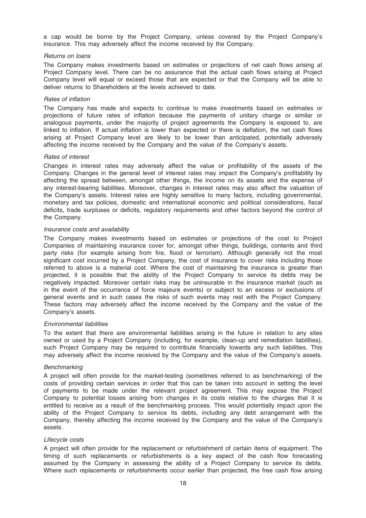a cap would be borne by the Project Company, unless covered by the Project Company's insurance. This may adversely affect the income received by the Company.

#### Returns on loans

The Company makes investments based on estimates or projections of net cash flows arising at Project Company level. There can be no assurance that the actual cash flows arising at Project Company level will equal or exceed those that are expected or that the Company will be able to deliver returns to Shareholders at the levels achieved to date.

## Rates of inflation

The Company has made and expects to continue to make investments based on estimates or projections of future rates of inflation because the payments of unitary charge or similar or analogous payments, under the majority of project agreements the Company is exposed to, are linked to inflation. If actual inflation is lower than expected or there is deflation, the net cash flows arising at Project Company level are likely to be lower than anticipated, potentially adversely affecting the income received by the Company and the value of the Company's assets.

#### Rates of interest

Changes in interest rates may adversely affect the value or profitability of the assets of the Company. Changes in the general level of interest rates may impact the Company's profitability by affecting the spread between, amongst other things, the income on its assets and the expense of any interest-bearing liabilities. Moreover, changes in interest rates may also affect the valuation of the Company's assets. Interest rates are highly sensitive to many factors, including governmental, monetary and tax policies, domestic and international economic and political considerations, fiscal deficits, trade surpluses or deficits, regulatory requirements and other factors beyond the control of the Company.

#### Insurance costs and availability

The Company makes investments based on estimates or projections of the cost to Project Companies of maintaining insurance cover for, amongst other things, buildings, contents and third party risks (for example arising from fire, flood or terrorism). Although generally not the most significant cost incurred by a Project Company, the cost of insurance to cover risks including those referred to above is a material cost. Where the cost of maintaining the insurance is greater than projected, it is possible that the ability of the Project Company to service its debts may be negatively impacted. Moreover certain risks may be uninsurable in the insurance market (such as in the event of the occurrence of force majeure events) or subject to an excess or exclusions of general events and in such cases the risks of such events may rest with the Project Company. These factors may adversely affect the income received by the Company and the value of the Company's assets.

# Environmental liabilities

To the extent that there are environmental liabilities arising in the future in relation to any sites owned or used by a Project Company (including, for example, clean-up and remediation liabilities), such Project Company may be required to contribute financially towards any such liabilities. This may adversely affect the income received by the Company and the value of the Company's assets.

#### **Benchmarking**

A project will often provide for the market-testing (sometimes referred to as benchmarking) of the costs of providing certain services in order that this can be taken into account in setting the level of payments to be made under the relevant project agreement. This may expose the Project Company to potential losses arising from changes in its costs relative to the charges that it is entitled to receive as a result of the benchmarking process. This would potentially impact upon the ability of the Project Company to service its debts, including any debt arrangement with the Company, thereby affecting the income received by the Company and the value of the Company's assets.

#### Lifecycle costs

A project will often provide for the replacement or refurbishment of certain items of equipment. The timing of such replacements or refurbishments is a key aspect of the cash flow forecasting assumed by the Company in assessing the ability of a Project Company to service its debts. Where such replacements or refurbishments occur earlier than projected, the free cash flow arising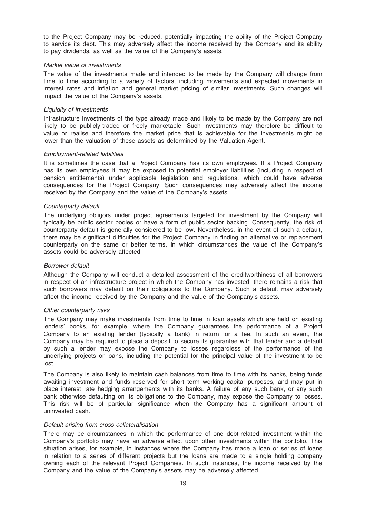to the Project Company may be reduced, potentially impacting the ability of the Project Company to service its debt. This may adversely affect the income received by the Company and its ability to pay dividends, as well as the value of the Company's assets.

#### Market value of investments

The value of the investments made and intended to be made by the Company will change from time to time according to a variety of factors, including movements and expected movements in interest rates and inflation and general market pricing of similar investments. Such changes will impact the value of the Company's assets.

#### Liquidity of investments

Infrastructure investments of the type already made and likely to be made by the Company are not likely to be publicly-traded or freely marketable. Such investments may therefore be difficult to value or realise and therefore the market price that is achievable for the investments might be lower than the valuation of these assets as determined by the Valuation Agent.

#### Employment-related liabilities

It is sometimes the case that a Project Company has its own employees. If a Project Company has its own employees it may be exposed to potential employer liabilities (including in respect of pension entitlements) under applicable legislation and regulations, which could have adverse consequences for the Project Company. Such consequences may adversely affect the income received by the Company and the value of the Company's assets.

#### Counterparty default

The underlying obligors under project agreements targeted for investment by the Company will typically be public sector bodies or have a form of public sector backing. Consequently, the risk of counterparty default is generally considered to be low. Nevertheless, in the event of such a default, there may be significant difficulties for the Project Company in finding an alternative or replacement counterparty on the same or better terms, in which circumstances the value of the Company's assets could be adversely affected.

#### Borrower default

Although the Company will conduct a detailed assessment of the creditworthiness of all borrowers in respect of an infrastructure project in which the Company has invested, there remains a risk that such borrowers may default on their obligations to the Company. Such a default may adversely affect the income received by the Company and the value of the Company's assets.

#### Other counterparty risks

The Company may make investments from time to time in loan assets which are held on existing lenders' books, for example, where the Company guarantees the performance of a Project Company to an existing lender (typically a bank) in return for a fee. In such an event, the Company may be required to place a deposit to secure its guarantee with that lender and a default by such a lender may expose the Company to losses regardless of the performance of the underlying projects or loans, including the potential for the principal value of the investment to be lost.

The Company is also likely to maintain cash balances from time to time with its banks, being funds awaiting investment and funds reserved for short term working capital purposes, and may put in place interest rate hedging arrangements with its banks. A failure of any such bank, or any such bank otherwise defaulting on its obligations to the Company, may expose the Company to losses. This risk will be of particular significance when the Company has a significant amount of uninvested cash.

#### Default arising from cross-collateralisation

There may be circumstances in which the performance of one debt-related investment within the Company's portfolio may have an adverse effect upon other investments within the portfolio. This situation arises, for example, in instances where the Company has made a loan or series of loans in relation to a series of different projects but the loans are made to a single holding company owning each of the relevant Project Companies. In such instances, the income received by the Company and the value of the Company's assets may be adversely affected.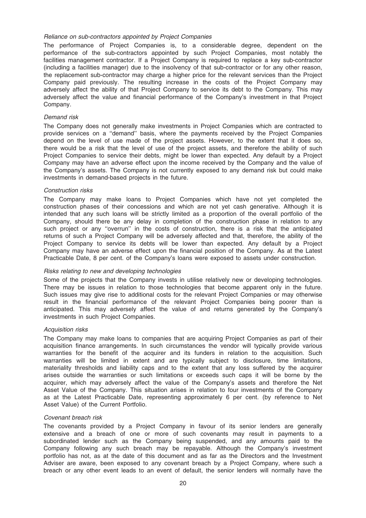#### Reliance on sub-contractors appointed by Project Companies

The performance of Project Companies is, to a considerable degree, dependent on the performance of the sub-contractors appointed by such Project Companies, most notably the facilities management contractor. If a Project Company is required to replace a key sub-contractor (including a facilities manager) due to the insolvency of that sub-contractor or for any other reason, the replacement sub-contractor may charge a higher price for the relevant services than the Project Company paid previously. The resulting increase in the costs of the Project Company may adversely affect the ability of that Project Company to service its debt to the Company. This may adversely affect the value and financial performance of the Company's investment in that Project Company.

#### Demand risk

The Company does not generally make investments in Project Companies which are contracted to provide services on a ''demand'' basis, where the payments received by the Project Companies depend on the level of use made of the project assets. However, to the extent that it does so, there would be a risk that the level of use of the project assets, and therefore the ability of such Project Companies to service their debts, might be lower than expected. Any default by a Project Company may have an adverse effect upon the income received by the Company and the value of the Company's assets. The Company is not currently exposed to any demand risk but could make investments in demand-based projects in the future.

#### Construction risks

The Company may make loans to Project Companies which have not yet completed the construction phases of their concessions and which are not yet cash generative. Although it is intended that any such loans will be strictly limited as a proportion of the overall portfolio of the Company, should there be any delay in completion of the construction phase in relation to any such project or any ''overrun'' in the costs of construction, there is a risk that the anticipated returns of such a Project Company will be adversely affected and that, therefore, the ability of the Project Company to service its debts will be lower than expected. Any default by a Project Company may have an adverse effect upon the financial position of the Company. As at the Latest Practicable Date, 8 per cent. of the Company's loans were exposed to assets under construction.

#### Risks relating to new and developing technologies

Some of the projects that the Company invests in utilise relatively new or developing technologies. There may be issues in relation to those technologies that become apparent only in the future. Such issues may give rise to additional costs for the relevant Project Companies or may otherwise result in the financial performance of the relevant Project Companies being poorer than is anticipated. This may adversely affect the value of and returns generated by the Company's investments in such Project Companies.

#### Acquisition risks

The Company may make loans to companies that are acquiring Project Companies as part of their acquisition finance arrangements. In such circumstances the vendor will typically provide various warranties for the benefit of the acquirer and its funders in relation to the acquisition. Such warranties will be limited in extent and are typically subject to disclosure, time limitations, materiality thresholds and liability caps and to the extent that any loss suffered by the acquirer arises outside the warranties or such limitations or exceeds such caps it will be borne by the acquirer, which may adversely affect the value of the Company's assets and therefore the Net Asset Value of the Company. This situation arises in relation to four investments of the Company as at the Latest Practicable Date, representing approximately 6 per cent. (by reference to Net Asset Value) of the Current Portfolio.

#### Covenant breach risk

The covenants provided by a Project Company in favour of its senior lenders are generally extensive and a breach of one or more of such covenants may result in payments to a subordinated lender such as the Company being suspended, and any amounts paid to the Company following any such breach may be repayable. Although the Company's investment portfolio has not, as at the date of this document and as far as the Directors and the Investment Adviser are aware, been exposed to any covenant breach by a Project Company, where such a breach or any other event leads to an event of default, the senior lenders will normally have the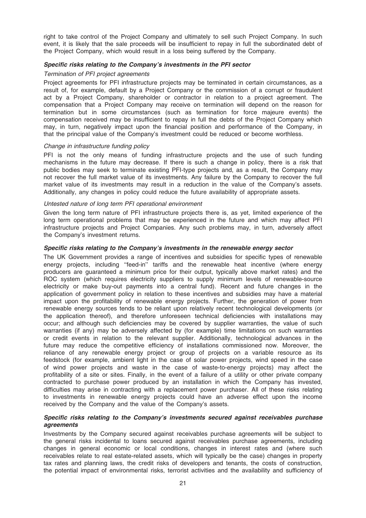right to take control of the Project Company and ultimately to sell such Project Company. In such event, it is likely that the sale proceeds will be insufficient to repay in full the subordinated debt of the Project Company, which would result in a loss being suffered by the Company.

#### Specific risks relating to the Company's investments in the PFI sector

#### Termination of PFI project agreements

Project agreements for PFI infrastructure projects may be terminated in certain circumstances, as a result of, for example, default by a Project Company or the commission of a corrupt or fraudulent act by a Project Company, shareholder or contractor in relation to a project agreement. The compensation that a Project Company may receive on termination will depend on the reason for termination but in some circumstances (such as termination for force majeure events) the compensation received may be insufficient to repay in full the debts of the Project Company which may, in turn, negatively impact upon the financial position and performance of the Company, in that the principal value of the Company's investment could be reduced or become worthless.

#### Change in infrastructure funding policy

PFI is not the only means of funding infrastructure projects and the use of such funding mechanisms in the future may decrease. If there is such a change in policy, there is a risk that public bodies may seek to terminate existing PFI-type projects and, as a result, the Company may not recover the full market value of its investments. Any failure by the Company to recover the full market value of its investments may result in a reduction in the value of the Company's assets. Additionally, any changes in policy could reduce the future availability of appropriate assets.

#### Untested nature of long term PFI operational environment

Given the long term nature of PFI infrastructure projects there is, as yet, limited experience of the long term operational problems that may be experienced in the future and which may affect PFI infrastructure projects and Project Companies. Any such problems may, in turn, adversely affect the Company's investment returns.

#### Specific risks relating to the Company's investments in the renewable energy sector

The UK Government provides a range of incentives and subsidies for specific types of renewable energy projects, including "feed-in" tariffs and the renewable heat incentive (where energy producers are guaranteed a minimum price for their output, typically above market rates) and the ROC system (which requires electricity suppliers to supply minimum levels of renewable-source electricity or make buy-out payments into a central fund). Recent and future changes in the application of government policy in relation to these incentives and subsidies may have a material impact upon the profitability of renewable energy projects. Further, the generation of power from renewable energy sources tends to be reliant upon relatively recent technological developments (or the application thereof), and therefore unforeseen technical deficiencies with installations may occur; and although such deficiencies may be covered by supplier warranties, the value of such warranties (if any) may be adversely affected by (for example) time limitations on such warranties or credit events in relation to the relevant supplier. Additionally, technological advances in the future may reduce the competitive efficiency of installations commissioned now. Moreover, the reliance of any renewable energy project or group of projects on a variable resource as its feedstock (for example, ambient light in the case of solar power projects, wind speed in the case of wind power projects and waste in the case of waste-to-energy projects) may affect the profitability of a site or sites. Finally, in the event of a failure of a utility or other private company contracted to purchase power produced by an installation in which the Company has invested, difficulties may arise in contracting with a replacement power purchaser. All of these risks relating to investments in renewable energy projects could have an adverse effect upon the income received by the Company and the value of the Company's assets.

#### Specific risks relating to the Company's investments secured against receivables purchase agreements

Investments by the Company secured against receivables purchase agreements will be subject to the general risks incidental to loans secured against receivables purchase agreements, including changes in general economic or local conditions, changes in interest rates and (where such receivables relate to real estate-related assets, which will typically be the case) changes in property tax rates and planning laws, the credit risks of developers and tenants, the costs of construction, the potential impact of environmental risks, terrorist activities and the availability and sufficiency of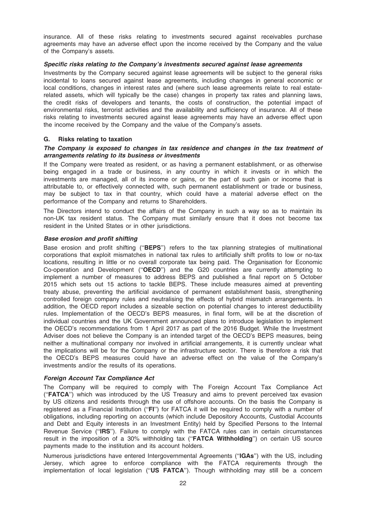insurance. All of these risks relating to investments secured against receivables purchase agreements may have an adverse effect upon the income received by the Company and the value of the Company's assets.

#### Specific risks relating to the Company's investments secured against lease agreements

Investments by the Company secured against lease agreements will be subject to the general risks incidental to loans secured against lease agreements, including changes in general economic or local conditions, changes in interest rates and (where such lease agreements relate to real estaterelated assets, which will typically be the case) changes in property tax rates and planning laws, the credit risks of developers and tenants, the costs of construction, the potential impact of environmental risks, terrorist activities and the availability and sufficiency of insurance. All of these risks relating to investments secured against lease agreements may have an adverse effect upon the income received by the Company and the value of the Company's assets.

# G. Risks relating to taxation

#### The Company is exposed to changes in tax residence and changes in the tax treatment of arrangements relating to its business or investments

If the Company were treated as resident, or as having a permanent establishment, or as otherwise being engaged in a trade or business, in any country in which it invests or in which the investments are managed, all of its income or gains, or the part of such gain or income that is attributable to, or effectively connected with, such permanent establishment or trade or business, may be subject to tax in that country, which could have a material adverse effect on the performance of the Company and returns to Shareholders.

The Directors intend to conduct the affairs of the Company in such a way so as to maintain its non-UK tax resident status. The Company must similarly ensure that it does not become tax resident in the United States or in other jurisdictions.

# Base erosion and profit shifting

Base erosion and profit shifting ("BEPS") refers to the tax planning strategies of multinational corporations that exploit mismatches in national tax rules to artificially shift profits to low or no-tax locations, resulting in little or no overall corporate tax being paid. The Organisation for Economic Co-operation and Development (''OECD'') and the G20 countries are currently attempting to implement a number of measures to address BEPS and published a final report on 5 October 2015 which sets out 15 actions to tackle BEPS. These include measures aimed at preventing treaty abuse, preventing the artificial avoidance of permanent establishment basis, strengthening controlled foreign company rules and neutralising the effects of hybrid mismatch arrangements. In addition, the OECD report includes a sizeable section on potential changes to interest deductibility rules. Implementation of the OECD's BEPS measures, in final form, will be at the discretion of individual countries and the UK Government announced plans to introduce legislation to implement the OECD's recommendations from 1 April 2017 as part of the 2016 Budget. While the Investment Adviser does not believe the Company is an intended target of the OECD's BEPS measures, being neither a multinational company nor involved in artificial arrangements, it is currently unclear what the implications will be for the Company or the infrastructure sector. There is therefore a risk that the OECD's BEPS measures could have an adverse effect on the value of the Company's investments and/or the results of its operations.

#### Foreign Account Tax Compliance Act

The Company will be required to comply with The Foreign Account Tax Compliance Act (''FATCA'') which was introduced by the US Treasury and aims to prevent perceived tax evasion by US citizens and residents through the use of offshore accounts. On the basis the Company is registered as a Financial Institution (''FI'') for FATCA it will be required to comply with a number of obligations, including reporting on accounts (which include Depository Accounts, Custodial Accounts and Debt and Equity interests in an Investment Entity) held by Specified Persons to the Internal Revenue Service ("IRS"). Failure to comply with the FATCA rules can in certain circumstances result in the imposition of a 30% withholding tax ("FATCA Withholding") on certain US source payments made to the institution and its account holders.

Numerous jurisdictions have entered Intergovernmental Agreements ("IGAs") with the US, including Jersey, which agree to enforce compliance with the FATCA requirements through the implementation of local legislation ("US FATCA"). Though withholding may still be a concern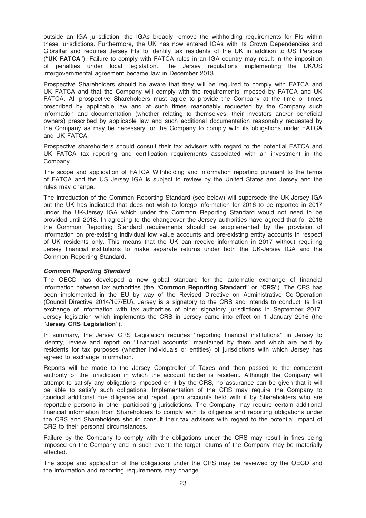outside an IGA jurisdiction, the IGAs broadly remove the withholding requirements for FIs within these jurisdictions. Furthermore, the UK has now entered IGAs with its Crown Dependencies and Gibraltar and requires Jersey FIs to identify tax residents of the UK in addition to US Persons (''UK FATCA''). Failure to comply with FATCA rules in an IGA country may result in the imposition of penalties under local legislation. The Jersey regulations implementing the UK/US intergovernmental agreement became law in December 2013.

Prospective Shareholders should be aware that they will be required to comply with FATCA and UK FATCA and that the Company will comply with the requirements imposed by FATCA and UK FATCA. All prospective Shareholders must agree to provide the Company at the time or times prescribed by applicable law and at such times reasonably requested by the Company such information and documentation (whether relating to themselves, their investors and/or beneficial owners) prescribed by applicable law and such additional documentation reasonably requested by the Company as may be necessary for the Company to comply with its obligations under FATCA and UK FATCA.

Prospective shareholders should consult their tax advisers with regard to the potential FATCA and UK FATCA tax reporting and certification requirements associated with an investment in the Company.

The scope and application of FATCA Withholding and information reporting pursuant to the terms of FATCA and the US Jersey IGA is subject to review by the United States and Jersey and the rules may change.

The introduction of the Common Reporting Standard (see below) will supersede the UK-Jersey IGA but the UK has indicated that does not wish to forego information for 2016 to be reported in 2017 under the UK-Jersey IGA which under the Common Reporting Standard would not need to be provided until 2018. In agreeing to the changeover the Jersey authorities have agreed that for 2016 the Common Reporting Standard requirements should be supplemented by the provision of information on pre-existing individual low value accounts and pre-existing entity accounts in respect of UK residents only. This means that the UK can receive information in 2017 without requiring Jersey financial institutions to make separate returns under both the UK-Jersey IGA and the Common Reporting Standard.

# Common Reporting Standard

The OECD has developed a new global standard for the automatic exchange of financial information between tax authorities (the "Common Reporting Standard" or "CRS"). The CRS has been implemented in the EU by way of the Revised Directive on Administrative Co-Operation (Council Directive 2014/107/EU). Jersey is a signatory to the CRS and intends to conduct its first exchange of information with tax authorities of other signatory jurisdictions in September 2017. Jersey legislation which implements the CRS in Jersey came into effect on 1 January 2016 (the ''Jersey CRS Legislation'').

In summary, the Jersey CRS Legislation requires ''reporting financial institutions'' in Jersey to identify, review and report on ''financial accounts'' maintained by them and which are held by residents for tax purposes (whether individuals or entities) of jurisdictions with which Jersey has agreed to exchange information.

Reports will be made to the Jersey Comptroller of Taxes and then passed to the competent authority of the jurisdiction in which the account holder is resident. Although the Company will attempt to satisfy any obligations imposed on it by the CRS, no assurance can be given that it will be able to satisfy such obligations. Implementation of the CRS may require the Company to conduct additional due diligence and report upon accounts held with it by Shareholders who are reportable persons in other participating jurisdictions. The Company may require certain additional financial information from Shareholders to comply with its diligence and reporting obligations under the CRS and Shareholders should consult their tax advisers with regard to the potential impact of CRS to their personal circumstances.

Failure by the Company to comply with the obligations under the CRS may result in fines being imposed on the Company and in such event, the target returns of the Company may be materially affected.

The scope and application of the obligations under the CRS may be reviewed by the OECD and the information and reporting requirements may change.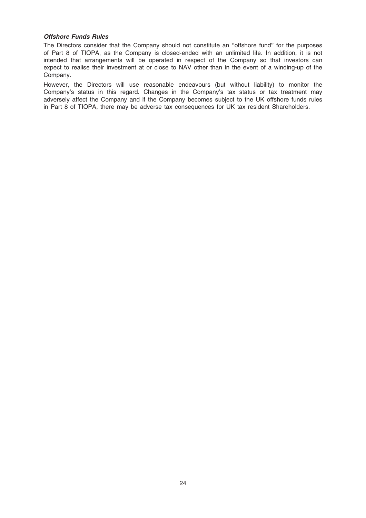## Offshore Funds Rules

The Directors consider that the Company should not constitute an ''offshore fund'' for the purposes of Part 8 of TIOPA, as the Company is closed-ended with an unlimited life. In addition, it is not intended that arrangements will be operated in respect of the Company so that investors can expect to realise their investment at or close to NAV other than in the event of a winding-up of the Company.

However, the Directors will use reasonable endeavours (but without liability) to monitor the Company's status in this regard. Changes in the Company's tax status or tax treatment may adversely affect the Company and if the Company becomes subject to the UK offshore funds rules in Part 8 of TIOPA, there may be adverse tax consequences for UK tax resident Shareholders.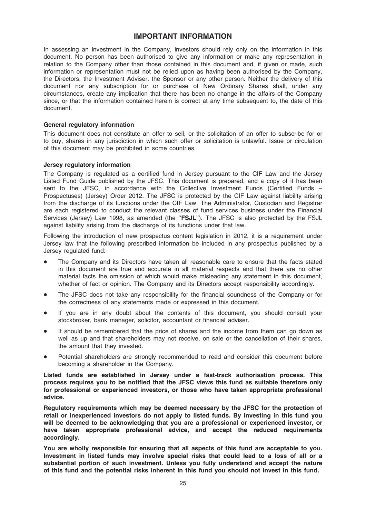# IMPORTANT INFORMATION

In assessing an investment in the Company, investors should rely only on the information in this document. No person has been authorised to give any information or make any representation in relation to the Company other than those contained in this document and, if given or made, such information or representation must not be relied upon as having been authorised by the Company, the Directors, the Investment Adviser, the Sponsor or any other person. Neither the delivery of this document nor any subscription for or purchase of New Ordinary Shares shall, under any circumstances, create any implication that there has been no change in the affairs of the Company since, or that the information contained herein is correct at any time subsequent to, the date of this document.

#### General regulatory information

This document does not constitute an offer to sell, or the solicitation of an offer to subscribe for or to buy, shares in any jurisdiction in which such offer or solicitation is unlawful. Issue or circulation of this document may be prohibited in some countries.

#### Jersey regulatory information

The Company is regulated as a certified fund in Jersey pursuant to the CIF Law and the Jersey Listed Fund Guide published by the JFSC. This document is prepared, and a copy of it has been sent to the JFSC, in accordance with the Collective Investment Funds (Certified Funds – Prospectuses) (Jersey) Order 2012. The JFSC is protected by the CIF Law against liability arising from the discharge of its functions under the CIF Law. The Administrator, Custodian and Registrar are each registered to conduct the relevant classes of fund services business under the Financial Services (Jersey) Law 1998, as amended (the "FSJL"). The JFSC is also protected by the FSJL against liability arising from the discharge of its functions under that law.

Following the introduction of new prospectus content legislation in 2012, it is a requirement under Jersey law that the following prescribed information be included in any prospectus published by a Jersey regulated fund:

- The Company and its Directors have taken all reasonable care to ensure that the facts stated in this document are true and accurate in all material respects and that there are no other material facts the omission of which would make misleading any statement in this document, whether of fact or opinion. The Company and its Directors accept responsibility accordingly.
- The JFSC does not take any responsibility for the financial soundness of the Company or for the correctness of any statements made or expressed in this document.
- If you are in any doubt about the contents of this document, you should consult your stockbroker, bank manager, solicitor, accountant or financial adviser.
- It should be remembered that the price of shares and the income from them can go down as well as up and that shareholders may not receive, on sale or the cancellation of their shares, the amount that they invested.
- Potential shareholders are strongly recommended to read and consider this document before becoming a shareholder in the Company.

Listed funds are established in Jersey under a fast-track authorisation process. This process requires you to be notified that the JFSC views this fund as suitable therefore only for professional or experienced investors, or those who have taken appropriate professional advice.

Regulatory requirements which may be deemed necessary by the JFSC for the protection of retail or inexperienced investors do not apply to listed funds. By investing in this fund you will be deemed to be acknowledging that you are a professional or experienced investor, or have taken appropriate professional advice, and accept the reduced requirements accordingly.

You are wholly responsible for ensuring that all aspects of this fund are acceptable to you. Investment in listed funds may involve special risks that could lead to a loss of all or a substantial portion of such investment. Unless you fully understand and accept the nature of this fund and the potential risks inherent in this fund you should not invest in this fund.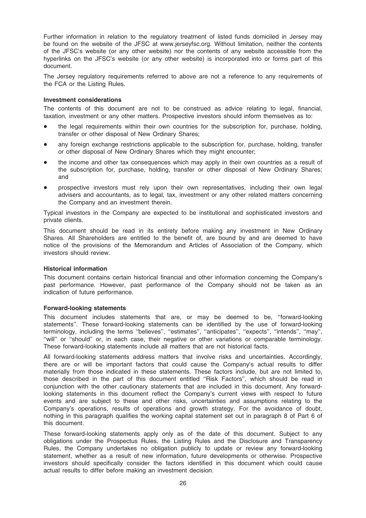Further information in relation to the regulatory treatment of listed funds domiciled in Jersey may be found on the website of the JFSC at www.jerseyfsc.org. Without limitation, neither the contents of the JFSC's website (or any other website) nor the contents of any website accessible from the hyperlinks on the JFSC's website (or any other website) is incorporated into or forms part of this document.

The Jersey regulatory requirements referred to above are not a reference to any requirements of the FCA or the Listing Rules.

#### Investment considerations

The contents of this document are not to be construed as advice relating to legal, financial, taxation, investment or any other matters. Prospective investors should inform themselves as to:

- the legal requirements within their own countries for the subscription for, purchase, holding, transfer or other disposal of New Ordinary Shares;
- any foreign exchange restrictions applicable to the subscription for, purchase, holding, transfer or other disposal of New Ordinary Shares which they might encounter;
- the income and other tax consequences which may apply in their own countries as a result of the subscription for, purchase, holding, transfer or other disposal of New Ordinary Shares; and
- prospective investors must rely upon their own representatives, including their own legal advisers and accountants, as to legal, tax, investment or any other related matters concerning the Company and an investment therein.

Typical investors in the Company are expected to be institutional and sophisticated investors and private clients.

This document should be read in its entirety before making any investment in New Ordinary Shares. All Shareholders are entitled to the benefit of, are bound by and are deemed to have notice of the provisions of the Memorandum and Articles of Association of the Company, which investors should review.

#### Historical information

This document contains certain historical financial and other information concerning the Company's past performance. However, past performance of the Company should not be taken as an indication of future performance.

#### Forward-looking statements

This document includes statements that are, or may be deemed to be, ''forward-looking statements''. These forward-looking statements can be identified by the use of forward-looking terminology, including the terms ''believes'', ''estimates'', ''anticipates'', ''expects'', ''intends'', ''may'', "will" or "should" or, in each case, their negative or other variations or comparable terminology. These forward-looking statements include all matters that are not historical facts.

All forward-looking statements address matters that involve risks and uncertainties. Accordingly, there are or will be important factors that could cause the Company's actual results to differ materially from those indicated in these statements. These factors include, but are not limited to, those described in the part of this document entitled ''Risk Factors'', which should be read in conjunction with the other cautionary statements that are included in this document. Any forwardlooking statements in this document reflect the Company's current views with respect to future events and are subject to these and other risks, uncertainties and assumptions relating to the Company's operations, results of operations and growth strategy. For the avoidance of doubt, nothing in this paragraph qualifies the working capital statement set out in paragraph 8 of Part 6 of this document.

These forward-looking statements apply only as of the date of this document. Subject to any obligations under the Prospectus Rules, the Listing Rules and the Disclosure and Transparency Rules, the Company undertakes no obligation publicly to update or review any forward-looking statement, whether as a result of new information, future developments or otherwise. Prospective investors should specifically consider the factors identified in this document which could cause actual results to differ before making an investment decision.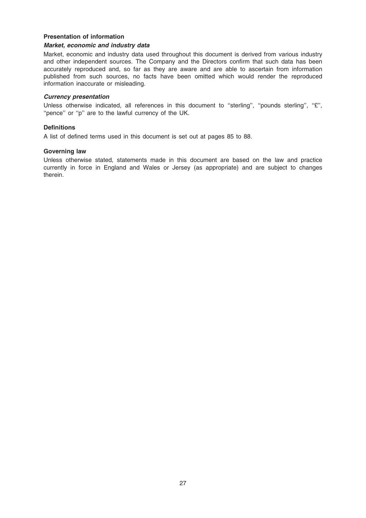#### Presentation of information

## Market, economic and industry data

Market, economic and industry data used throughout this document is derived from various industry and other independent sources. The Company and the Directors confirm that such data has been accurately reproduced and, so far as they are aware and are able to ascertain from information published from such sources, no facts have been omitted which would render the reproduced information inaccurate or misleading.

#### Currency presentation

Unless otherwise indicated, all references in this document to ''sterling'', ''pounds sterling'', ''£'', "pence" or "p" are to the lawful currency of the UK.

#### **Definitions**

A list of defined terms used in this document is set out at pages 85 to 88.

#### Governing law

Unless otherwise stated, statements made in this document are based on the law and practice currently in force in England and Wales or Jersey (as appropriate) and are subject to changes therein.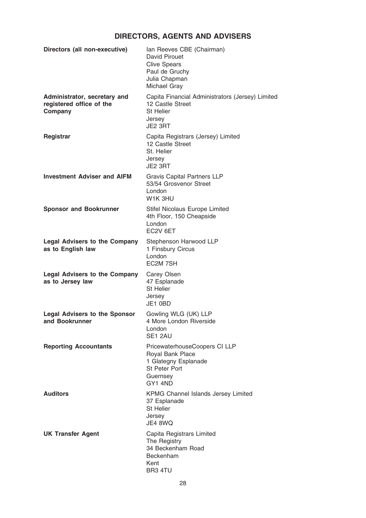# DIRECTORS, AGENTS AND ADVISERS

| Directors (all non-executive)                                       | Ian Reeves CBE (Chairman)<br>David Pirouet<br><b>Clive Spears</b><br>Paul de Gruchy<br>Julia Chapman<br>Michael Gray |
|---------------------------------------------------------------------|----------------------------------------------------------------------------------------------------------------------|
| Administrator, secretary and<br>registered office of the<br>Company | Capita Financial Administrators (Jersey) Limited<br>12 Castle Street<br><b>St Helier</b><br>Jersey<br>JE2 3RT        |
| <b>Registrar</b>                                                    | Capita Registrars (Jersey) Limited<br>12 Castle Street<br>St. Helier<br>Jersey<br>JE2 3RT                            |
| <b>Investment Adviser and AIFM</b>                                  | <b>Gravis Capital Partners LLP</b><br>53/54 Grosvenor Street<br>London<br>W1K 3HU                                    |
| <b>Sponsor and Bookrunner</b>                                       | Stifel Nicolaus Europe Limited<br>4th Floor, 150 Cheapside<br>London<br>EC <sub>2V</sub> 6ET                         |
| <b>Legal Advisers to the Company</b><br>as to English law           | Stephenson Harwood LLP<br>1 Finsbury Circus<br>London<br>EC <sub>2</sub> M 7SH                                       |
| <b>Legal Advisers to the Company</b><br>as to Jersey law            | Carey Olsen<br>47 Esplanade<br>St Helier<br>Jersey<br>JE1 0BD                                                        |
| <b>Legal Advisers to the Sponsor</b><br>and Bookrunner              | Gowling WLG (UK) LLP<br>4 More London Riverside<br>London<br>SE1 2AU                                                 |
| <b>Reporting Accountants</b>                                        | PricewaterhouseCoopers CI LLP<br>Royal Bank Place<br>1 Glategny Esplanade<br>St Peter Port<br>Guernsey<br>GY1 4ND    |
| <b>Auditors</b>                                                     | <b>KPMG Channel Islands Jersey Limited</b><br>37 Esplanade<br><b>St Helier</b><br>Jersey<br>JE4 8WQ                  |
| <b>UK Transfer Agent</b>                                            | Capita Registrars Limited<br>The Registry<br>34 Beckenham Road<br>Beckenham<br>Kent<br>BR3 4TU                       |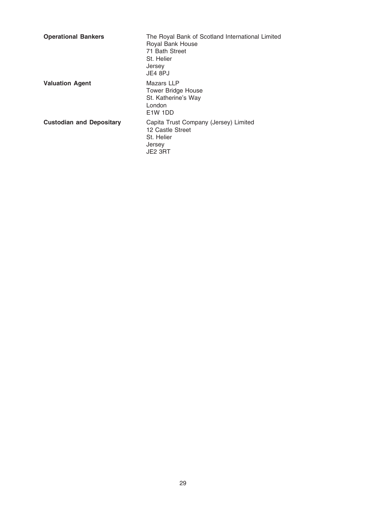| <b>Operational Bankers</b>      | The Royal Bank of Scotland International Limited<br>Royal Bank House<br>71 Bath Street<br>St. Helier<br>Jersey<br>JE4 8PJ |
|---------------------------------|---------------------------------------------------------------------------------------------------------------------------|
| <b>Valuation Agent</b>          | Mazars LLP<br>Tower Bridge House<br>St. Katherine's Way<br>London<br>E <sub>1</sub> W 1DD                                 |
| <b>Custodian and Depositary</b> | Capita Trust Company (Jersey) Limited<br>12 Castle Street<br>St. Helier<br>Jersey<br>JE2 3RT                              |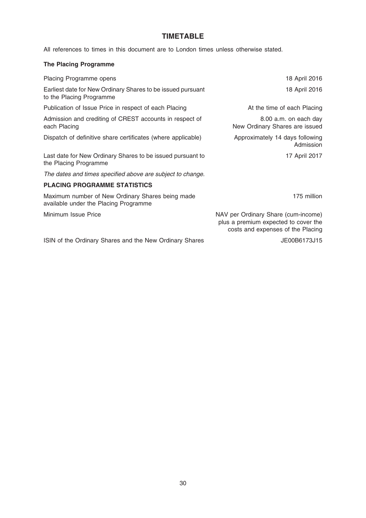# TIMETABLE

All references to times in this document are to London times unless otherwise stated.

# The Placing Programme

| Placing Programme opens                                                                   | 18 April 2016                                                                                                    |
|-------------------------------------------------------------------------------------------|------------------------------------------------------------------------------------------------------------------|
| Earliest date for New Ordinary Shares to be issued pursuant<br>to the Placing Programme   | 18 April 2016                                                                                                    |
| Publication of Issue Price in respect of each Placing                                     | At the time of each Placing                                                                                      |
| Admission and crediting of CREST accounts in respect of<br>each Placing                   | 8.00 a.m. on each day<br>New Ordinary Shares are issued                                                          |
| Dispatch of definitive share certificates (where applicable)                              | Approximately 14 days following<br>Admission                                                                     |
| Last date for New Ordinary Shares to be issued pursuant to<br>the Placing Programme       | 17 April 2017                                                                                                    |
| The dates and times specified above are subject to change.                                |                                                                                                                  |
| <b>PLACING PROGRAMME STATISTICS</b>                                                       |                                                                                                                  |
| Maximum number of New Ordinary Shares being made<br>available under the Placing Programme | 175 million                                                                                                      |
| Minimum Issue Price                                                                       | NAV per Ordinary Share (cum-income)<br>plus a premium expected to cover the<br>costs and expenses of the Placing |
| ISIN of the Ordinary Shares and the New Ordinary Shares                                   | JE00B6173J15                                                                                                     |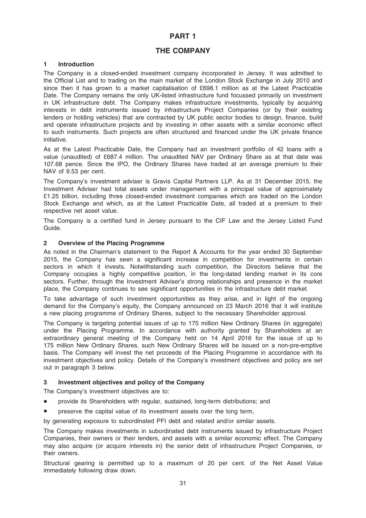# PART 1

# THE COMPANY

# **Introduction**

The Company is a closed-ended investment company incorporated in Jersey. It was admitted to the Official List and to trading on the main market of the London Stock Exchange in July 2010 and since then it has grown to a market capitalisation of £698.1 million as at the Latest Practicable Date. The Company remains the only UK-listed infrastructure fund focussed primarily on investment in UK infrastructure debt. The Company makes infrastructure investments, typically by acquiring interests in debt instruments issued by infrastructure Project Companies (or by their existing lenders or holding vehicles) that are contracted by UK public sector bodies to design, finance, build and operate infrastructure projects and by investing in other assets with a similar economic effect to such instruments. Such projects are often structured and financed under the UK private finance initiative.

As at the Latest Practicable Date, the Company had an investment portfolio of 42 loans with a value (unaudited) of £687.4 million. The unaudited NAV per Ordinary Share as at that date was 107.68 pence. Since the IPO, the Ordinary Shares have traded at an average premium to their NAV of 9.53 per cent.

The Company's investment adviser is Gravis Capital Partners LLP. As at 31 December 2015, the Investment Adviser had total assets under management with a principal value of approximately £1.25 billion, including three closed-ended investment companies which are traded on the London Stock Exchange and which, as at the Latest Practicable Date, all traded at a premium to their respective net asset value.

The Company is a certified fund in Jersey pursuant to the CIF Law and the Jersey Listed Fund Guide.

#### 2 Overview of the Placing Programme

As noted in the Chairman's statement to the Report & Accounts for the year ended 30 September 2015, the Company has seen a significant increase in competition for investments in certain sectors in which it invests. Notwithstanding such competition, the Directors believe that the Company occupies a highly competitive position, in the long-dated lending market in its core sectors. Further, through the Investment Adviser's strong relationships and presence in the market place, the Company continues to see significant opportunities in the infrastructure debt market.

To take advantage of such investment opportunities as they arise, and in light of the ongoing demand for the Company's equity, the Company announced on 23 March 2016 that it will institute a new placing programme of Ordinary Shares, subject to the necessary Shareholder approval.

The Company is targeting potential issues of up to 175 million New Ordinary Shares (in aggregate) under the Placing Programme. In accordance with authority granted by Shareholders at an extraordinary general meeting of the Company held on 14 April 2016 for the issue of up to 175 million New Ordinary Shares, such New Ordinary Shares will be issued on a non-pre-emptive basis. The Company will invest the net proceeds of the Placing Programme in accordance with its investment objectives and policy. Details of the Company's investment objectives and policy are set out in paragraph 3 below.

# 3 Investment objectives and policy of the Company

The Company's investment objectives are to:

- provide its Shareholders with regular, sustained, long-term distributions; and
- preserve the capital value of its investment assets over the long term,

by generating exposure to subordinated PFI debt and related and/or similar assets.

The Company makes investments in subordinated debt instruments issued by infrastructure Project Companies, their owners or their lenders, and assets with a similar economic effect. The Company may also acquire (or acquire interests in) the senior debt of infrastructure Project Companies, or their owners.

Structural gearing is permitted up to a maximum of 20 per cent. of the Net Asset Value immediately following draw down.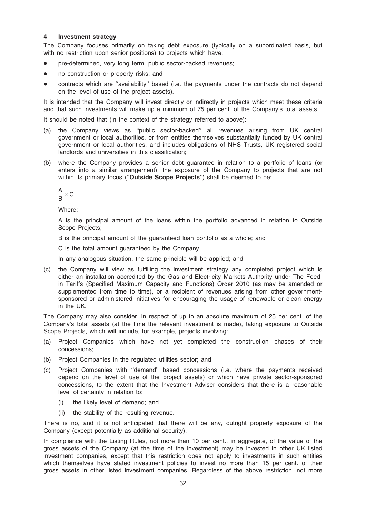#### 4 Investment strategy

The Company focuses primarily on taking debt exposure (typically on a subordinated basis, but with no restriction upon senior positions) to projects which have:

- pre-determined, very long term, public sector-backed revenues;
- no construction or property risks; and
- contracts which are "availability" based (i.e. the payments under the contracts do not depend on the level of use of the project assets).

It is intended that the Company will invest directly or indirectly in projects which meet these criteria and that such investments will make up a minimum of 75 per cent. of the Company's total assets.

It should be noted that (in the context of the strategy referred to above):

- (a) the Company views as ''public sector-backed'' all revenues arising from UK central government or local authorities, or from entities themselves substantially funded by UK central government or local authorities, and includes obligations of NHS Trusts, UK registered social landlords and universities in this classification;
- (b) where the Company provides a senior debt guarantee in relation to a portfolio of loans (or enters into a similar arrangement), the exposure of the Company to projects that are not within its primary focus ("Outside Scope Projects") shall be deemed to be:

$$
\frac{A}{B}\times C
$$

Where:

A is the principal amount of the loans within the portfolio advanced in relation to Outside Scope Projects;

B is the principal amount of the guaranteed loan portfolio as a whole; and

C is the total amount guaranteed by the Company.

In any analogous situation, the same principle will be applied; and

(c) the Company will view as fulfilling the investment strategy any completed project which is either an installation accredited by the Gas and Electricity Markets Authority under The Feedin Tariffs (Specified Maximum Capacity and Functions) Order 2010 (as may be amended or supplemented from time to time), or a recipient of revenues arising from other governmentsponsored or administered initiatives for encouraging the usage of renewable or clean energy in the UK.

The Company may also consider, in respect of up to an absolute maximum of 25 per cent. of the Company's total assets (at the time the relevant investment is made), taking exposure to Outside Scope Projects, which will include, for example, projects involving:

- (a) Project Companies which have not yet completed the construction phases of their concessions;
- (b) Project Companies in the regulated utilities sector; and
- (c) Project Companies with ''demand'' based concessions (i.e. where the payments received depend on the level of use of the project assets) or which have private sector-sponsored concessions, to the extent that the Investment Adviser considers that there is a reasonable level of certainty in relation to:
	- (i) the likely level of demand; and
	- (ii) the stability of the resulting revenue.

There is no, and it is not anticipated that there will be any, outright property exposure of the Company (except potentially as additional security).

In compliance with the Listing Rules, not more than 10 per cent., in aggregate, of the value of the gross assets of the Company (at the time of the investment) may be invested in other UK listed investment companies, except that this restriction does not apply to investments in such entities which themselves have stated investment policies to invest no more than 15 per cent. of their gross assets in other listed investment companies. Regardless of the above restriction, not more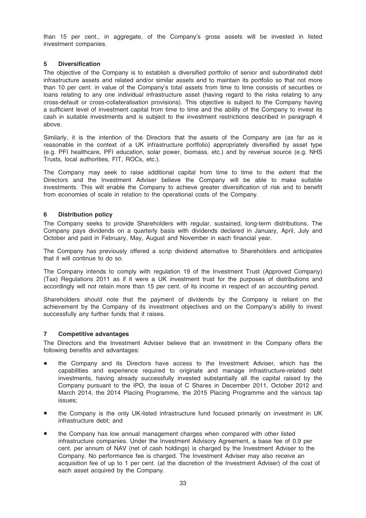than 15 per cent., in aggregate, of the Company's gross assets will be invested in listed investment companies.

# 5 Diversification

The objective of the Company is to establish a diversified portfolio of senior and subordinated debt infrastructure assets and related and/or similar assets and to maintain its portfolio so that not more than 10 per cent. in value of the Company's total assets from time to time consists of securities or loans relating to any one individual infrastructure asset (having regard to the risks relating to any cross-default or cross-collateralisation provisions). This objective is subject to the Company having a sufficient level of investment capital from time to time and the ability of the Company to invest its cash in suitable investments and is subject to the investment restrictions described in paragraph 4 above.

Similarly, it is the intention of the Directors that the assets of the Company are (as far as is reasonable in the context of a UK infrastructure portfolio) appropriately diversified by asset type (e.g. PFI healthcare, PFI education, solar power, biomass, etc.) and by revenue source (e.g. NHS Trusts, local authorities, FIT, ROCs, etc.).

The Company may seek to raise additional capital from time to time to the extent that the Directors and the Investment Adviser believe the Company will be able to make suitable investments. This will enable the Company to achieve greater diversification of risk and to benefit from economies of scale in relation to the operational costs of the Company.

# 6 Distribution policy

The Company seeks to provide Shareholders with regular, sustained, long-term distributions. The Company pays dividends on a quarterly basis with dividends declared in January, April, July and October and paid in February, May, August and November in each financial year.

The Company has previously offered a scrip dividend alternative to Shareholders and anticipates that it will continue to do so.

The Company intends to comply with regulation 19 of the Investment Trust (Approved Company) (Tax) Regulations 2011 as if it were a UK investment trust for the purposes of distributions and accordingly will not retain more than 15 per cent. of its income in respect of an accounting period.

Shareholders should note that the payment of dividends by the Company is reliant on the achievement by the Company of its investment objectives and on the Company's ability to invest successfully any further funds that it raises.

# 7 Competitive advantages

The Directors and the Investment Adviser believe that an investment in the Company offers the following benefits and advantages:

- the Company and its Directors have access to the Investment Adviser, which has the capabilities and experience required to originate and manage infrastructure-related debt investments, having already successfully invested substantially all the capital raised by the Company pursuant to the IPO, the issue of C Shares in December 2011, October 2012 and March 2014, the 2014 Placing Programme, the 2015 Placing Programme and the various tap issues;
- the Company is the only UK-listed infrastructure fund focused primarily on investment in UK infrastructure debt; and
- the Company has low annual management charges when compared with other listed infrastructure companies. Under the Investment Advisory Agreement, a base fee of 0.9 per cent. per annum of NAV (net of cash holdings) is charged by the Investment Adviser to the Company. No performance fee is charged. The Investment Adviser may also receive an acquisition fee of up to 1 per cent. (at the discretion of the Investment Adviser) of the cost of each asset acquired by the Company.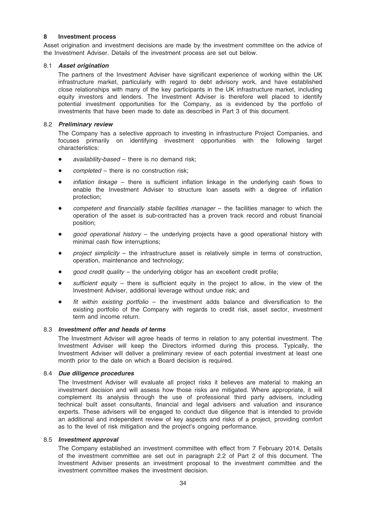# 8 Investment process

Asset origination and investment decisions are made by the investment committee on the advice of the Investment Adviser. Details of the investment process are set out below.

#### 8.1 Asset origination

The partners of the Investment Adviser have significant experience of working within the UK infrastructure market, particularly with regard to debt advisory work, and have established close relationships with many of the key participants in the UK infrastructure market, including equity investors and lenders. The Investment Adviser is therefore well placed to identify potential investment opportunities for the Company, as is evidenced by the portfolio of investments that have been made to date as described in Part 3 of this document.

#### 8.2 Preliminary review

The Company has a selective approach to investing in infrastructure Project Companies, and focuses primarily on identifying investment opportunities with the following target characteristics:

- $a$ vailability-based there is no demand risk;
- $\bullet$  *completed there is no construction risk;*
- *inflation linkage –* there is sufficient inflation linkage in the underlying cash flows to enable the Investment Adviser to structure loan assets with a degree of inflation protection;
- $\bullet$  competent and financially stable facilities manager the facilities manager to which the operation of the asset is sub-contracted has a proven track record and robust financial position;
- good operational history the underlying projects have a good operational history with minimal cash flow interruptions;
- $\bullet$  project simplicity the infrastructure asset is relatively simple in terms of construction, operation, maintenance and technology;
- $good$  credit quality the underlying obligor has an excellent credit profile;
- sufficient equity there is sufficient equity in the project to allow, in the view of the Investment Adviser, additional leverage without undue risk; and
- fit within existing portfolio the investment adds balance and diversification to the existing portfolio of the Company with regards to credit risk, asset sector, investment term and income return.

#### 8.3 Investment offer and heads of terms

The Investment Adviser will agree heads of terms in relation to any potential investment. The Investment Adviser will keep the Directors informed during this process. Typically, the Investment Adviser will deliver a preliminary review of each potential investment at least one month prior to the date on which a Board decision is required.

#### 8.4 Due diligence procedures

The Investment Adviser will evaluate all project risks it believes are material to making an investment decision and will assess how those risks are mitigated. Where appropriate, it will complement its analysis through the use of professional third party advisers, including technical built asset consultants, financial and legal advisers and valuation and insurance experts. These advisers will be engaged to conduct due diligence that is intended to provide an additional and independent review of key aspects and risks of a project, providing comfort as to the level of risk mitigation and the project's ongoing performance.

#### 8.5 Investment approval

The Company established an investment committee with effect from 7 February 2014. Details of the investment committee are set out in paragraph 2.2 of Part 2 of this document. The Investment Adviser presents an investment proposal to the investment committee and the investment committee makes the investment decision.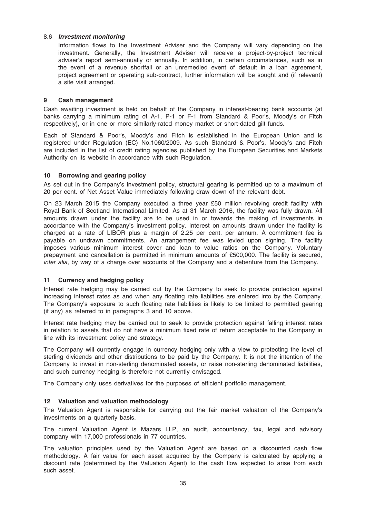#### 8.6 Investment monitoring

Information flows to the Investment Adviser and the Company will vary depending on the investment. Generally, the Investment Adviser will receive a project-by-project technical adviser's report semi-annually or annually. In addition, in certain circumstances, such as in the event of a revenue shortfall or an unremedied event of default in a loan agreement, project agreement or operating sub-contract, further information will be sought and (if relevant) a site visit arranged.

#### 9 Cash management

Cash awaiting investment is held on behalf of the Company in interest-bearing bank accounts (at banks carrying a minimum rating of A-1, P-1 or F-1 from Standard & Poor's, Moody's or Fitch respectively), or in one or more similarly-rated money market or short-dated gilt funds.

Each of Standard & Poor's, Moody's and Fitch is established in the European Union and is registered under Regulation (EC) No.1060/2009. As such Standard & Poor's, Moody's and Fitch are included in the list of credit rating agencies published by the European Securities and Markets Authority on its website in accordance with such Regulation.

#### 10 Borrowing and gearing policy

As set out in the Company's investment policy, structural gearing is permitted up to a maximum of 20 per cent. of Net Asset Value immediately following draw down of the relevant debt.

On 23 March 2015 the Company executed a three year £50 million revolving credit facility with Royal Bank of Scotland International Limited. As at 31 March 2016, the facility was fully drawn. All amounts drawn under the facility are to be used in or towards the making of investments in accordance with the Company's investment policy. Interest on amounts drawn under the facility is charged at a rate of LIBOR plus a margin of 2.25 per cent. per annum. A commitment fee is payable on undrawn commitments. An arrangement fee was levied upon signing. The facility imposes various minimum interest cover and loan to value ratios on the Company. Voluntary prepayment and cancellation is permitted in minimum amounts of £500,000. The facility is secured, inter alia, by way of a charge over accounts of the Company and a debenture from the Company.

#### 11 Currency and hedging policy

Interest rate hedging may be carried out by the Company to seek to provide protection against increasing interest rates as and when any floating rate liabilities are entered into by the Company. The Company's exposure to such floating rate liabilities is likely to be limited to permitted gearing (if any) as referred to in paragraphs 3 and 10 above.

Interest rate hedging may be carried out to seek to provide protection against falling interest rates in relation to assets that do not have a minimum fixed rate of return acceptable to the Company in line with its investment policy and strategy.

The Company will currently engage in currency hedging only with a view to protecting the level of sterling dividends and other distributions to be paid by the Company. It is not the intention of the Company to invest in non-sterling denominated assets, or raise non-sterling denominated liabilities, and such currency hedging is therefore not currently envisaged.

The Company only uses derivatives for the purposes of efficient portfolio management.

# 12 Valuation and valuation methodology

The Valuation Agent is responsible for carrying out the fair market valuation of the Company's investments on a quarterly basis.

The current Valuation Agent is Mazars LLP, an audit, accountancy, tax, legal and advisory company with 17,000 professionals in 77 countries.

The valuation principles used by the Valuation Agent are based on a discounted cash flow methodology. A fair value for each asset acquired by the Company is calculated by applying a discount rate (determined by the Valuation Agent) to the cash flow expected to arise from each such asset.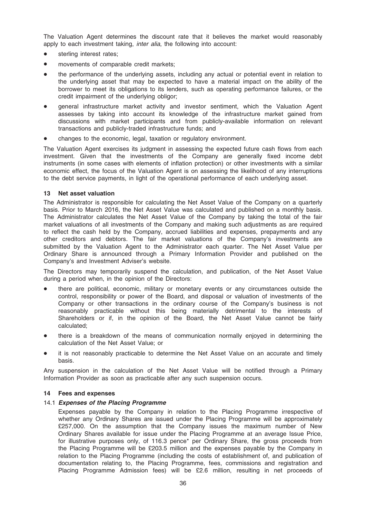The Valuation Agent determines the discount rate that it believes the market would reasonably apply to each investment taking, inter alia, the following into account:

- sterling interest rates;
- movements of comparable credit markets;
- the performance of the underlying assets, including any actual or potential event in relation to the underlying asset that may be expected to have a material impact on the ability of the borrower to meet its obligations to its lenders, such as operating performance failures, or the credit impairment of the underlying obligor;
- general infrastructure market activity and investor sentiment, which the Valuation Agent assesses by taking into account its knowledge of the infrastructure market gained from discussions with market participants and from publicly-available information on relevant transactions and publicly-traded infrastructure funds; and
- changes to the economic, legal, taxation or regulatory environment.

The Valuation Agent exercises its judgment in assessing the expected future cash flows from each investment. Given that the investments of the Company are generally fixed income debt instruments (in some cases with elements of inflation protection) or other investments with a similar economic effect, the focus of the Valuation Agent is on assessing the likelihood of any interruptions to the debt service payments, in light of the operational performance of each underlying asset.

## 13 Net asset valuation

The Administrator is responsible for calculating the Net Asset Value of the Company on a quarterly basis. Prior to March 2016, the Net Asset Value was calculated and published on a monthly basis. The Administrator calculates the Net Asset Value of the Company by taking the total of the fair market valuations of all investments of the Company and making such adjustments as are required to reflect the cash held by the Company, accrued liabilities and expenses, prepayments and any other creditors and debtors. The fair market valuations of the Company's investments are submitted by the Valuation Agent to the Administrator each quarter. The Net Asset Value per Ordinary Share is announced through a Primary Information Provider and published on the Company's and Investment Adviser's website.

The Directors may temporarily suspend the calculation, and publication, of the Net Asset Value during a period when, in the opinion of the Directors:

- there are political, economic, military or monetary events or any circumstances outside the control, responsibility or power of the Board, and disposal or valuation of investments of the Company or other transactions in the ordinary course of the Company's business is not reasonably practicable without this being materially detrimental to the interests of Shareholders or if, in the opinion of the Board, the Net Asset Value cannot be fairly calculated;
- there is a breakdown of the means of communication normally enjoyed in determining the calculation of the Net Asset Value; or
- it is not reasonably practicable to determine the Net Asset Value on an accurate and timely basis.

Any suspension in the calculation of the Net Asset Value will be notified through a Primary Information Provider as soon as practicable after any such suspension occurs.

#### 14 Fees and expenses

# 14.1 Expenses of the Placing Programme

Expenses payable by the Company in relation to the Placing Programme irrespective of whether any Ordinary Shares are issued under the Placing Programme will be approximately £257,000. On the assumption that the Company issues the maximum number of New Ordinary Shares available for issue under the Placing Programme at an average Issue Price, for illustrative purposes only, of 116.3 pence\* per Ordinary Share, the gross proceeds from the Placing Programme will be £203.5 million and the expenses payable by the Company in relation to the Placing Programme (including the costs of establishment of, and publication of documentation relating to, the Placing Programme, fees, commissions and registration and Placing Programme Admission fees) will be £2.6 million, resulting in net proceeds of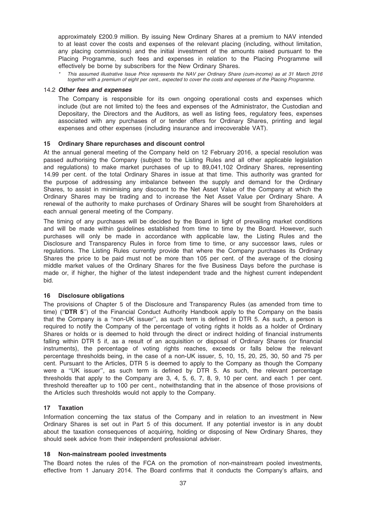approximately £200.9 million. By issuing New Ordinary Shares at a premium to NAV intended to at least cover the costs and expenses of the relevant placing (including, without limitation, any placing commissions) and the initial investment of the amounts raised pursuant to the Placing Programme, such fees and expenses in relation to the Placing Programme will effectively be borne by subscribers for the New Ordinary Shares.

This assumed illustrative Issue Price represents the NAV per Ordinary Share (cum-income) as at 31 March 2016 together with a premium of eight per cent., expected to cover the costs and expenses of the Placing Programme.

#### 14.2 Other fees and expenses

The Company is responsible for its own ongoing operational costs and expenses which include (but are not limited to) the fees and expenses of the Administrator, the Custodian and Depositary, the Directors and the Auditors, as well as listing fees, regulatory fees, expenses associated with any purchases of or tender offers for Ordinary Shares, printing and legal expenses and other expenses (including insurance and irrecoverable VAT).

#### 15 Ordinary Share repurchases and discount control

At the annual general meeting of the Company held on 12 February 2016, a special resolution was passed authorising the Company (subject to the Listing Rules and all other applicable legislation and regulations) to make market purchases of up to 89,041,102 Ordinary Shares, representing 14.99 per cent. of the total Ordinary Shares in issue at that time. This authority was granted for the purpose of addressing any imbalance between the supply and demand for the Ordinary Shares, to assist in minimising any discount to the Net Asset Value of the Company at which the Ordinary Shares may be trading and to increase the Net Asset Value per Ordinary Share. A renewal of the authority to make purchases of Ordinary Shares will be sought from Shareholders at each annual general meeting of the Company.

The timing of any purchases will be decided by the Board in light of prevailing market conditions and will be made within guidelines established from time to time by the Board. However, such purchases will only be made in accordance with applicable law, the Listing Rules and the Disclosure and Transparency Rules in force from time to time, or any successor laws, rules or regulations. The Listing Rules currently provide that where the Company purchases its Ordinary Shares the price to be paid must not be more than 105 per cent. of the average of the closing middle market values of the Ordinary Shares for the five Business Days before the purchase is made or, if higher, the higher of the latest independent trade and the highest current independent bid.

#### 16 Disclosure obligations

The provisions of Chapter 5 of the Disclosure and Transparency Rules (as amended from time to time) ("DTR 5") of the Financial Conduct Authority Handbook apply to the Company on the basis that the Company is a ''non-UK issuer'', as such term is defined in DTR 5. As such, a person is required to notify the Company of the percentage of voting rights it holds as a holder of Ordinary Shares or holds or is deemed to hold through the direct or indirect holding of financial instruments falling within DTR 5 if, as a result of an acquisition or disposal of Ordinary Shares (or financial instruments), the percentage of voting rights reaches, exceeds or falls below the relevant percentage thresholds being, in the case of a non-UK issuer, 5, 10, 15, 20, 25, 30, 50 and 75 per cent. Pursuant to the Articles, DTR 5 is deemed to apply to the Company as though the Company were a ''UK issuer'', as such term is defined by DTR 5. As such, the relevant percentage thresholds that apply to the Company are 3, 4, 5, 6, 7, 8, 9, 10 per cent. and each 1 per cent. threshold thereafter up to 100 per cent., notwithstanding that in the absence of those provisions of the Articles such thresholds would not apply to the Company.

#### 17 Taxation

Information concerning the tax status of the Company and in relation to an investment in New Ordinary Shares is set out in Part 5 of this document. If any potential investor is in any doubt about the taxation consequences of acquiring, holding or disposing of New Ordinary Shares, they should seek advice from their independent professional adviser.

#### 18 Non-mainstream pooled investments

The Board notes the rules of the FCA on the promotion of non-mainstream pooled investments, effective from 1 January 2014. The Board confirms that it conducts the Company's affairs, and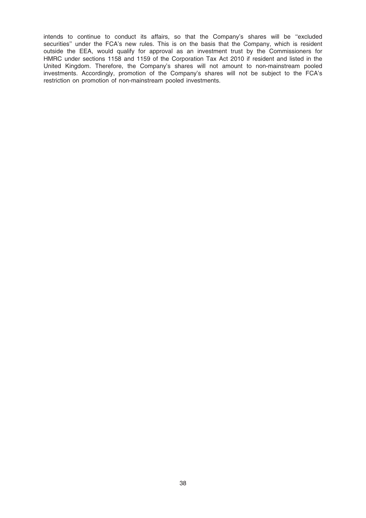intends to continue to conduct its affairs, so that the Company's shares will be ''excluded securities" under the FCA's new rules. This is on the basis that the Company, which is resident outside the EEA, would qualify for approval as an investment trust by the Commissioners for HMRC under sections 1158 and 1159 of the Corporation Tax Act 2010 if resident and listed in the United Kingdom. Therefore, the Company's shares will not amount to non-mainstream pooled investments. Accordingly, promotion of the Company's shares will not be subject to the FCA's restriction on promotion of non-mainstream pooled investments.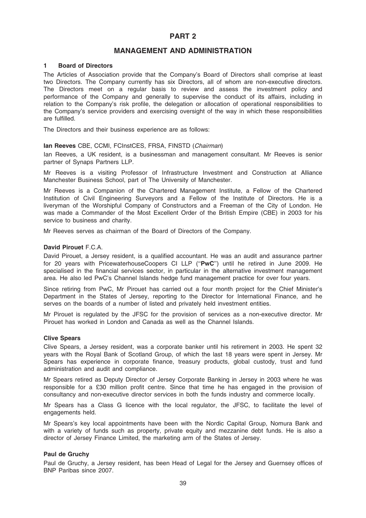# PART 2

# MANAGEMENT AND ADMINISTRATION

#### 1 Board of Directors

The Articles of Association provide that the Company's Board of Directors shall comprise at least two Directors. The Company currently has six Directors, all of whom are non-executive directors. The Directors meet on a regular basis to review and assess the investment policy and performance of the Company and generally to supervise the conduct of its affairs, including in relation to the Company's risk profile, the delegation or allocation of operational responsibilities to the Company's service providers and exercising oversight of the way in which these responsibilities are fulfilled.

The Directors and their business experience are as follows:

### Ian Reeves CBE, CCMI, FCInstCES, FRSA, FINSTD (Chairman)

Ian Reeves, a UK resident, is a businessman and management consultant. Mr Reeves is senior partner of Synaps Partners LLP.

Mr Reeves is a visiting Professor of Infrastructure Investment and Construction at Alliance Manchester Business School, part of The University of Manchester.

Mr Reeves is a Companion of the Chartered Management Institute, a Fellow of the Chartered Institution of Civil Engineering Surveyors and a Fellow of the Institute of Directors. He is a liveryman of the Worshipful Company of Constructors and a Freeman of the City of London. He was made a Commander of the Most Excellent Order of the British Empire (CBE) in 2003 for his service to business and charity.

Mr Reeves serves as chairman of the Board of Directors of the Company.

#### David Pirouet F.C.A.

David Pirouet, a Jersey resident, is a qualified accountant. He was an audit and assurance partner for 20 years with PricewaterhouseCoopers CI LLP ("PwC") until he retired in June 2009. He specialised in the financial services sector, in particular in the alternative investment management area. He also led PwC's Channel Islands hedge fund management practice for over four years.

Since retiring from PwC, Mr Pirouet has carried out a four month project for the Chief Minister's Department in the States of Jersey, reporting to the Director for International Finance, and he serves on the boards of a number of listed and privately held investment entities.

Mr Pirouet is regulated by the JFSC for the provision of services as a non-executive director. Mr Pirouet has worked in London and Canada as well as the Channel Islands.

#### Clive Spears

Clive Spears, a Jersey resident, was a corporate banker until his retirement in 2003. He spent 32 years with the Royal Bank of Scotland Group, of which the last 18 years were spent in Jersey. Mr Spears has experience in corporate finance, treasury products, global custody, trust and fund administration and audit and compliance.

Mr Spears retired as Deputy Director of Jersey Corporate Banking in Jersey in 2003 where he was responsible for a £30 million profit centre. Since that time he has engaged in the provision of consultancy and non-executive director services in both the funds industry and commerce locally.

Mr Spears has a Class G licence with the local regulator, the JFSC, to facilitate the level of engagements held.

Mr Spears's key local appointments have been with the Nordic Capital Group, Nomura Bank and with a variety of funds such as property, private equity and mezzanine debt funds. He is also a director of Jersey Finance Limited, the marketing arm of the States of Jersey.

### Paul de Gruchy

Paul de Gruchy, a Jersey resident, has been Head of Legal for the Jersey and Guernsey offices of BNP Paribas since 2007.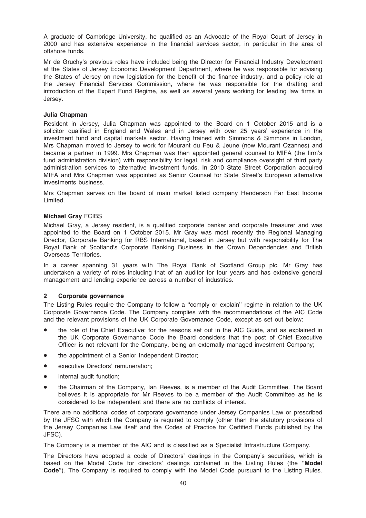A graduate of Cambridge University, he qualified as an Advocate of the Royal Court of Jersey in 2000 and has extensive experience in the financial services sector, in particular in the area of offshore funds.

Mr de Gruchy's previous roles have included being the Director for Financial Industry Development at the States of Jersey Economic Development Department, where he was responsible for advising the States of Jersey on new legislation for the benefit of the finance industry, and a policy role at the Jersey Financial Services Commission, where he was responsible for the drafting and introduction of the Expert Fund Regime, as well as several years working for leading law firms in Jersey.

## Julia Chapman

Resident in Jersey, Julia Chapman was appointed to the Board on 1 October 2015 and is a solicitor qualified in England and Wales and in Jersey with over 25 years' experience in the investment fund and capital markets sector. Having trained with Simmons & Simmons in London, Mrs Chapman moved to Jersey to work for Mourant du Feu & Jeune (now Mourant Ozannes) and became a partner in 1999. Mrs Chapman was then appointed general counsel to MIFA (the firm's fund administration division) with responsibility for legal, risk and compliance oversight of third party administration services to alternative investment funds. In 2010 State Street Corporation acquired MIFA and Mrs Chapman was appointed as Senior Counsel for State Street's European alternative investments business.

Mrs Chapman serves on the board of main market listed company Henderson Far East Income Limited.

## Michael Gray FCIBS

Michael Gray, a Jersey resident, is a qualified corporate banker and corporate treasurer and was appointed to the Board on 1 October 2015. Mr Gray was most recently the Regional Managing Director, Corporate Banking for RBS International, based in Jersey but with responsibility for The Royal Bank of Scotland's Corporate Banking Business in the Crown Dependencies and British Overseas Territories.

In a career spanning 31 years with The Royal Bank of Scotland Group plc. Mr Gray has undertaken a variety of roles including that of an auditor for four years and has extensive general management and lending experience across a number of industries.

# 2 Corporate governance

The Listing Rules require the Company to follow a "comply or explain" regime in relation to the UK Corporate Governance Code. The Company complies with the recommendations of the AIC Code and the relevant provisions of the UK Corporate Governance Code, except as set out below:

- the role of the Chief Executive: for the reasons set out in the AIC Guide, and as explained in the UK Corporate Governance Code the Board considers that the post of Chief Executive Officer is not relevant for the Company, being an externally managed investment Company;
- the appointment of a Senior Independent Director;
- executive Directors' remuneration;
- internal audit function:
- the Chairman of the Company, Ian Reeves, is a member of the Audit Committee. The Board believes it is appropriate for Mr Reeves to be a member of the Audit Committee as he is considered to be independent and there are no conflicts of interest.

There are no additional codes of corporate governance under Jersey Companies Law or prescribed by the JFSC with which the Company is required to comply (other than the statutory provisions of the Jersey Companies Law itself and the Codes of Practice for Certified Funds published by the JFSC).

The Company is a member of the AIC and is classified as a Specialist Infrastructure Company.

The Directors have adopted a code of Directors' dealings in the Company's securities, which is based on the Model Code for directors' dealings contained in the Listing Rules (the ''Model Code"). The Company is required to comply with the Model Code pursuant to the Listing Rules.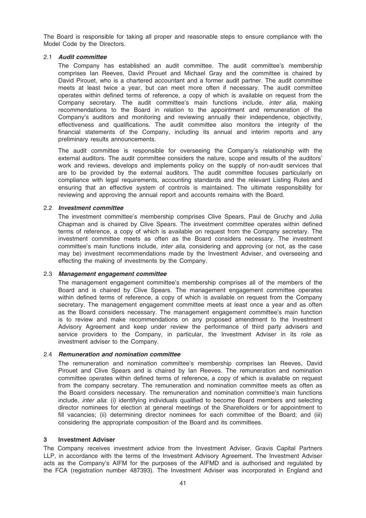The Board is responsible for taking all proper and reasonable steps to ensure compliance with the Model Code by the Directors.

## 2.1 Audit committee

The Company has established an audit committee. The audit committee's membership comprises Ian Reeves, David Pirouet and Michael Gray and the committee is chaired by David Pirouet, who is a chartered accountant and a former audit partner. The audit committee meets at least twice a year, but can meet more often if necessary. The audit committee operates within defined terms of reference, a copy of which is available on request from the Company secretary. The audit committee's main functions include, *inter alia*, making recommendations to the Board in relation to the appointment and remuneration of the Company's auditors and monitoring and reviewing annually their independence, objectivity, effectiveness and qualifications. The audit committee also monitors the integrity of the financial statements of the Company, including its annual and interim reports and any preliminary results announcements.

The audit committee is responsible for overseeing the Company's relationship with the external auditors. The audit committee considers the nature, scope and results of the auditors' work and reviews, develops and implements policy on the supply of non-audit services that are to be provided by the external auditors. The audit committee focuses particularly on compliance with legal requirements, accounting standards and the relevant Listing Rules and ensuring that an effective system of controls is maintained. The ultimate responsibility for reviewing and approving the annual report and accounts remains with the Board.

#### 2.2 Investment committee

The investment committee's membership comprises Clive Spears, Paul de Gruchy and Julia Chapman and is chaired by Clive Spears. The investment committee operates within defined terms of reference, a copy of which is available on request from the Company secretary. The investment committee meets as often as the Board considers necessary. The investment committee's main functions include, *inter alia*, considering and approving (or not, as the case may be) investment recommendations made by the Investment Adviser, and overseeing and effecting the making of investments by the Company.

#### 2.3 Management engagement committee

The management engagement committee's membership comprises all of the members of the Board and is chaired by Clive Spears. The management engagement committee operates within defined terms of reference, a copy of which is available on request from the Company secretary. The management engagement committee meets at least once a year and as often as the Board considers necessary. The management engagement committee's main function is to review and make recommendations on any proposed amendment to the Investment Advisory Agreement and keep under review the performance of third party advisers and service providers to the Company, in particular, the Investment Adviser in its role as investment adviser to the Company.

#### 2.4 Remuneration and nomination committee

The remuneration and nomination committee's membership comprises Ian Reeves, David Pirouet and Clive Spears and is chaired by Ian Reeves. The remuneration and nomination committee operates within defined terms of reference, a copy of which is available on request from the company secretary. The remuneration and nomination committee meets as often as the Board considers necessary. The remuneration and nomination committee's main functions include, inter alia: (i) identifying individuals qualified to become Board members and selecting director nominees for election at general meetings of the Shareholders or for appointment to fill vacancies; (ii) determining director nominees for each committee of the Board; and (iii) considering the appropriate composition of the Board and its committees.

#### 3 Investment Adviser

The Company receives investment advice from the Investment Adviser, Gravis Capital Partners LLP, in accordance with the terms of the Investment Advisory Agreement. The Investment Adviser acts as the Company's AIFM for the purposes of the AIFMD and is authorised and regulated by the FCA (registration number 487393). The Investment Adviser was incorporated in England and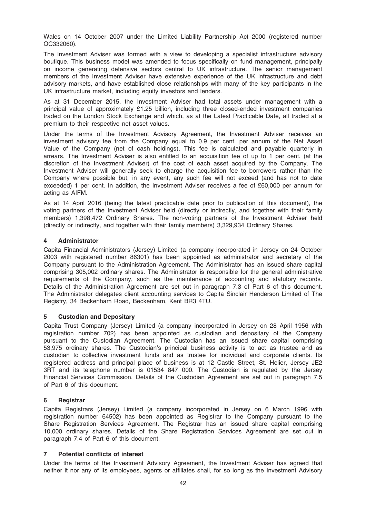Wales on 14 October 2007 under the Limited Liability Partnership Act 2000 (registered number OC332060).

The Investment Adviser was formed with a view to developing a specialist infrastructure advisory boutique. This business model was amended to focus specifically on fund management, principally on income generating defensive sectors central to UK infrastructure. The senior management members of the Investment Adviser have extensive experience of the UK infrastructure and debt advisory markets, and have established close relationships with many of the key participants in the UK infrastructure market, including equity investors and lenders.

As at 31 December 2015, the Investment Adviser had total assets under management with a principal value of approximately £1.25 billion, including three closed-ended investment companies traded on the London Stock Exchange and which, as at the Latest Practicable Date, all traded at a premium to their respective net asset values.

Under the terms of the Investment Advisory Agreement, the Investment Adviser receives an investment advisory fee from the Company equal to 0.9 per cent. per annum of the Net Asset Value of the Company (net of cash holdings). This fee is calculated and payable quarterly in arrears. The Investment Adviser is also entitled to an acquisition fee of up to 1 per cent. (at the discretion of the Investment Adviser) of the cost of each asset acquired by the Company. The Investment Adviser will generally seek to charge the acquisition fee to borrowers rather than the Company where possible but, in any event, any such fee will not exceed (and has not to date exceeded) 1 per cent. In addition, the Investment Adviser receives a fee of £60,000 per annum for acting as AIFM.

As at 14 April 2016 (being the latest practicable date prior to publication of this document), the voting partners of the Investment Adviser held (directly or indirectly, and together with their family members) 1,398,472 Ordinary Shares. The non-voting partners of the Investment Adviser held (directly or indirectly, and together with their family members) 3,329,934 Ordinary Shares.

# 4 Administrator

Capita Financial Administrators (Jersey) Limited (a company incorporated in Jersey on 24 October 2003 with registered number 86301) has been appointed as administrator and secretary of the Company pursuant to the Administration Agreement. The Administrator has an issued share capital comprising 305,002 ordinary shares. The Administrator is responsible for the general administrative requirements of the Company, such as the maintenance of accounting and statutory records. Details of the Administration Agreement are set out in paragraph 7.3 of Part 6 of this document. The Administrator delegates client accounting services to Capita Sinclair Henderson Limited of The Registry, 34 Beckenham Road, Beckenham, Kent BR3 4TU.

# 5 Custodian and Depositary

Capita Trust Company (Jersey) Limited (a company incorporated in Jersey on 28 April 1956 with registration number 702) has been appointed as custodian and depositary of the Company pursuant to the Custodian Agreement. The Custodian has an issued share capital comprising 53,975 ordinary shares. The Custodian's principal business activity is to act as trustee and as custodian to collective investment funds and as trustee for individual and corporate clients. Its registered address and principal place of business is at 12 Castle Street, St. Helier, Jersey JE2 3RT and its telephone number is 01534 847 000. The Custodian is regulated by the Jersey Financial Services Commission. Details of the Custodian Agreement are set out in paragraph 7.5 of Part 6 of this document.

# 6 Registrar

Capita Registrars (Jersey) Limited (a company incorporated in Jersey on 6 March 1996 with registration number 64502) has been appointed as Registrar to the Company pursuant to the Share Registration Services Agreement. The Registrar has an issued share capital comprising 10,000 ordinary shares. Details of the Share Registration Services Agreement are set out in paragraph 7.4 of Part 6 of this document.

# 7 Potential conflicts of interest

Under the terms of the Investment Advisory Agreement, the Investment Adviser has agreed that neither it nor any of its employees, agents or affiliates shall, for so long as the Investment Advisory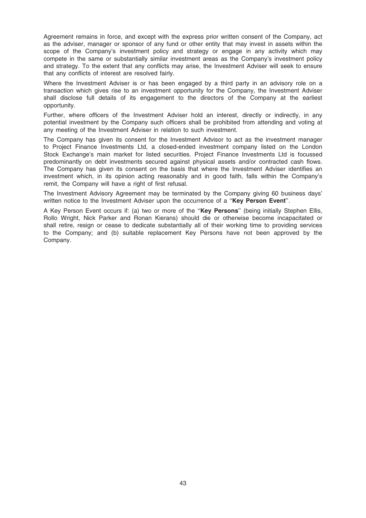Agreement remains in force, and except with the express prior written consent of the Company, act as the adviser, manager or sponsor of any fund or other entity that may invest in assets within the scope of the Company's investment policy and strategy or engage in any activity which may compete in the same or substantially similar investment areas as the Company's investment policy and strategy. To the extent that any conflicts may arise, the Investment Adviser will seek to ensure that any conflicts of interest are resolved fairly.

Where the Investment Adviser is or has been engaged by a third party in an advisory role on a transaction which gives rise to an investment opportunity for the Company, the Investment Adviser shall disclose full details of its engagement to the directors of the Company at the earliest opportunity.

Further, where officers of the Investment Adviser hold an interest, directly or indirectly, in any potential investment by the Company such officers shall be prohibited from attending and voting at any meeting of the Investment Adviser in relation to such investment.

The Company has given its consent for the Investment Advisor to act as the investment manager to Project Finance Investments Ltd, a closed-ended investment company listed on the London Stock Exchange's main market for listed securities. Project Finance Investments Ltd is focussed predominantly on debt investments secured against physical assets and/or contracted cash flows. The Company has given its consent on the basis that where the Investment Adviser identifies an investment which, in its opinion acting reasonably and in good faith, falls within the Company's remit, the Company will have a right of first refusal.

The Investment Advisory Agreement may be terminated by the Company giving 60 business days' written notice to the Investment Adviser upon the occurrence of a "Key Person Event".

A Key Person Event occurs if: (a) two or more of the "Key Persons" (being initially Stephen Ellis, Rollo Wright, Nick Parker and Ronan Kierans) should die or otherwise become incapacitated or shall retire, resign or cease to dedicate substantially all of their working time to providing services to the Company; and (b) suitable replacement Key Persons have not been approved by the Company.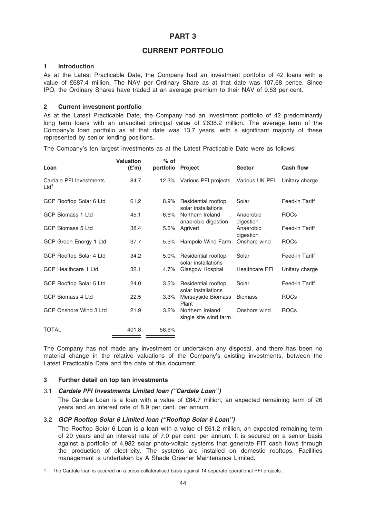# PART 3

# CURRENT PORTFOLIO

## 1 Introduction

As at the Latest Practicable Date, the Company had an investment portfolio of 42 loans with a value of £687.4 million. The NAV per Ordinary Share as at that date was 107.68 pence. Since IPO, the Ordinary Shares have traded at an average premium to their NAV of 9.53 per cent.

## 2 Current investment portfolio

As at the Latest Practicable Date, the Company had an investment portfolio of 42 predominantly long term loans with an unaudited principal value of £638.2 million. The average term of the Company's loan portfolio as at that date was 13.7 years, with a significant majority of these represented by senior lending positions.

The Company's ten largest investments as at the Latest Practicable Date were as follows:

| Loan                                        | <b>Valuation</b><br>(E'm) | $%$ of<br>portfolio | <b>Project</b>                             | <b>Sector</b>          | <b>Cash flow</b> |
|---------------------------------------------|---------------------------|---------------------|--------------------------------------------|------------------------|------------------|
| Cardale PFI Investments<br>Ltd <sup>1</sup> | 84.7                      | 12.3%               | Various PFI projects                       | Various UK PFI         | Unitary charge   |
| GCP Rooftop Solar 6 Ltd                     | 61.2                      | 8.9%                | Residential rooftop<br>solar installations | Solar                  | Feed-in Tariff   |
| <b>GCP Biomass 1 Ltd</b>                    | 45.1                      | 6.6%                | Northern Ireland<br>anaerobic digestion    | Anaerobic<br>digestion | <b>ROCs</b>      |
| GCP Biomass 5 Ltd                           | 38.4                      | $5.6\%$             | Agrivert                                   | Anaerobic<br>digestion | Feed-in Tariff   |
| GCP Green Energy 1 Ltd                      | 37.7                      | 5.5%                | Hampole Wind Farm                          | Onshore wind           | <b>ROCs</b>      |
| GCP Rooftop Solar 4 Ltd                     | 34.2                      | 5.0%                | Residential rooftop<br>solar installations | Solar                  | Feed-in Tariff   |
| <b>GCP Healthcare 1 Ltd</b>                 | 32.1                      | 4.7%                | Glasgow Hospital                           | <b>Healthcare PFI</b>  | Unitary charge   |
| GCP Rooftop Solar 5 Ltd                     | 24.0                      | 3.5%                | Residential rooftop<br>solar installations | Solar                  | Feed-in Tariff   |
| <b>GCP Biomass 4 Ltd</b>                    | 22.5                      | $3.3\%$             | Merseyside Biomass<br>Plant                | <b>Biomass</b>         | <b>ROCs</b>      |
| GCP Onshore Wind 3 Ltd                      | 21.9                      | 3.2%                | Northern Ireland<br>single site wind farm  | Onshore wind           | <b>ROCs</b>      |
| TOTAL                                       | 401.8                     | 58.6%               |                                            |                        |                  |

The Company has not made any investment or undertaken any disposal, and there has been no material change in the relative valuations of the Company's existing investments, between the Latest Practicable Date and the date of this document.

## 3 Further detail on top ten investments

# 3.1 Cardale PFI Investments Limited loan (''Cardale Loan'')

The Cardale Loan is a loan with a value of £84.7 million, an expected remaining term of 26 years and an interest rate of 8.9 per cent. per annum.

# 3.2 GCP Rooftop Solar 6 Limited loan (''Rooftop Solar 6 Loan'')

The Rooftop Solar 6 Loan is a loan with a value of £61.2 million, an expected remaining term of 20 years and an interest rate of 7.0 per cent. per annum. It is secured on a senior basis against a portfolio of 4,982 solar photo-voltaic systems that generate FIT cash flows through the production of electricity. The systems are installed on domestic rooftops. Facilities management is undertaken by A Shade Greener Maintenance Limited.

<sup>1</sup> The Cardale loan is secured on a cross-collateralised basis against 14 separate operational PFI projects.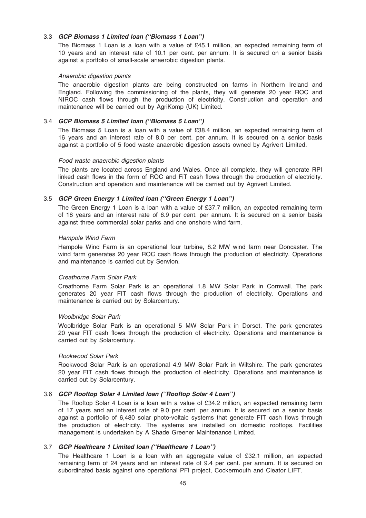# 3.3 GCP Biomass 1 Limited loan (''Biomass 1 Loan'')

The Biomass 1 Loan is a loan with a value of £45.1 million, an expected remaining term of 10 years and an interest rate of 10.1 per cent. per annum. It is secured on a senior basis against a portfolio of small-scale anaerobic digestion plants.

#### Anaerobic digestion plants

The anaerobic digestion plants are being constructed on farms in Northern Ireland and England. Following the commissioning of the plants, they will generate 20 year ROC and NIROC cash flows through the production of electricity. Construction and operation and maintenance will be carried out by AgriKomp (UK) Limited.

## 3.4 GCP Biomass 5 Limited loan (''Biomass 5 Loan'')

The Biomass 5 Loan is a loan with a value of £38.4 million, an expected remaining term of 16 years and an interest rate of 8.0 per cent. per annum. It is secured on a senior basis against a portfolio of 5 food waste anaerobic digestion assets owned by Agrivert Limited.

## Food waste anaerobic digestion plants

The plants are located across England and Wales. Once all complete, they will generate RPI linked cash flows in the form of ROC and FiT cash flows through the production of electricity. Construction and operation and maintenance will be carried out by Agrivert Limited.

# 3.5 GCP Green Energy 1 Limited loan (''Green Energy 1 Loan'')

The Green Energy 1 Loan is a loan with a value of £37.7 million, an expected remaining term of 18 years and an interest rate of 6.9 per cent. per annum. It is secured on a senior basis against three commercial solar parks and one onshore wind farm.

#### Hampole Wind Farm

Hampole Wind Farm is an operational four turbine, 8.2 MW wind farm near Doncaster. The wind farm generates 20 year ROC cash flows through the production of electricity. Operations and maintenance is carried out by Senvion.

#### Creathorne Farm Solar Park

Creathorne Farm Solar Park is an operational 1.8 MW Solar Park in Cornwall. The park generates 20 year FIT cash flows through the production of electricity. Operations and maintenance is carried out by Solarcentury.

#### Woolbridge Solar Park

Woolbridge Solar Park is an operational 5 MW Solar Park in Dorset. The park generates 20 year FIT cash flows through the production of electricity. Operations and maintenance is carried out by Solarcentury.

#### Rookwood Solar Park

Rookwood Solar Park is an operational 4.9 MW Solar Park in Wiltshire. The park generates 20 year FIT cash flows through the production of electricity. Operations and maintenance is carried out by Solarcentury.

# 3.6 GCP Rooftop Solar 4 Limited loan (''Rooftop Solar 4 Loan'')

The Rooftop Solar 4 Loan is a loan with a value of £34.2 million, an expected remaining term of 17 years and an interest rate of 9.0 per cent. per annum. It is secured on a senior basis against a portfolio of 6,480 solar photo-voltaic systems that generate FIT cash flows through the production of electricity. The systems are installed on domestic rooftops. Facilities management is undertaken by A Shade Greener Maintenance Limited.

#### 3.7 GCP Healthcare 1 Limited loan (''Healthcare 1 Loan'')

The Healthcare 1 Loan is a loan with an aggregate value of £32.1 million, an expected remaining term of 24 years and an interest rate of 9.4 per cent. per annum. It is secured on subordinated basis against one operational PFI project, Cockermouth and Cleator LIFT.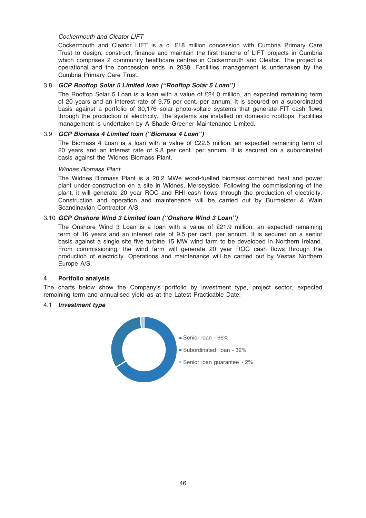# Cockermouth and Cleator LIFT

Cockermouth and Cleator LIFT is a c. £18 million concession with Cumbria Primary Care Trust to design, construct, finance and maintain the first tranche of LIFT projects in Cumbria which comprises 2 community healthcare centres in Cockermouth and Cleator. The project is operational and the concession ends in 2038. Facilities management is undertaken by the Cumbria Primary Care Trust.

# 3.8 GCP Rooftop Solar 5 Limited loan (''Rooftop Solar 5 Loan'')

The Rooftop Solar 5 Loan is a loan with a value of £24.0 million, an expected remaining term of 20 years and an interest rate of 9.75 per cent. per annum. It is secured on a subordinated basis against a portfolio of 30,176 solar photo-voltaic systems that generate FIT cash flows through the production of electricity. The systems are installed on domestic rooftops. Facilities management is undertaken by A Shade Greener Maintenance Limited.

# 3.9 GCP Biomass 4 Limited loan (''Biomass 4 Loan'')

The Biomass 4 Loan is a loan with a value of £22.5 million, an expected remaining term of 20 years and an interest rate of 9.8 per cent. per annum. It is secured on a subordinated basis against the Widnes Biomass Plant.

#### Widnes Biomass Plant

The Widnes Biomass Plant is a 20.2 MWe wood-fuelled biomass combined heat and power plant under construction on a site in Widnes, Merseyside. Following the commissioning of the plant, it will generate 20 year ROC and RHI cash flows through the production of electricity. Construction and operation and maintenance will be carried out by Burmeister & Wain Scandinavian Contractor A/S.

## 3.10 GCP Onshore Wind 3 Limited loan (''Onshore Wind 3 Loan'')

The Onshore Wind 3 Loan is a loan with a value of £21.9 million, an expected remaining term of 16 years and an interest rate of 9.5 per cent. per annum. It is secured on a senior basis against a single site five turbine 15 MW wind farm to be developed in Northern Ireland. From commissioning, the wind farm will generate 20 year ROC cash flows through the production of electricity. Operations and maintenance will be carried out by Vestas Northern Europe A/S.

#### 4 Portfolio analysis

The charts below show the Company's portfolio by investment type, project sector, expected remaining term and annualised yield as at the Latest Practicable Date:

#### 4.1 Investment type

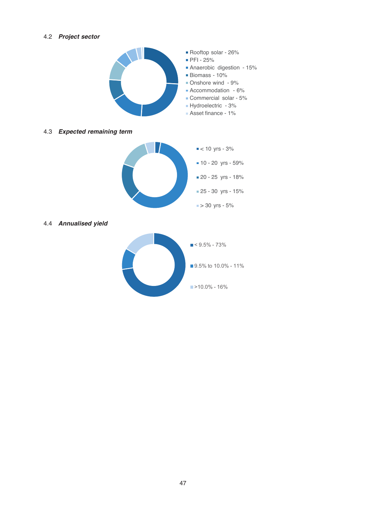# 4.2 Project sector



# 4.3 Expected remaining term



## 4.4 Annualised yield

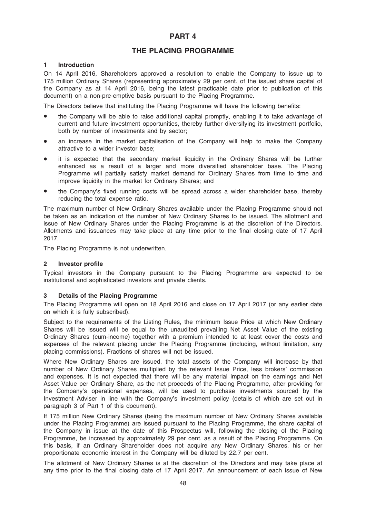# PART 4

# THE PLACING PROGRAMME

# 1 Introduction

On 14 April 2016, Shareholders approved a resolution to enable the Company to issue up to 175 million Ordinary Shares (representing approximately 29 per cent. of the issued share capital of the Company as at 14 April 2016, being the latest practicable date prior to publication of this document) on a non-pre-emptive basis pursuant to the Placing Programme.

The Directors believe that instituting the Placing Programme will have the following benefits:

- the Company will be able to raise additional capital promptly, enabling it to take advantage of current and future investment opportunities, thereby further diversifying its investment portfolio, both by number of investments and by sector;
- an increase in the market capitalisation of the Company will help to make the Company attractive to a wider investor base;
- it is expected that the secondary market liquidity in the Ordinary Shares will be further enhanced as a result of a larger and more diversified shareholder base. The Placing Programme will partially satisfy market demand for Ordinary Shares from time to time and improve liquidity in the market for Ordinary Shares; and
- the Company's fixed running costs will be spread across a wider shareholder base, thereby reducing the total expense ratio.

The maximum number of New Ordinary Shares available under the Placing Programme should not be taken as an indication of the number of New Ordinary Shares to be issued. The allotment and issue of New Ordinary Shares under the Placing Programme is at the discretion of the Directors. Allotments and issuances may take place at any time prior to the final closing date of 17 April 2017.

The Placing Programme is not underwritten.

# 2 Investor profile

Typical investors in the Company pursuant to the Placing Programme are expected to be institutional and sophisticated investors and private clients.

#### 3 Details of the Placing Programme

The Placing Programme will open on 18 April 2016 and close on 17 April 2017 (or any earlier date on which it is fully subscribed).

Subject to the requirements of the Listing Rules, the minimum Issue Price at which New Ordinary Shares will be issued will be equal to the unaudited prevailing Net Asset Value of the existing Ordinary Shares (cum-income) together with a premium intended to at least cover the costs and expenses of the relevant placing under the Placing Programme (including, without limitation, any placing commissions). Fractions of shares will not be issued.

Where New Ordinary Shares are issued, the total assets of the Company will increase by that number of New Ordinary Shares multiplied by the relevant Issue Price, less brokers' commission and expenses. It is not expected that there will be any material impact on the earnings and Net Asset Value per Ordinary Share, as the net proceeds of the Placing Programme, after providing for the Company's operational expenses, will be used to purchase investments sourced by the Investment Adviser in line with the Company's investment policy (details of which are set out in paragraph 3 of Part 1 of this document).

If 175 million New Ordinary Shares (being the maximum number of New Ordinary Shares available under the Placing Programme) are issued pursuant to the Placing Programme, the share capital of the Company in issue at the date of this Prospectus will, following the closing of the Placing Programme, be increased by approximately 29 per cent. as a result of the Placing Programme. On this basis, if an Ordinary Shareholder does not acquire any New Ordinary Shares, his or her proportionate economic interest in the Company will be diluted by 22.7 per cent.

The allotment of New Ordinary Shares is at the discretion of the Directors and may take place at any time prior to the final closing date of 17 April 2017. An announcement of each issue of New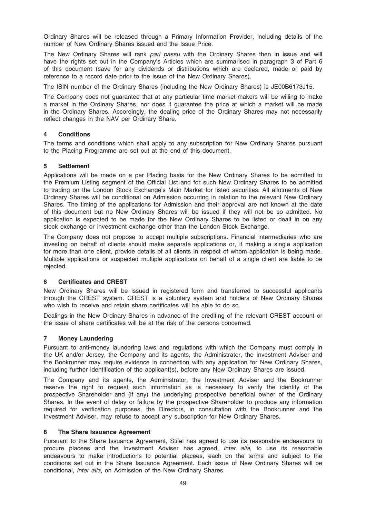Ordinary Shares will be released through a Primary Information Provider, including details of the number of New Ordinary Shares issued and the Issue Price.

The New Ordinary Shares will rank pari passu with the Ordinary Shares then in issue and will have the rights set out in the Company's Articles which are summarised in paragraph 3 of Part 6 of this document (save for any dividends or distributions which are declared, made or paid by reference to a record date prior to the issue of the New Ordinary Shares).

The ISIN number of the Ordinary Shares (including the New Ordinary Shares) is JE00B6173J15.

The Company does not guarantee that at any particular time market-makers will be willing to make a market in the Ordinary Shares, nor does it guarantee the price at which a market will be made in the Ordinary Shares. Accordingly, the dealing price of the Ordinary Shares may not necessarily reflect changes in the NAV per Ordinary Share.

# 4 Conditions

The terms and conditions which shall apply to any subscription for New Ordinary Shares pursuant to the Placing Programme are set out at the end of this document.

## 5 Settlement

Applications will be made on a per Placing basis for the New Ordinary Shares to be admitted to the Premium Listing segment of the Official List and for such New Ordinary Shares to be admitted to trading on the London Stock Exchange's Main Market for listed securities. All allotments of New Ordinary Shares will be conditional on Admission occurring in relation to the relevant New Ordinary Shares. The timing of the applications for Admission and their approval are not known at the date of this document but no New Ordinary Shares will be issued if they will not be so admitted. No application is expected to be made for the New Ordinary Shares to be listed or dealt in on any stock exchange or investment exchange other than the London Stock Exchange.

The Company does not propose to accept multiple subscriptions. Financial intermediaries who are investing on behalf of clients should make separate applications or, if making a single application for more than one client, provide details of all clients in respect of whom application is being made. Multiple applications or suspected multiple applications on behalf of a single client are liable to be rejected.

### 6 Certificates and CREST

New Ordinary Shares will be issued in registered form and transferred to successful applicants through the CREST system. CREST is a voluntary system and holders of New Ordinary Shares who wish to receive and retain share certificates will be able to do so.

Dealings in the New Ordinary Shares in advance of the crediting of the relevant CREST account or the issue of share certificates will be at the risk of the persons concerned.

#### 7 Money Laundering

Pursuant to anti-money laundering laws and regulations with which the Company must comply in the UK and/or Jersey, the Company and its agents, the Administrator, the Investment Adviser and the Bookrunner may require evidence in connection with any application for New Ordinary Shares, including further identification of the applicant(s), before any New Ordinary Shares are issued.

The Company and its agents, the Administrator, the Investment Adviser and the Bookrunner reserve the right to request such information as is necessary to verify the identity of the prospective Shareholder and (if any) the underlying prospective beneficial owner of the Ordinary Shares. In the event of delay or failure by the prospective Shareholder to produce any information required for verification purposes, the Directors, in consultation with the Bookrunner and the Investment Adviser, may refuse to accept any subscription for New Ordinary Shares.

#### 8 The Share Issuance Agreement

Pursuant to the Share Issuance Agreement, Stifel has agreed to use its reasonable endeavours to procure placees and the Investment Adviser has agreed, *inter alia*, to use its reasonable endeavours to make introductions to potential placees, each on the terms and subject to the conditions set out in the Share Issuance Agreement. Each issue of New Ordinary Shares will be conditional, inter alia, on Admission of the New Ordinary Shares.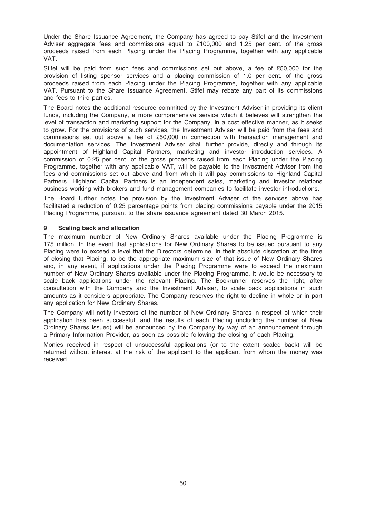Under the Share Issuance Agreement, the Company has agreed to pay Stifel and the Investment Adviser aggregate fees and commissions equal to £100,000 and 1.25 per cent. of the gross proceeds raised from each Placing under the Placing Programme, together with any applicable VAT.

Stifel will be paid from such fees and commissions set out above, a fee of £50,000 for the provision of listing sponsor services and a placing commission of 1.0 per cent. of the gross proceeds raised from each Placing under the Placing Programme, together with any applicable VAT. Pursuant to the Share Issuance Agreement, Stifel may rebate any part of its commissions and fees to third parties.

The Board notes the additional resource committed by the Investment Adviser in providing its client funds, including the Company, a more comprehensive service which it believes will strengthen the level of transaction and marketing support for the Company, in a cost effective manner, as it seeks to grow. For the provisions of such services, the Investment Adviser will be paid from the fees and commissions set out above a fee of £50,000 in connection with transaction management and documentation services. The Investment Adviser shall further provide, directly and through its appointment of Highland Capital Partners, marketing and investor introduction services. A commission of 0.25 per cent. of the gross proceeds raised from each Placing under the Placing Programme, together with any applicable VAT, will be payable to the Investment Adviser from the fees and commissions set out above and from which it will pay commissions to Highland Capital Partners. Highland Capital Partners is an independent sales, marketing and investor relations business working with brokers and fund management companies to facilitate investor introductions.

The Board further notes the provision by the Investment Adviser of the services above has facilitated a reduction of 0.25 percentage points from placing commissions payable under the 2015 Placing Programme, pursuant to the share issuance agreement dated 30 March 2015.

# 9 Scaling back and allocation

The maximum number of New Ordinary Shares available under the Placing Programme is 175 million. In the event that applications for New Ordinary Shares to be issued pursuant to any Placing were to exceed a level that the Directors determine, in their absolute discretion at the time of closing that Placing, to be the appropriate maximum size of that issue of New Ordinary Shares and, in any event, if applications under the Placing Programme were to exceed the maximum number of New Ordinary Shares available under the Placing Programme, it would be necessary to scale back applications under the relevant Placing. The Bookrunner reserves the right, after consultation with the Company and the Investment Adviser, to scale back applications in such amounts as it considers appropriate. The Company reserves the right to decline in whole or in part any application for New Ordinary Shares.

The Company will notify investors of the number of New Ordinary Shares in respect of which their application has been successful, and the results of each Placing (including the number of New Ordinary Shares issued) will be announced by the Company by way of an announcement through a Primary Information Provider, as soon as possible following the closing of each Placing.

Monies received in respect of unsuccessful applications (or to the extent scaled back) will be returned without interest at the risk of the applicant to the applicant from whom the money was received.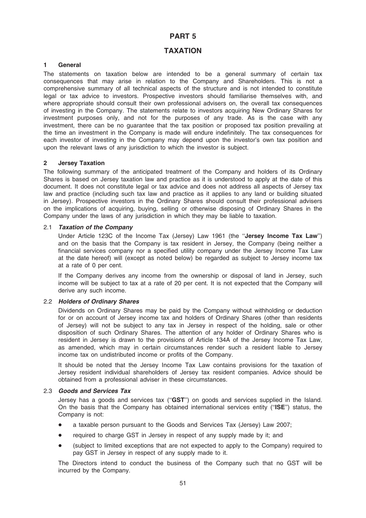# PART 5

# TAXATION

# 1 General

The statements on taxation below are intended to be a general summary of certain tax consequences that may arise in relation to the Company and Shareholders. This is not a comprehensive summary of all technical aspects of the structure and is not intended to constitute legal or tax advice to investors. Prospective investors should familiarise themselves with, and where appropriate should consult their own professional advisers on, the overall tax consequences of investing in the Company. The statements relate to investors acquiring New Ordinary Shares for investment purposes only, and not for the purposes of any trade. As is the case with any investment, there can be no guarantee that the tax position or proposed tax position prevailing at the time an investment in the Company is made will endure indefinitely. The tax consequences for each investor of investing in the Company may depend upon the investor's own tax position and upon the relevant laws of any jurisdiction to which the investor is subject.

## 2 Jersey Taxation

The following summary of the anticipated treatment of the Company and holders of its Ordinary Shares is based on Jersey taxation law and practice as it is understood to apply at the date of this document. It does not constitute legal or tax advice and does not address all aspects of Jersey tax law and practice (including such tax law and practice as it applies to any land or building situated in Jersey). Prospective investors in the Ordinary Shares should consult their professional advisers on the implications of acquiring, buying, selling or otherwise disposing of Ordinary Shares in the Company under the laws of any jurisdiction in which they may be liable to taxation.

### 2.1 Taxation of the Company

Under Article 123C of the Income Tax (Jersey) Law 1961 (the "Jersey Income Tax Law") and on the basis that the Company is tax resident in Jersey, the Company (being neither a financial services company nor a specified utility company under the Jersey Income Tax Law at the date hereof) will (except as noted below) be regarded as subject to Jersey income tax at a rate of 0 per cent.

If the Company derives any income from the ownership or disposal of land in Jersey, such income will be subject to tax at a rate of 20 per cent. It is not expected that the Company will derive any such income.

# 2.2 Holders of Ordinary Shares

Dividends on Ordinary Shares may be paid by the Company without withholding or deduction for or on account of Jersey income tax and holders of Ordinary Shares (other than residents of Jersey) will not be subject to any tax in Jersey in respect of the holding, sale or other disposition of such Ordinary Shares. The attention of any holder of Ordinary Shares who is resident in Jersey is drawn to the provisions of Article 134A of the Jersey Income Tax Law, as amended, which may in certain circumstances render such a resident liable to Jersey income tax on undistributed income or profits of the Company.

It should be noted that the Jersey Income Tax Law contains provisions for the taxation of Jersey resident individual shareholders of Jersey tax resident companies. Advice should be obtained from a professional adviser in these circumstances.

# 2.3 Goods and Services Tax

Jersey has a goods and services tax ("GST") on goods and services supplied in the Island. On the basis that the Company has obtained international services entity (''ISE'') status, the Company is not:

- a taxable person pursuant to the Goods and Services Tax (Jersey) Law 2007;
- required to charge GST in Jersey in respect of any supply made by it; and
- \* (subject to limited exceptions that are not expected to apply to the Company) required to pay GST in Jersey in respect of any supply made to it.

The Directors intend to conduct the business of the Company such that no GST will be incurred by the Company.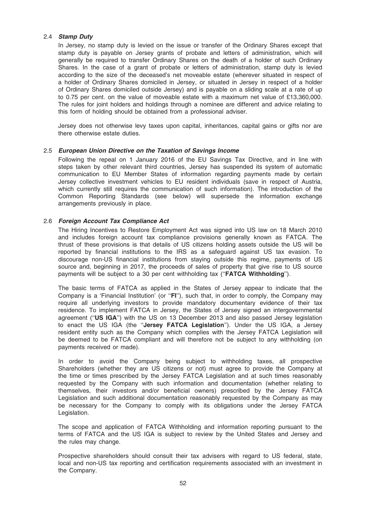## 2.4 Stamp Duty

In Jersey, no stamp duty is levied on the issue or transfer of the Ordinary Shares except that stamp duty is payable on Jersey grants of probate and letters of administration, which will generally be required to transfer Ordinary Shares on the death of a holder of such Ordinary Shares. In the case of a grant of probate or letters of administration, stamp duty is levied according to the size of the deceased's net moveable estate (wherever situated in respect of a holder of Ordinary Shares domiciled in Jersey, or situated in Jersey in respect of a holder of Ordinary Shares domiciled outside Jersey) and is payable on a sliding scale at a rate of up to 0.75 per cent. on the value of moveable estate with a maximum net value of £13,360,000. The rules for joint holders and holdings through a nominee are different and advice relating to this form of holding should be obtained from a professional adviser.

Jersey does not otherwise levy taxes upon capital, inheritances, capital gains or gifts nor are there otherwise estate duties.

## 2.5 European Union Directive on the Taxation of Savings Income

Following the repeal on 1 January 2016 of the EU Savings Tax Directive, and in line with steps taken by other relevant third countries, Jersey has suspended its system of automatic communication to EU Member States of information regarding payments made by certain Jersey collective investment vehicles to EU resident individuals (save in respect of Austria, which currently still requires the communication of such information). The introduction of the Common Reporting Standards (see below) will supersede the information exchange arrangements previously in place.

## 2.6 Foreign Account Tax Compliance Act

The Hiring Incentives to Restore Employment Act was signed into US law on 18 March 2010 and includes foreign account tax compliance provisions generally known as FATCA. The thrust of these provisions is that details of US citizens holding assets outside the US will be reported by financial institutions to the IRS as a safeguard against US tax evasion. To discourage non-US financial institutions from staying outside this regime, payments of US source and, beginning in 2017, the proceeds of sales of property that give rise to US source payments will be subject to a 30 per cent withholding tax (''FATCA Withholding'').

The basic terms of FATCA as applied in the States of Jersey appear to indicate that the Company is a 'Financial Institution' (or ''FI''), such that, in order to comply, the Company may require all underlying investors to provide mandatory documentary evidence of their tax residence. To implement FATCA in Jersey, the States of Jersey signed an intergovernmental agreement ("US IGA") with the US on 13 December 2013 and also passed Jersey legislation to enact the US IGA (the "Jersey FATCA Legislation"). Under the US IGA, a Jersey resident entity such as the Company which complies with the Jersey FATCA Legislation will be deemed to be FATCA compliant and will therefore not be subject to any withholding (on payments received or made).

In order to avoid the Company being subject to withholding taxes, all prospective Shareholders (whether they are US citizens or not) must agree to provide the Company at the time or times prescribed by the Jersey FATCA Legislation and at such times reasonably requested by the Company with such information and documentation (whether relating to themselves, their investors and/or beneficial owners) prescribed by the Jersey FATCA Legislation and such additional documentation reasonably requested by the Company as may be necessary for the Company to comply with its obligations under the Jersey FATCA Legislation.

The scope and application of FATCA Withholding and information reporting pursuant to the terms of FATCA and the US IGA is subject to review by the United States and Jersey and the rules may change.

Prospective shareholders should consult their tax advisers with regard to US federal, state, local and non-US tax reporting and certification requirements associated with an investment in the Company.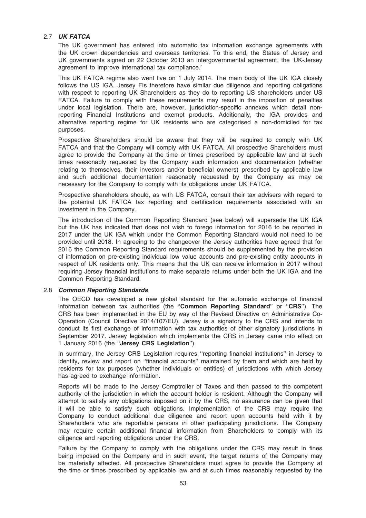# 2.7 UK FATCA

The UK government has entered into automatic tax information exchange agreements with the UK crown dependencies and overseas territories. To this end, the States of Jersey and UK governments signed on 22 October 2013 an intergovernmental agreement, the 'UK-Jersey agreement to improve international tax compliance.'

This UK FATCA regime also went live on 1 July 2014. The main body of the UK IGA closely follows the US IGA. Jersey FIs therefore have similar due diligence and reporting obligations with respect to reporting UK Shareholders as they do to reporting US shareholders under US FATCA. Failure to comply with these requirements may result in the imposition of penalties under local legislation. There are, however, jurisdiction-specific annexes which detail nonreporting Financial Institutions and exempt products. Additionally, the IGA provides and alternative reporting regime for UK residents who are categorised a non-domiciled for tax purposes.

Prospective Shareholders should be aware that they will be required to comply with UK FATCA and that the Company will comply with UK FATCA. All prospective Shareholders must agree to provide the Company at the time or times prescribed by applicable law and at such times reasonably requested by the Company such information and documentation (whether relating to themselves, their investors and/or beneficial owners) prescribed by applicable law and such additional documentation reasonably requested by the Company as may be necessary for the Company to comply with its obligations under UK FATCA.

Prospective shareholders should, as with US FATCA, consult their tax advisers with regard to the potential UK FATCA tax reporting and certification requirements associated with an investment in the Company.

The introduction of the Common Reporting Standard (see below) will supersede the UK IGA but the UK has indicated that does not wish to forego information for 2016 to be reported in 2017 under the UK IGA which under the Common Reporting Standard would not need to be provided until 2018. In agreeing to the changeover the Jersey authorities have agreed that for 2016 the Common Reporting Standard requirements should be supplemented by the provision of information on pre-existing individual low value accounts and pre-existing entity accounts in respect of UK residents only. This means that the UK can receive information in 2017 without requiring Jersey financial institutions to make separate returns under both the UK IGA and the Common Reporting Standard.

# 2.8 Common Reporting Standards

The OECD has developed a new global standard for the automatic exchange of financial information between tax authorities (the ''Common Reporting Standard'' or ''CRS''). The CRS has been implemented in the EU by way of the Revised Directive on Administrative Co-Operation (Council Directive 2014/107/EU). Jersey is a signatory to the CRS and intends to conduct its first exchange of information with tax authorities of other signatory jurisdictions in September 2017. Jersey legislation which implements the CRS in Jersey came into effect on 1 January 2016 (the ''Jersey CRS Legislation'').

In summary, the Jersey CRS Legislation requires ''reporting financial institutions'' in Jersey to identify, review and report on ''financial accounts'' maintained by them and which are held by residents for tax purposes (whether individuals or entities) of jurisdictions with which Jersey has agreed to exchange information.

Reports will be made to the Jersey Comptroller of Taxes and then passed to the competent authority of the jurisdiction in which the account holder is resident. Although the Company will attempt to satisfy any obligations imposed on it by the CRS, no assurance can be given that it will be able to satisfy such obligations. Implementation of the CRS may require the Company to conduct additional due diligence and report upon accounts held with it by Shareholders who are reportable persons in other participating jurisdictions. The Company may require certain additional financial information from Shareholders to comply with its diligence and reporting obligations under the CRS.

Failure by the Company to comply with the obligations under the CRS may result in fines being imposed on the Company and in such event, the target returns of the Company may be materially affected. All prospective Shareholders must agree to provide the Company at the time or times prescribed by applicable law and at such times reasonably requested by the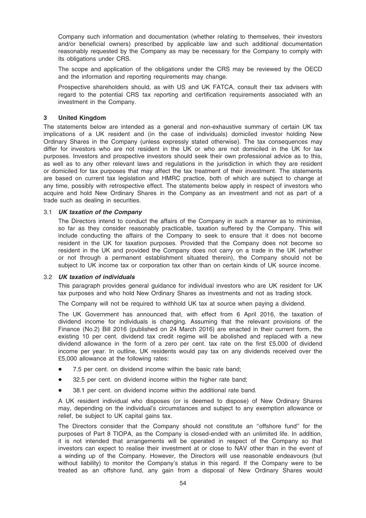Company such information and documentation (whether relating to themselves, their investors and/or beneficial owners) prescribed by applicable law and such additional documentation reasonably requested by the Company as may be necessary for the Company to comply with its obligations under CRS.

The scope and application of the obligations under the CRS may be reviewed by the OECD and the information and reporting requirements may change.

Prospective shareholders should, as with US and UK FATCA, consult their tax advisers with regard to the potential CRS tax reporting and certification requirements associated with an investment in the Company.

# 3 United Kingdom

The statements below are intended as a general and non-exhaustive summary of certain UK tax implications of a UK resident and (in the case of individuals) domiciled investor holding New Ordinary Shares in the Company (unless expressly stated otherwise). The tax consequences may differ for investors who are not resident in the UK or who are not domiciled in the UK for tax purposes. Investors and prospective investors should seek their own professional advice as to this, as well as to any other relevant laws and regulations in the jurisdiction in which they are resident or domiciled for tax purposes that may affect the tax treatment of their investment. The statements are based on current tax legislation and HMRC practice, both of which are subject to change at any time, possibly with retrospective effect. The statements below apply in respect of investors who acquire and hold New Ordinary Shares in the Company as an investment and not as part of a trade such as dealing in securities.

#### 3.1 UK taxation of the Company

The Directors intend to conduct the affairs of the Company in such a manner as to minimise, so far as they consider reasonably practicable, taxation suffered by the Company. This will include conducting the affairs of the Company to seek to ensure that it does not become resident in the UK for taxation purposes. Provided that the Company does not become so resident in the UK and provided the Company does not carry on a trade in the UK (whether or not through a permanent establishment situated therein), the Company should not be subject to UK income tax or corporation tax other than on certain kinds of UK source income.

#### 3.2 UK taxation of individuals

This paragraph provides general guidance for individual investors who are UK resident for UK tax purposes and who hold New Ordinary Shares as investments and not as trading stock.

The Company will not be required to withhold UK tax at source when paying a dividend.

The UK Government has announced that, with effect from 6 April 2016, the taxation of dividend income for individuals is changing. Assuming that the relevant provisions of the Finance (No.2) Bill 2016 (published on 24 March 2016) are enacted in their current form, the existing 10 per cent. dividend tax credit regime will be abolished and replaced with a new dividend allowance in the form of a zero per cent. tax rate on the first £5,000 of dividend income per year. In outline, UK residents would pay tax on any dividends received over the £5,000 allowance at the following rates:

- 7.5 per cent. on dividend income within the basic rate band;
- 32.5 per cent. on dividend income within the higher rate band;
- 38.1 per cent. on dividend income within the additional rate band.

A UK resident individual who disposes (or is deemed to dispose) of New Ordinary Shares may, depending on the individual's circumstances and subject to any exemption allowance or relief, be subject to UK capital gains tax.

The Directors consider that the Company should not constitute an ''offshore fund'' for the purposes of Part 8 TIOPA, as the Company is closed-ended with an unlimited life. In addition, it is not intended that arrangements will be operated in respect of the Company so that investors can expect to realise their investment at or close to NAV other than in the event of a winding up of the Company. However, the Directors will use reasonable endeavours (but without liability) to monitor the Company's status in this regard. If the Company were to be treated as an offshore fund, any gain from a disposal of New Ordinary Shares would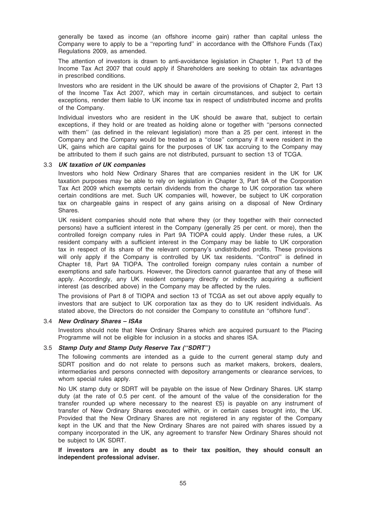generally be taxed as income (an offshore income gain) rather than capital unless the Company were to apply to be a ''reporting fund'' in accordance with the Offshore Funds (Tax) Regulations 2009, as amended.

The attention of investors is drawn to anti-avoidance legislation in Chapter 1, Part 13 of the Income Tax Act 2007 that could apply if Shareholders are seeking to obtain tax advantages in prescribed conditions.

Investors who are resident in the UK should be aware of the provisions of Chapter 2, Part 13 of the Income Tax Act 2007, which may in certain circumstances, and subject to certain exceptions, render them liable to UK income tax in respect of undistributed income and profits of the Company.

Individual investors who are resident in the UK should be aware that, subject to certain exceptions, if they hold or are treated as holding alone or together with ''persons connected with them" (as defined in the relevant legislation) more than a 25 per cent, interest in the Company and the Company would be treated as a ''close'' company if it were resident in the UK, gains which are capital gains for the purposes of UK tax accruing to the Company may be attributed to them if such gains are not distributed, pursuant to section 13 of TCGA.

#### 3.3 UK taxation of UK companies

Investors who hold New Ordinary Shares that are companies resident in the UK for UK taxation purposes may be able to rely on legislation in Chapter 3, Part 9A of the Corporation Tax Act 2009 which exempts certain dividends from the charge to UK corporation tax where certain conditions are met. Such UK companies will, however, be subject to UK corporation tax on chargeable gains in respect of any gains arising on a disposal of New Ordinary Shares.

UK resident companies should note that where they (or they together with their connected persons) have a sufficient interest in the Company (generally 25 per cent. or more), then the controlled foreign company rules in Part 9A TIOPA could apply. Under these rules, a UK resident company with a sufficient interest in the Company may be liable to UK corporation tax in respect of its share of the relevant company's undistributed profits. These provisions will only apply if the Company is controlled by UK tax residents. "Control" is defined in Chapter 18, Part 9A TIOPA. The controlled foreign company rules contain a number of exemptions and safe harbours. However, the Directors cannot guarantee that any of these will apply. Accordingly, any UK resident company directly or indirectly acquiring a sufficient interest (as described above) in the Company may be affected by the rules.

The provisions of Part 8 of TIOPA and section 13 of TCGA as set out above apply equally to investors that are subject to UK corporation tax as they do to UK resident individuals. As stated above, the Directors do not consider the Company to constitute an ''offshore fund''.

#### 3.4 New Ordinary Shares – ISAs

Investors should note that New Ordinary Shares which are acquired pursuant to the Placing Programme will not be eligible for inclusion in a stocks and shares ISA.

#### 3.5 Stamp Duty and Stamp Duty Reserve Tax (''SDRT'')

The following comments are intended as a guide to the current general stamp duty and SDRT position and do not relate to persons such as market makers, brokers, dealers, intermediaries and persons connected with depository arrangements or clearance services, to whom special rules apply.

No UK stamp duty or SDRT will be payable on the issue of New Ordinary Shares. UK stamp duty (at the rate of 0.5 per cent. of the amount of the value of the consideration for the transfer rounded up where necessary to the nearest £5) is payable on any instrument of transfer of New Ordinary Shares executed within, or in certain cases brought into, the UK. Provided that the New Ordinary Shares are not registered in any register of the Company kept in the UK and that the New Ordinary Shares are not paired with shares issued by a company incorporated in the UK, any agreement to transfer New Ordinary Shares should not be subject to UK SDRT.

If investors are in any doubt as to their tax position, they should consult an independent professional adviser.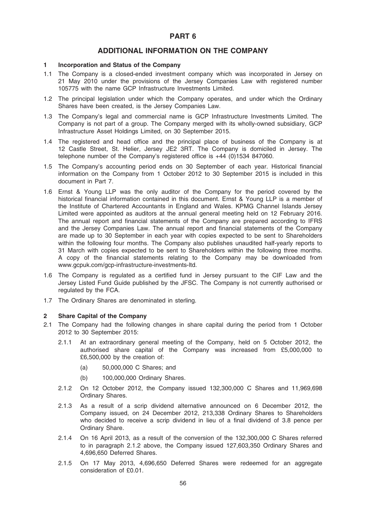# PART 6

# ADDITIONAL INFORMATION ON THE COMPANY

# 1 Incorporation and Status of the Company

- 1.1 The Company is a closed-ended investment company which was incorporated in Jersey on 21 May 2010 under the provisions of the Jersey Companies Law with registered number 105775 with the name GCP Infrastructure Investments Limited.
- 1.2 The principal legislation under which the Company operates, and under which the Ordinary Shares have been created, is the Jersey Companies Law.
- 1.3 The Company's legal and commercial name is GCP Infrastructure Investments Limited. The Company is not part of a group. The Company merged with its wholly-owned subsidiary, GCP Infrastructure Asset Holdings Limited, on 30 September 2015.
- 1.4 The registered and head office and the principal place of business of the Company is at 12 Castle Street, St. Helier, Jersey JE2 3RT. The Company is domiciled in Jersey. The telephone number of the Company's registered office is +44 (0)1534 847060.
- 1.5 The Company's accounting period ends on 30 September of each year. Historical financial information on the Company from 1 October 2012 to 30 September 2015 is included in this document in Part 7.
- 1.6 Ernst & Young LLP was the only auditor of the Company for the period covered by the historical financial information contained in this document. Ernst & Young LLP is a member of the Institute of Chartered Accountants in England and Wales. KPMG Channel Islands Jersey Limited were appointed as auditors at the annual general meeting held on 12 February 2016. The annual report and financial statements of the Company are prepared according to IFRS and the Jersey Companies Law. The annual report and financial statements of the Company are made up to 30 September in each year with copies expected to be sent to Shareholders within the following four months. The Company also publishes unaudited half-yearly reports to 31 March with copies expected to be sent to Shareholders within the following three months. A copy of the financial statements relating to the Company may be downloaded from www.gcpuk.com/gcp-infrastructure-investments-ltd.
- 1.6 The Company is regulated as a certified fund in Jersey pursuant to the CIF Law and the Jersey Listed Fund Guide published by the JFSC. The Company is not currently authorised or regulated by the FCA.
- 1.7 The Ordinary Shares are denominated in sterling.

#### 2 Share Capital of the Company

- 2.1 The Company had the following changes in share capital during the period from 1 October 2012 to 30 September 2015:
	- 2.1.1 At an extraordinary general meeting of the Company, held on 5 October 2012, the authorised share capital of the Company was increased from £5,000,000 to £6,500,000 by the creation of:
		- (a) 50,000,000 C Shares; and
		- (b) 100,000,000 Ordinary Shares.
	- 2.1.2 On 12 October 2012, the Company issued 132,300,000 C Shares and 11,969,698 Ordinary Shares.
	- 2.1.3 As a result of a scrip dividend alternative announced on 6 December 2012, the Company issued, on 24 December 2012, 213,338 Ordinary Shares to Shareholders who decided to receive a scrip dividend in lieu of a final dividend of 3.8 pence per Ordinary Share.
	- 2.1.4 On 16 April 2013, as a result of the conversion of the 132,300,000 C Shares referred to in paragraph 2.1.2 above, the Company issued 127,603,350 Ordinary Shares and 4,696,650 Deferred Shares.
	- 2.1.5 On 17 May 2013, 4,696,650 Deferred Shares were redeemed for an aggregate consideration of £0.01.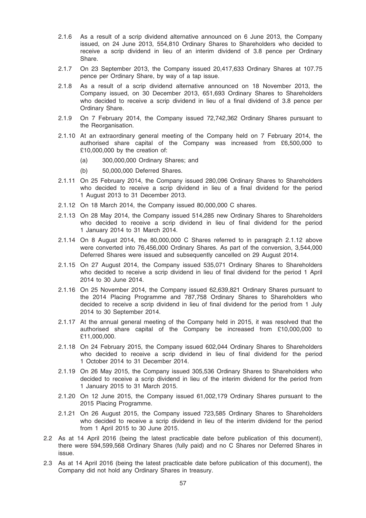- 2.1.6 As a result of a scrip dividend alternative announced on 6 June 2013, the Company issued, on 24 June 2013, 554,810 Ordinary Shares to Shareholders who decided to receive a scrip dividend in lieu of an interim dividend of 3.8 pence per Ordinary Share.
- 2.1.7 On 23 September 2013, the Company issued 20,417,633 Ordinary Shares at 107.75 pence per Ordinary Share, by way of a tap issue.
- 2.1.8 As a result of a scrip dividend alternative announced on 18 November 2013, the Company issued, on 30 December 2013, 651,693 Ordinary Shares to Shareholders who decided to receive a scrip dividend in lieu of a final dividend of 3.8 pence per Ordinary Share.
- 2.1.9 On 7 February 2014, the Company issued 72,742,362 Ordinary Shares pursuant to the Reorganisation.
- 2.1.10 At an extraordinary general meeting of the Company held on 7 February 2014, the authorised share capital of the Company was increased from £6,500,000 to £10,000,000 by the creation of:
	- (a) 300,000,000 Ordinary Shares; and
	- (b) 50,000,000 Deferred Shares.
- 2.1.11 On 25 February 2014, the Company issued 280,096 Ordinary Shares to Shareholders who decided to receive a scrip dividend in lieu of a final dividend for the period 1 August 2013 to 31 December 2013.
- 2.1.12 On 18 March 2014, the Company issued 80,000,000 C shares.
- 2.1.13 On 28 May 2014, the Company issued 514,285 new Ordinary Shares to Shareholders who decided to receive a scrip dividend in lieu of final dividend for the period 1 January 2014 to 31 March 2014.
- 2.1.14 On 8 August 2014, the 80,000,000 C Shares referred to in paragraph 2.1.12 above were converted into 76,456,000 Ordinary Shares. As part of the conversion, 3,544,000 Deferred Shares were issued and subsequently cancelled on 29 August 2014.
- 2.1.15 On 27 August 2014, the Company issued 535,071 Ordinary Shares to Shareholders who decided to receive a scrip dividend in lieu of final dividend for the period 1 April 2014 to 30 June 2014.
- 2.1.16 On 25 November 2014, the Company issued 62,639,821 Ordinary Shares pursuant to the 2014 Placing Programme and 787,758 Ordinary Shares to Shareholders who decided to receive a scrip dividend in lieu of final dividend for the period from 1 July 2014 to 30 September 2014.
- 2.1.17 At the annual general meeting of the Company held in 2015, it was resolved that the authorised share capital of the Company be increased from £10,000,000 to £11,000,000.
- 2.1.18 On 24 February 2015, the Company issued 602,044 Ordinary Shares to Shareholders who decided to receive a scrip dividend in lieu of final dividend for the period 1 October 2014 to 31 December 2014.
- 2.1.19 On 26 May 2015, the Company issued 305,536 Ordinary Shares to Shareholders who decided to receive a scrip dividend in lieu of the interim dividend for the period from 1 January 2015 to 31 March 2015.
- 2.1.20 On 12 June 2015, the Company issued 61,002,179 Ordinary Shares pursuant to the 2015 Placing Programme.
- 2.1.21 On 26 August 2015, the Company issued 723,585 Ordinary Shares to Shareholders who decided to receive a scrip dividend in lieu of the interim dividend for the period from 1 April 2015 to 30 June 2015.
- 2.2 As at 14 April 2016 (being the latest practicable date before publication of this document), there were 594,599,568 Ordinary Shares (fully paid) and no C Shares nor Deferred Shares in issue.
- 2.3 As at 14 April 2016 (being the latest practicable date before publication of this document), the Company did not hold any Ordinary Shares in treasury.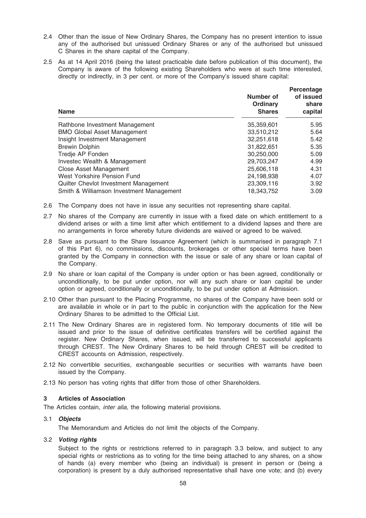- 2.4 Other than the issue of New Ordinary Shares, the Company has no present intention to issue any of the authorised but unissued Ordinary Shares or any of the authorised but unissued C Shares in the share capital of the Company.
- 2.5 As at 14 April 2016 (being the latest practicable date before publication of this document), the Company is aware of the following existing Shareholders who were at such time interested, directly or indirectly, in 3 per cent. or more of the Company's issued share capital:

| <b>Name</b>                              | Number of<br>Ordinary<br><b>Shares</b> | Percentage<br>of issued<br>share<br>capital |
|------------------------------------------|----------------------------------------|---------------------------------------------|
| Rathbone Investment Management           | 35,359,601                             | 5.95                                        |
| <b>BMO Global Asset Management</b>       | 33.510.212                             | 5.64                                        |
| Insight Investment Management            | 32,251,618                             | 5.42                                        |
| <b>Brewin Dolphin</b>                    | 31,822,651                             | 5.35                                        |
| Tredje AP Fonden                         | 30,250,000                             | 5.09                                        |
| Investec Wealth & Management             | 29,703,247                             | 4.99                                        |
| Close Asset Management                   | 25,606,118                             | 4.31                                        |
| West Yorkshire Pension Fund              | 24,198,938                             | 4.07                                        |
| Quilter Chevlot Investment Management    | 23,309,116                             | 3.92                                        |
| Smith & Williamson Investment Management | 18.343.752                             | 3.09                                        |

- 2.6 The Company does not have in issue any securities not representing share capital.
- 2.7 No shares of the Company are currently in issue with a fixed date on which entitlement to a dividend arises or with a time limit after which entitlement to a dividend lapses and there are no arrangements in force whereby future dividends are waived or agreed to be waived.
- 2.8 Save as pursuant to the Share Issuance Agreement (which is summarised in paragraph 7.1 of this Part 6), no commissions, discounts, brokerages or other special terms have been granted by the Company in connection with the issue or sale of any share or loan capital of the Company.
- 2.9 No share or loan capital of the Company is under option or has been agreed, conditionally or unconditionally, to be put under option, nor will any such share or loan capital be under option or agreed, conditionally or unconditionally, to be put under option at Admission.
- 2.10 Other than pursuant to the Placing Programme, no shares of the Company have been sold or are available in whole or in part to the public in conjunction with the application for the New Ordinary Shares to be admitted to the Official List.
- 2.11 The New Ordinary Shares are in registered form. No temporary documents of title will be issued and prior to the issue of definitive certificates transfers will be certified against the register. New Ordinary Shares, when issued, will be transferred to successful applicants through CREST. The New Ordinary Shares to be held through CREST will be credited to CREST accounts on Admission, respectively.
- 2.12 No convertible securities, exchangeable securities or securities with warrants have been issued by the Company.
- 2.13 No person has voting rights that differ from those of other Shareholders.

# 3 Articles of Association

The Articles contain, *inter alia*, the following material provisions.

#### 3.1 Objects

The Memorandum and Articles do not limit the objects of the Company.

#### 3.2 Voting rights

Subject to the rights or restrictions referred to in paragraph 3.3 below, and subject to any special rights or restrictions as to voting for the time being attached to any shares, on a show of hands (a) every member who (being an individual) is present in person or (being a corporation) is present by a duly authorised representative shall have one vote; and (b) every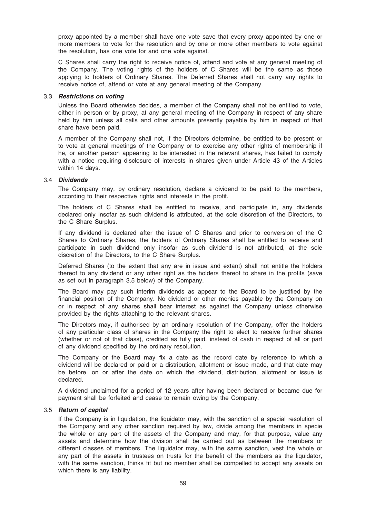proxy appointed by a member shall have one vote save that every proxy appointed by one or more members to vote for the resolution and by one or more other members to vote against the resolution, has one vote for and one vote against.

C Shares shall carry the right to receive notice of, attend and vote at any general meeting of the Company. The voting rights of the holders of C Shares will be the same as those applying to holders of Ordinary Shares. The Deferred Shares shall not carry any rights to receive notice of, attend or vote at any general meeting of the Company.

#### 3.3 Restrictions on voting

Unless the Board otherwise decides, a member of the Company shall not be entitled to vote, either in person or by proxy, at any general meeting of the Company in respect of any share held by him unless all calls and other amounts presently payable by him in respect of that share have been paid.

A member of the Company shall not, if the Directors determine, be entitled to be present or to vote at general meetings of the Company or to exercise any other rights of membership if he, or another person appearing to be interested in the relevant shares, has failed to comply with a notice requiring disclosure of interests in shares given under Article 43 of the Articles within 14 days.

#### 3.4 Dividends

The Company may, by ordinary resolution, declare a dividend to be paid to the members, according to their respective rights and interests in the profit.

The holders of C Shares shall be entitled to receive, and participate in, any dividends declared only insofar as such dividend is attributed, at the sole discretion of the Directors, to the C Share Surplus.

If any dividend is declared after the issue of C Shares and prior to conversion of the C Shares to Ordinary Shares, the holders of Ordinary Shares shall be entitled to receive and participate in such dividend only insofar as such dividend is not attributed, at the sole discretion of the Directors, to the C Share Surplus.

Deferred Shares (to the extent that any are in issue and extant) shall not entitle the holders thereof to any dividend or any other right as the holders thereof to share in the profits (save as set out in paragraph 3.5 below) of the Company.

The Board may pay such interim dividends as appear to the Board to be justified by the financial position of the Company. No dividend or other monies payable by the Company on or in respect of any shares shall bear interest as against the Company unless otherwise provided by the rights attaching to the relevant shares.

The Directors may, if authorised by an ordinary resolution of the Company, offer the holders of any particular class of shares in the Company the right to elect to receive further shares (whether or not of that class), credited as fully paid, instead of cash in respect of all or part of any dividend specified by the ordinary resolution.

The Company or the Board may fix a date as the record date by reference to which a dividend will be declared or paid or a distribution, allotment or issue made, and that date may be before, on or after the date on which the dividend, distribution, allotment or issue is declared.

A dividend unclaimed for a period of 12 years after having been declared or became due for payment shall be forfeited and cease to remain owing by the Company.

#### 3.5 Return of capital

If the Company is in liquidation, the liquidator may, with the sanction of a special resolution of the Company and any other sanction required by law, divide among the members in specie the whole or any part of the assets of the Company and may, for that purpose, value any assets and determine how the division shall be carried out as between the members or different classes of members. The liquidator may, with the same sanction, vest the whole or any part of the assets in trustees on trusts for the benefit of the members as the liquidator, with the same sanction, thinks fit but no member shall be compelled to accept any assets on which there is any liability.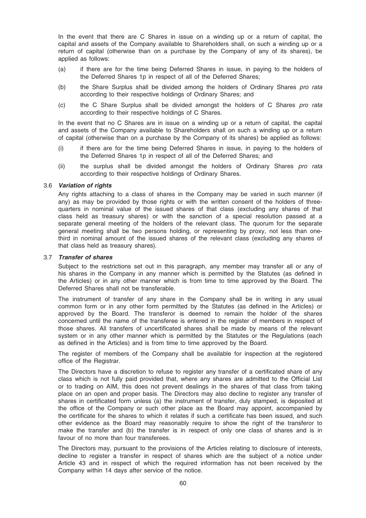In the event that there are C Shares in issue on a winding up or a return of capital, the capital and assets of the Company available to Shareholders shall, on such a winding up or a return of capital (otherwise than on a purchase by the Company of any of its shares), be applied as follows:

- (a) if there are for the time being Deferred Shares in issue, in paying to the holders of the Deferred Shares 1p in respect of all of the Deferred Shares;
- (b) the Share Surplus shall be divided among the holders of Ordinary Shares pro rata according to their respective holdings of Ordinary Shares; and
- (c) the C Share Surplus shall be divided amongst the holders of C Shares pro rata according to their respective holdings of C Shares.

In the event that no C Shares are in issue on a winding up or a return of capital, the capital and assets of the Company available to Shareholders shall on such a winding up or a return of capital (otherwise than on a purchase by the Company of its shares) be applied as follows:

- (i) if there are for the time being Deferred Shares in issue, in paying to the holders of the Deferred Shares 1p in respect of all of the Deferred Shares; and
- (ii) the surplus shall be divided amongst the holders of Ordinary Shares pro rata according to their respective holdings of Ordinary Shares.

## 3.6 Variation of rights

Any rights attaching to a class of shares in the Company may be varied in such manner (if any) as may be provided by those rights or with the written consent of the holders of threequarters in nominal value of the issued shares of that class (excluding any shares of that class held as treasury shares) or with the sanction of a special resolution passed at a separate general meeting of the holders of the relevant class. The quorum for the separate general meeting shall be two persons holding, or representing by proxy, not less than onethird in nominal amount of the issued shares of the relevant class (excluding any shares of that class held as treasury shares).

#### 3.7 Transfer of shares

Subject to the restrictions set out in this paragraph, any member may transfer all or any of his shares in the Company in any manner which is permitted by the Statutes (as defined in the Articles) or in any other manner which is from time to time approved by the Board. The Deferred Shares shall not be transferable.

The instrument of transfer of any share in the Company shall be in writing in any usual common form or in any other form permitted by the Statutes (as defined in the Articles) or approved by the Board. The transferor is deemed to remain the holder of the shares concerned until the name of the transferee is entered in the register of members in respect of those shares. All transfers of uncertificated shares shall be made by means of the relevant system or in any other manner which is permitted by the Statutes or the Regulations (each as defined in the Articles) and is from time to time approved by the Board.

The register of members of the Company shall be available for inspection at the registered office of the Registrar.

The Directors have a discretion to refuse to register any transfer of a certificated share of any class which is not fully paid provided that, where any shares are admitted to the Official List or to trading on AIM, this does not prevent dealings in the shares of that class from taking place on an open and proper basis. The Directors may also decline to register any transfer of shares in certificated form unless (a) the instrument of transfer, duly stamped, is deposited at the office of the Company or such other place as the Board may appoint, accompanied by the certificate for the shares to which it relates if such a certificate has been issued, and such other evidence as the Board may reasonably require to show the right of the transferor to make the transfer and (b) the transfer is in respect of only one class of shares and is in favour of no more than four transferees.

The Directors may, pursuant to the provisions of the Articles relating to disclosure of interests, decline to register a transfer in respect of shares which are the subject of a notice under Article 43 and in respect of which the required information has not been received by the Company within 14 days after service of the notice.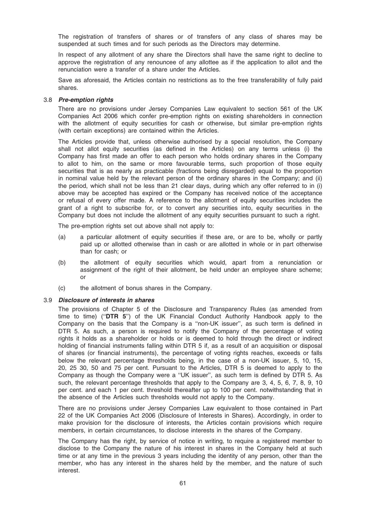The registration of transfers of shares or of transfers of any class of shares may be suspended at such times and for such periods as the Directors may determine.

In respect of any allotment of any share the Directors shall have the same right to decline to approve the registration of any renouncee of any allottee as if the application to allot and the renunciation were a transfer of a share under the Articles.

Save as aforesaid, the Articles contain no restrictions as to the free transferability of fully paid shares.

#### 3.8 Pre-emption rights

There are no provisions under Jersey Companies Law equivalent to section 561 of the UK Companies Act 2006 which confer pre-emption rights on existing shareholders in connection with the allotment of equity securities for cash or otherwise, but similar pre-emption rights (with certain exceptions) are contained within the Articles.

The Articles provide that, unless otherwise authorised by a special resolution, the Company shall not allot equity securities (as defined in the Articles) on any terms unless (i) the Company has first made an offer to each person who holds ordinary shares in the Company to allot to him, on the same or more favourable terms, such proportion of those equity securities that is as nearly as practicable (fractions being disregarded) equal to the proportion in nominal value held by the relevant person of the ordinary shares in the Company; and (ii) the period, which shall not be less than 21 clear days, during which any offer referred to in (i) above may be accepted has expired or the Company has received notice of the acceptance or refusal of every offer made. A reference to the allotment of equity securities includes the grant of a right to subscribe for, or to convert any securities into, equity securities in the Company but does not include the allotment of any equity securities pursuant to such a right.

The pre-emption rights set out above shall not apply to:

- (a) a particular allotment of equity securities if these are, or are to be, wholly or partly paid up or allotted otherwise than in cash or are allotted in whole or in part otherwise than for cash; or
- (b) the allotment of equity securities which would, apart from a renunciation or assignment of the right of their allotment, be held under an employee share scheme; or
- (c) the allotment of bonus shares in the Company.

#### 3.9 Disclosure of interests in shares

The provisions of Chapter 5 of the Disclosure and Transparency Rules (as amended from time to time) (''DTR 5'') of the UK Financial Conduct Authority Handbook apply to the Company on the basis that the Company is a ''non-UK issuer'', as such term is defined in DTR 5. As such, a person is required to notify the Company of the percentage of voting rights it holds as a shareholder or holds or is deemed to hold through the direct or indirect holding of financial instruments falling within DTR 5 if, as a result of an acquisition or disposal of shares (or financial instruments), the percentage of voting rights reaches, exceeds or falls below the relevant percentage thresholds being, in the case of a non-UK issuer, 5, 10, 15, 20, 25 30, 50 and 75 per cent. Pursuant to the Articles, DTR 5 is deemed to apply to the Company as though the Company were a ''UK issuer'', as such term is defined by DTR 5. As such, the relevant percentage thresholds that apply to the Company are 3, 4, 5, 6, 7, 8, 9, 10 per cent. and each 1 per cent. threshold thereafter up to 100 per cent. notwithstanding that in the absence of the Articles such thresholds would not apply to the Company.

There are no provisions under Jersey Companies Law equivalent to those contained in Part 22 of the UK Companies Act 2006 (Disclosure of Interests in Shares). Accordingly, in order to make provision for the disclosure of interests, the Articles contain provisions which require members, in certain circumstances, to disclose interests in the shares of the Company.

The Company has the right, by service of notice in writing, to require a registered member to disclose to the Company the nature of his interest in shares in the Company held at such time or at any time in the previous 3 years including the identity of any person, other than the member, who has any interest in the shares held by the member, and the nature of such interest.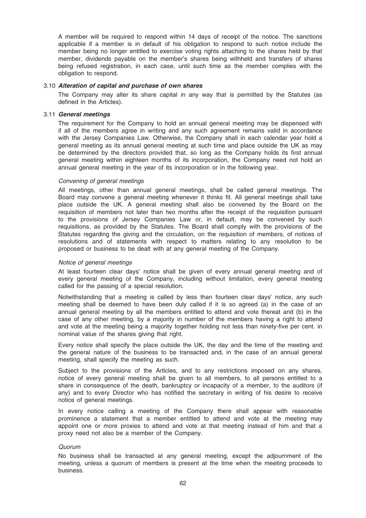A member will be required to respond within 14 days of receipt of the notice. The sanctions applicable if a member is in default of his obligation to respond to such notice include the member being no longer entitled to exercise voting rights attaching to the shares held by that member, dividends payable on the member's shares being withheld and transfers of shares being refused registration, in each case, until such time as the member complies with the obligation to respond.

#### 3.10 Alteration of capital and purchase of own shares

The Company may alter its share capital in any way that is permitted by the Statutes (as defined in the Articles).

#### 3.11 General meetings

The requirement for the Company to hold an annual general meeting may be dispensed with if all of the members agree in writing and any such agreement remains valid in accordance with the Jersey Companies Law. Otherwise, the Company shall in each calendar year hold a general meeting as its annual general meeting at such time and place outside the UK as may be determined by the directors provided that, so long as the Company holds its first annual general meeting within eighteen months of its incorporation, the Company need not hold an annual general meeting in the year of its incorporation or in the following year.

#### Convening of general meetings

All meetings, other than annual general meetings, shall be called general meetings. The Board may convene a general meeting whenever it thinks fit. All general meetings shall take place outside the UK. A general meeting shall also be convened by the Board on the requisition of members not later than two months after the receipt of the requisition pursuant to the provisions of Jersey Companies Law or, in default, may be convened by such requisitions, as provided by the Statutes. The Board shall comply with the provisions of the Statutes regarding the giving and the circulation, on the requisition of members, of notices of resolutions and of statements with respect to matters relating to any resolution to be proposed or business to be dealt with at any general meeting of the Company.

#### Notice of general meetings

At least fourteen clear days' notice shall be given of every annual general meeting and of every general meeting of the Company, including without limitation, every general meeting called for the passing of a special resolution.

Notwithstanding that a meeting is called by less than fourteen clear days' notice, any such meeting shall be deemed to have been duly called if it is so agreed (a) in the case of an annual general meeting by all the members entitled to attend and vote thereat and (b) in the case of any other meeting, by a majority in number of the members having a right to attend and vote at the meeting being a majority together holding not less than ninety-five per cent. in nominal value of the shares giving that right.

Every notice shall specify the place outside the UK, the day and the time of the meeting and the general nature of the business to be transacted and, in the case of an annual general meeting, shall specify the meeting as such.

Subject to the provisions of the Articles, and to any restrictions imposed on any shares, notice of every general meeting shall be given to all members, to all persons entitled to a share in consequence of the death, bankruptcy or incapacity of a member, to the auditors (if any) and to every Director who has notified the secretary in writing of his desire to receive notice of general meetings.

In every notice calling a meeting of the Company there shall appear with reasonable prominence a statement that a member entitled to attend and vote at the meeting may appoint one or more proxies to attend and vote at that meeting instead of him and that a proxy need not also be a member of the Company.

#### Quorum

No business shall be transacted at any general meeting, except the adjournment of the meeting, unless a quorum of members is present at the time when the meeting proceeds to business.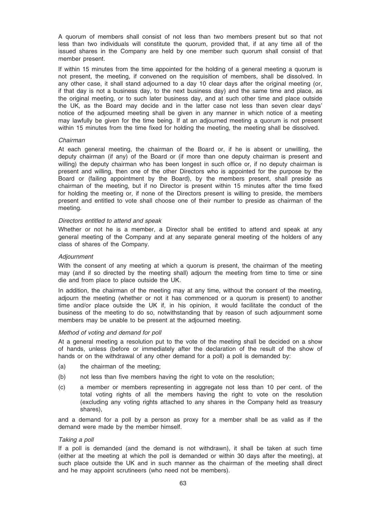A quorum of members shall consist of not less than two members present but so that not less than two individuals will constitute the quorum, provided that, if at any time all of the issued shares in the Company are held by one member such quorum shall consist of that member present.

If within 15 minutes from the time appointed for the holding of a general meeting a quorum is not present, the meeting, if convened on the requisition of members, shall be dissolved. In any other case, it shall stand adjourned to a day 10 clear days after the original meeting (or, if that day is not a business day, to the next business day) and the same time and place, as the original meeting, or to such later business day, and at such other time and place outside the UK, as the Board may decide and in the latter case not less than seven clear days' notice of the adjourned meeting shall be given in any manner in which notice of a meeting may lawfully be given for the time being. If at an adjourned meeting a quorum is not present within 15 minutes from the time fixed for holding the meeting, the meeting shall be dissolved.

#### Chairman

At each general meeting, the chairman of the Board or, if he is absent or unwilling, the deputy chairman (if any) of the Board or (if more than one deputy chairman is present and willing) the deputy chairman who has been longest in such office or, if no deputy chairman is present and willing, then one of the other Directors who is appointed for the purpose by the Board or (failing appointment by the Board), by the members present, shall preside as chairman of the meeting, but if no Director is present within 15 minutes after the time fixed for holding the meeting or, if none of the Directors present is willing to preside, the members present and entitled to vote shall choose one of their number to preside as chairman of the meeting.

#### Directors entitled to attend and speak

Whether or not he is a member, a Director shall be entitled to attend and speak at any general meeting of the Company and at any separate general meeting of the holders of any class of shares of the Company.

#### **Adiournment**

With the consent of any meeting at which a quorum is present, the chairman of the meeting may (and if so directed by the meeting shall) adjourn the meeting from time to time or sine die and from place to place outside the UK.

In addition, the chairman of the meeting may at any time, without the consent of the meeting, adjourn the meeting (whether or not it has commenced or a quorum is present) to another time and/or place outside the UK if, in his opinion, it would facilitate the conduct of the business of the meeting to do so, notwithstanding that by reason of such adjournment some members may be unable to be present at the adjourned meeting.

#### Method of voting and demand for poll

At a general meeting a resolution put to the vote of the meeting shall be decided on a show of hands, unless (before or immediately after the declaration of the result of the show of hands or on the withdrawal of any other demand for a poll) a poll is demanded by:

- (a) the chairman of the meeting;
- (b) not less than five members having the right to vote on the resolution;
- (c) a member or members representing in aggregate not less than 10 per cent. of the total voting rights of all the members having the right to vote on the resolution (excluding any voting rights attached to any shares in the Company held as treasury shares),

and a demand for a poll by a person as proxy for a member shall be as valid as if the demand were made by the member himself.

#### Taking a poll

If a poll is demanded (and the demand is not withdrawn), it shall be taken at such time (either at the meeting at which the poll is demanded or within 30 days after the meeting), at such place outside the UK and in such manner as the chairman of the meeting shall direct and he may appoint scrutineers (who need not be members).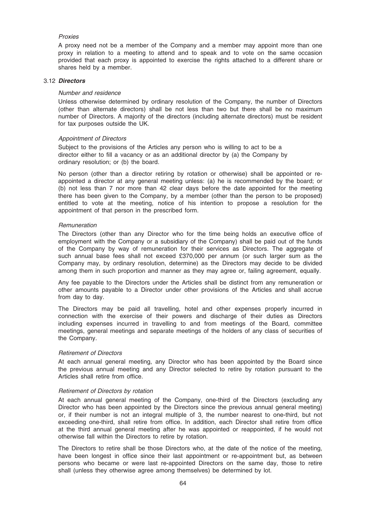### Proxies

A proxy need not be a member of the Company and a member may appoint more than one proxy in relation to a meeting to attend and to speak and to vote on the same occasion provided that each proxy is appointed to exercise the rights attached to a different share or shares held by a member.

#### 3.12 Directors

#### Number and residence

Unless otherwise determined by ordinary resolution of the Company, the number of Directors (other than alternate directors) shall be not less than two but there shall be no maximum number of Directors. A majority of the directors (including alternate directors) must be resident for tax purposes outside the UK.

#### Appointment of Directors

Subject to the provisions of the Articles any person who is willing to act to be a director either to fill a vacancy or as an additional director by (a) the Company by ordinary resolution; or (b) the board.

No person (other than a director retiring by rotation or otherwise) shall be appointed or reappointed a director at any general meeting unless: (a) he is recommended by the board; or (b) not less than 7 nor more than 42 clear days before the date appointed for the meeting there has been given to the Company, by a member (other than the person to be proposed) entitled to vote at the meeting, notice of his intention to propose a resolution for the appointment of that person in the prescribed form.

#### **Remuneration**

The Directors (other than any Director who for the time being holds an executive office of employment with the Company or a subsidiary of the Company) shall be paid out of the funds of the Company by way of remuneration for their services as Directors. The aggregate of such annual base fees shall not exceed £370,000 per annum (or such larger sum as the Company may, by ordinary resolution, determine) as the Directors may decide to be divided among them in such proportion and manner as they may agree or, failing agreement, equally.

Any fee payable to the Directors under the Articles shall be distinct from any remuneration or other amounts payable to a Director under other provisions of the Articles and shall accrue from day to day.

The Directors may be paid all travelling, hotel and other expenses properly incurred in connection with the exercise of their powers and discharge of their duties as Directors including expenses incurred in travelling to and from meetings of the Board, committee meetings, general meetings and separate meetings of the holders of any class of securities of the Company.

#### Retirement of Directors

At each annual general meeting, any Director who has been appointed by the Board since the previous annual meeting and any Director selected to retire by rotation pursuant to the Articles shall retire from office.

#### Retirement of Directors by rotation

At each annual general meeting of the Company, one-third of the Directors (excluding any Director who has been appointed by the Directors since the previous annual general meeting) or, if their number is not an integral multiple of 3, the number nearest to one-third, but not exceeding one-third, shall retire from office. In addition, each Director shall retire from office at the third annual general meeting after he was appointed or reappointed, if he would not otherwise fall within the Directors to retire by rotation.

The Directors to retire shall be those Directors who, at the date of the notice of the meeting, have been longest in office since their last appointment or re-appointment but, as between persons who became or were last re-appointed Directors on the same day, those to retire shall (unless they otherwise agree among themselves) be determined by lot.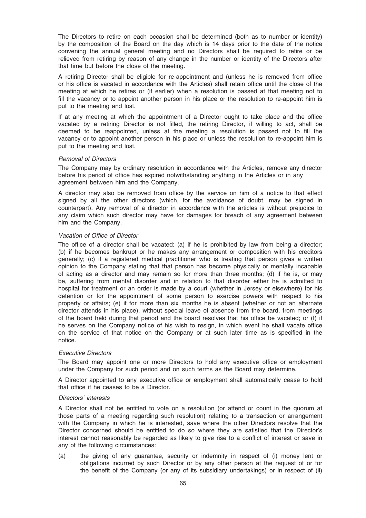The Directors to retire on each occasion shall be determined (both as to number or identity) by the composition of the Board on the day which is 14 days prior to the date of the notice convening the annual general meeting and no Directors shall be required to retire or be relieved from retiring by reason of any change in the number or identity of the Directors after that time but before the close of the meeting.

A retiring Director shall be eligible for re-appointment and (unless he is removed from office or his office is vacated in accordance with the Articles) shall retain office until the close of the meeting at which he retires or (if earlier) when a resolution is passed at that meeting not to fill the vacancy or to appoint another person in his place or the resolution to re-appoint him is put to the meeting and lost.

If at any meeting at which the appointment of a Director ought to take place and the office vacated by a retiring Director is not filled, the retiring Director, if willing to act, shall be deemed to be reappointed, unless at the meeting a resolution is passed not to fill the vacancy or to appoint another person in his place or unless the resolution to re-appoint him is put to the meeting and lost.

#### Removal of Directors

The Company may by ordinary resolution in accordance with the Articles, remove any director before his period of office has expired notwithstanding anything in the Articles or in any agreement between him and the Company.

A director may also be removed from office by the service on him of a notice to that effect signed by all the other directors (which, for the avoidance of doubt, may be signed in counterpart). Any removal of a director in accordance with the articles is without prejudice to any claim which such director may have for damages for breach of any agreement between him and the Company.

## Vacation of Office of Director

The office of a director shall be vacated: (a) if he is prohibited by law from being a director; (b) if he becomes bankrupt or he makes any arrangement or composition with his creditors generally; (c) if a registered medical practitioner who is treating that person gives a written opinion to the Company stating that that person has become physically or mentally incapable of acting as a director and may remain so for more than three months; (d) if he is, or may be, suffering from mental disorder and in relation to that disorder either he is admitted to hospital for treatment or an order is made by a court (whether in Jersey or elsewhere) for his detention or for the appointment of some person to exercise powers with respect to his property or affairs; (e) if for more than six months he is absent (whether or not an alternate director attends in his place), without special leave of absence from the board, from meetings of the board held during that period and the board resolves that his office be vacated; or (f) if he serves on the Company notice of his wish to resign, in which event he shall vacate office on the service of that notice on the Company or at such later time as is specified in the notice.

#### Executive Directors

The Board may appoint one or more Directors to hold any executive office or employment under the Company for such period and on such terms as the Board may determine.

A Director appointed to any executive office or employment shall automatically cease to hold that office if he ceases to be a Director.

## Directors' interests

A Director shall not be entitled to vote on a resolution (or attend or count in the quorum at those parts of a meeting regarding such resolution) relating to a transaction or arrangement with the Company in which he is interested, save where the other Directors resolve that the Director concerned should be entitled to do so where they are satisfied that the Director's interest cannot reasonably be regarded as likely to give rise to a conflict of interest or save in any of the following circumstances:

(a) the giving of any guarantee, security or indemnity in respect of (i) money lent or obligations incurred by such Director or by any other person at the request of or for the benefit of the Company (or any of its subsidiary undertakings) or in respect of (ii)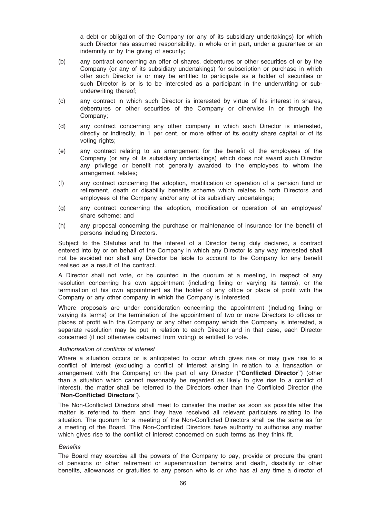a debt or obligation of the Company (or any of its subsidiary undertakings) for which such Director has assumed responsibility, in whole or in part, under a guarantee or an indemnity or by the giving of security;

- (b) any contract concerning an offer of shares, debentures or other securities of or by the Company (or any of its subsidiary undertakings) for subscription or purchase in which offer such Director is or may be entitled to participate as a holder of securities or such Director is or is to be interested as a participant in the underwriting or subunderwriting thereof;
- (c) any contract in which such Director is interested by virtue of his interest in shares, debentures or other securities of the Company or otherwise in or through the Company;
- (d) any contract concerning any other company in which such Director is interested, directly or indirectly, in 1 per cent. or more either of its equity share capital or of its voting rights;
- (e) any contract relating to an arrangement for the benefit of the employees of the Company (or any of its subsidiary undertakings) which does not award such Director any privilege or benefit not generally awarded to the employees to whom the arrangement relates;
- (f) any contract concerning the adoption, modification or operation of a pension fund or retirement, death or disability benefits scheme which relates to both Directors and employees of the Company and/or any of its subsidiary undertakings;
- (g) any contract concerning the adoption, modification or operation of an employees' share scheme; and
- (h) any proposal concerning the purchase or maintenance of insurance for the benefit of persons including Directors.

Subject to the Statutes and to the interest of a Director being duly declared, a contract entered into by or on behalf of the Company in which any Director is any way interested shall not be avoided nor shall any Director be liable to account to the Company for any benefit realised as a result of the contract.

A Director shall not vote, or be counted in the quorum at a meeting, in respect of any resolution concerning his own appointment (including fixing or varying its terms), or the termination of his own appointment as the holder of any office or place of profit with the Company or any other company in which the Company is interested.

Where proposals are under consideration concerning the appointment (including fixing or varying its terms) or the termination of the appointment of two or more Directors to offices or places of profit with the Company or any other company which the Company is interested, a separate resolution may be put in relation to each Director and in that case, each Director concerned (if not otherwise debarred from voting) is entitled to vote.

#### Authorisation of conflicts of interest

Where a situation occurs or is anticipated to occur which gives rise or may give rise to a conflict of interest (excluding a conflict of interest arising in relation to a transaction or arrangement with the Company) on the part of any Director ("Conflicted Director") (other than a situation which cannot reasonably be regarded as likely to give rise to a conflict of interest), the matter shall be referred to the Directors other than the Conflicted Director (the ''Non-Conflicted Directors'').

The Non-Conflicted Directors shall meet to consider the matter as soon as possible after the matter is referred to them and they have received all relevant particulars relating to the situation. The quorum for a meeting of the Non-Conflicted Directors shall be the same as for a meeting of the Board. The Non-Conflicted Directors have authority to authorise any matter which gives rise to the conflict of interest concerned on such terms as they think fit.

#### **Benefits**

The Board may exercise all the powers of the Company to pay, provide or procure the grant of pensions or other retirement or superannuation benefits and death, disability or other benefits, allowances or gratuities to any person who is or who has at any time a director of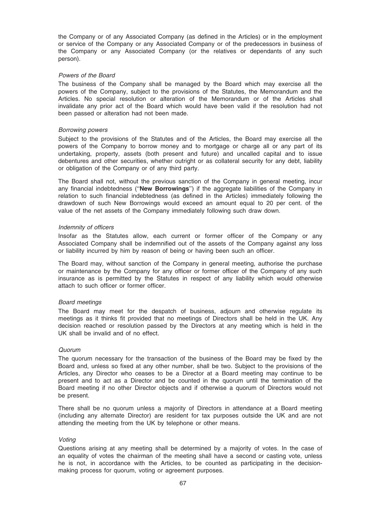the Company or of any Associated Company (as defined in the Articles) or in the employment or service of the Company or any Associated Company or of the predecessors in business of the Company or any Associated Company (or the relatives or dependants of any such person).

### Powers of the Board

The business of the Company shall be managed by the Board which may exercise all the powers of the Company, subject to the provisions of the Statutes, the Memorandum and the Articles. No special resolution or alteration of the Memorandum or of the Articles shall invalidate any prior act of the Board which would have been valid if the resolution had not been passed or alteration had not been made.

### Borrowing powers

Subject to the provisions of the Statutes and of the Articles, the Board may exercise all the powers of the Company to borrow money and to mortgage or charge all or any part of its undertaking, property, assets (both present and future) and uncalled capital and to issue debentures and other securities, whether outright or as collateral security for any debt, liability or obligation of the Company or of any third party.

The Board shall not, without the previous sanction of the Company in general meeting, incur any financial indebtedness ("New Borrowings") if the aggregate liabilities of the Company in relation to such financial indebtedness (as defined in the Articles) immediately following the drawdown of such New Borrowings would exceed an amount equal to 20 per cent. of the value of the net assets of the Company immediately following such draw down.

#### Indemnity of officers

Insofar as the Statutes allow, each current or former officer of the Company or any Associated Company shall be indemnified out of the assets of the Company against any loss or liability incurred by him by reason of being or having been such an officer.

The Board may, without sanction of the Company in general meeting, authorise the purchase or maintenance by the Company for any officer or former officer of the Company of any such insurance as is permitted by the Statutes in respect of any liability which would otherwise attach to such officer or former officer.

#### Board meetings

The Board may meet for the despatch of business, adjourn and otherwise regulate its meetings as it thinks fit provided that no meetings of Directors shall be held in the UK. Any decision reached or resolution passed by the Directors at any meeting which is held in the UK shall be invalid and of no effect.

#### Quorum

The quorum necessary for the transaction of the business of the Board may be fixed by the Board and, unless so fixed at any other number, shall be two. Subject to the provisions of the Articles, any Director who ceases to be a Director at a Board meeting may continue to be present and to act as a Director and be counted in the quorum until the termination of the Board meeting if no other Director objects and if otherwise a quorum of Directors would not be present.

There shall be no quorum unless a majority of Directors in attendance at a Board meeting (including any alternate Director) are resident for tax purposes outside the UK and are not attending the meeting from the UK by telephone or other means.

#### Voting

Questions arising at any meeting shall be determined by a majority of votes. In the case of an equality of votes the chairman of the meeting shall have a second or casting vote, unless he is not, in accordance with the Articles, to be counted as participating in the decisionmaking process for quorum, voting or agreement purposes.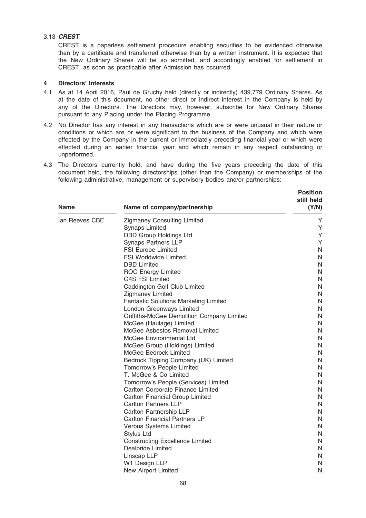# 3.13 CREST

CREST is a paperless settlement procedure enabling securities to be evidenced otherwise than by a certificate and transferred otherwise than by a written instrument. It is expected that the New Ordinary Shares will be so admitted, and accordingly enabled for settlement in CREST, as soon as practicable after Admission has occurred.

### 4 Directors' Interests

- 4.1 As at 14 April 2016, Paul de Gruchy held (directly or indirectly) 439,779 Ordinary Shares. As at the date of this document, no other direct or indirect interest in the Company is held by any of the Directors. The Directors may, however, subscribe for New Ordinary Shares pursuant to any Placing under the Placing Programme.
- 4.2 No Director has any interest in any transactions which are or were unusual in their nature or conditions or which are or were significant to the business of the Company and which were effected by the Company in the current or immediately preceding financial year or which were effected during an earlier financial year and which remain in any respect outstanding or unperformed.
- 4.3 The Directors currently hold, and have during the five years preceding the date of this document held, the following directorships (other than the Company) or memberships of the following administrative, management or supervisory bodies and/or partnerships:

| <b>Name</b>    | Name of company/partnership                                       | <b>Position</b><br>still held<br>(Y/N) |
|----------------|-------------------------------------------------------------------|----------------------------------------|
| lan Reeves CBE | <b>Zigmaney Consulting Limited</b>                                | Υ                                      |
|                | <b>Synaps Limited</b>                                             | Υ                                      |
|                | <b>DBD Group Holdings Ltd</b>                                     | Υ                                      |
|                | <b>Synaps Partners LLP</b>                                        | Y                                      |
|                | <b>FSI Europe Limited</b>                                         | N                                      |
|                | <b>FSI Worldwide Limited</b>                                      | N                                      |
|                | <b>DBD Limited</b>                                                | N                                      |
|                | <b>ROC Energy Limited</b>                                         | N                                      |
|                | <b>G4S FSI Limited</b>                                            | N                                      |
|                | Caddington Golf Club Limited                                      | N                                      |
|                | <b>Zigmaney Limited</b>                                           | N                                      |
|                | <b>Fantastic Solutions Marketing Limited</b>                      | N                                      |
|                | London Greenways Limited                                          | N                                      |
|                | Griffiths-McGee Demolition Company Limited                        | $\mathsf{N}$                           |
|                | McGee (Haulage) Limited                                           | $\mathsf{N}$                           |
|                | McGee Asbestos Removal Limited                                    | N<br>N                                 |
|                | <b>McGee Environmental Ltd</b>                                    | N                                      |
|                | McGee Group (Holdings) Limited<br>McGee Bedrock Limited           | N                                      |
|                |                                                                   | N                                      |
|                | Bedrock Tipping Company (UK) Limited<br>Tomorrow's People Limited | N                                      |
|                | T. McGee & Co Limited                                             | N                                      |
|                | Tomorrow's People (Services) Limited                              | $\mathsf{N}$                           |
|                | Carlton Corporate Finance Limited                                 | N                                      |
|                | Carlton Financial Group Limited                                   | N                                      |
|                | <b>Carlton Partners LLP</b>                                       | $\mathsf{N}$                           |
|                | Carlton Partnership LLP                                           | N                                      |
|                | <b>Carlton Financial Partners LP</b>                              | N                                      |
|                | Verbus Systems Limited                                            | $\mathsf{N}$                           |
|                | <b>Stylus Ltd</b>                                                 | N                                      |
|                | <b>Constructing Excellence Limited</b>                            | N                                      |
|                | Dealpride Limited                                                 | N                                      |
|                | Linscap LLP                                                       | N                                      |
|                | W1 Design LLP                                                     | N                                      |
|                | New Airport Limited                                               | N                                      |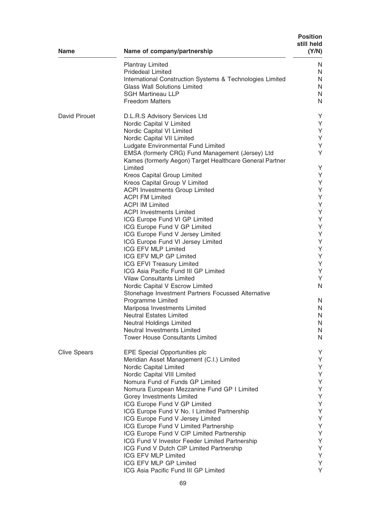| <b>Name</b>          | Name of company/partnership                                              | <b>Position</b><br>still held<br>(Y/N) |
|----------------------|--------------------------------------------------------------------------|----------------------------------------|
|                      | <b>Plantray Limited</b>                                                  | N                                      |
|                      | <b>Pridedeal Limited</b>                                                 | N                                      |
|                      | International Construction Systems & Technologies Limited                | N                                      |
|                      | <b>Glass Wall Solutions Limited</b>                                      | N                                      |
|                      | <b>SGH Martineau LLP</b><br><b>Freedom Matters</b>                       | N<br>N                                 |
|                      |                                                                          |                                        |
| <b>David Pirouet</b> | D.L.R.S Advisory Services Ltd                                            | Y                                      |
|                      | Nordic Capital V Limited<br>Nordic Capital VI Limited                    | Y<br>Υ                                 |
|                      | Nordic Capital VII Limited                                               | Y                                      |
|                      | Ludgate Environmental Fund Limited                                       | Y                                      |
|                      | EMSA (formerly CRG) Fund Management (Jersey) Ltd                         | Y                                      |
|                      | Kames (formerly Aegon) Target Healthcare General Partner                 |                                        |
|                      | Limited                                                                  | Y                                      |
|                      | <b>Kreos Capital Group Limited</b>                                       | Y                                      |
|                      | Kreos Capital Group V Limited<br><b>ACPI Investments Group Limited</b>   | Υ<br>Υ                                 |
|                      | <b>ACPI FM Limited</b>                                                   | Υ                                      |
|                      | <b>ACPI IM Limited</b>                                                   | Υ                                      |
|                      | <b>ACPI Investments Limited</b>                                          | Υ                                      |
|                      | ICG Europe Fund VI GP Limited                                            | Υ                                      |
|                      | ICG Europe Fund V GP Limited                                             | Υ                                      |
|                      | ICG Europe Fund V Jersey Limited                                         | Υ                                      |
|                      | ICG Europe Fund VI Jersey Limited<br><b>ICG EFV MLP Limited</b>          | Υ<br>Υ                                 |
|                      | ICG EFV MLP GP Limited                                                   | Υ                                      |
|                      | ICG EFVI Treasury Limited                                                | Υ                                      |
|                      | ICG Asia Pacific Fund III GP Limited                                     | Υ                                      |
|                      | <b>Vilaw Consultants Limited</b>                                         | Y                                      |
|                      | Nordic Capital V Escrow Limited                                          | N                                      |
|                      | Stonehage Investment Partners Focussed Alternative                       |                                        |
|                      | Programme Limited                                                        | N<br>N                                 |
|                      | Mariposa Investments Limited<br><b>Neutral Estates Limited</b>           | N                                      |
|                      | Neutral Holdings Limited                                                 | N                                      |
|                      | Neutral Investments Limited                                              | $\mathsf{N}$                           |
|                      | <b>Tower House Consultants Limited</b>                                   | $\mathsf{N}$                           |
| <b>Clive Spears</b>  | EPE Special Opportunities plc                                            | Υ                                      |
|                      | Meridian Asset Management (C.I.) Limited                                 | Υ                                      |
|                      | Nordic Capital Limited                                                   | Υ                                      |
|                      | Nordic Capital VIII Limited                                              | Υ                                      |
|                      | Nomura Fund of Funds GP Limited                                          | Υ<br>Υ                                 |
|                      | Nomura European Mezzanine Fund GP I Limited<br>Gorey Investments Limited | Υ                                      |
|                      | ICG Europe Fund V GP Limited                                             | Υ                                      |
|                      | ICG Europe Fund V No. I Limited Partnership                              | Υ                                      |
|                      | ICG Europe Fund V Jersey Limited                                         | Υ                                      |
|                      | ICG Europe Fund V Limited Partnership                                    | Υ                                      |
|                      | ICG Europe Fund V CIP Limited Partnership                                | Υ                                      |
|                      | ICG Fund V Investor Feeder Limited Partnership                           | Υ<br>Υ                                 |
|                      | ICG Fund V Dutch CIP Limited Partnership<br>ICG EFV MLP Limited          | Y                                      |
|                      | ICG EFV MLP GP Limited                                                   | Υ                                      |
|                      | ICG Asia Pacific Fund III GP Limited                                     | Υ                                      |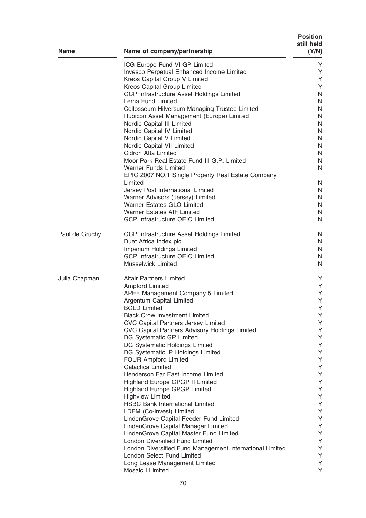| <b>Name</b>    | Name of company/partnership                                                        | <b>Position</b><br>still held<br>(Y/N) |
|----------------|------------------------------------------------------------------------------------|----------------------------------------|
|                | ICG Europe Fund VI GP Limited                                                      | Y                                      |
|                | Invesco Perpetual Enhanced Income Limited                                          | Y                                      |
|                | Kreos Capital Group V Limited                                                      | Y                                      |
|                | Kreos Capital Group Limited                                                        | Y                                      |
|                | <b>GCP Infrastructure Asset Holdings Limited</b>                                   | N                                      |
|                | Lema Fund Limited                                                                  | N                                      |
|                | Collosseum Hilversum Managing Trustee Limited                                      | N                                      |
|                | Rubicon Asset Management (Europe) Limited                                          | N                                      |
|                | Nordic Capital III Limited                                                         | N                                      |
|                | Nordic Capital IV Limited                                                          | N<br>N                                 |
|                | Nordic Capital V Limited<br>Nordic Capital VII Limited                             | N                                      |
|                | Cidron Atta Limited                                                                | N                                      |
|                | Moor Park Real Estate Fund III G.P. Limited                                        | N                                      |
|                | <b>Warner Funds Limited</b>                                                        | N                                      |
|                | EPIC 2007 NO.1 Single Property Real Estate Company<br>Limited                      | N                                      |
|                | Jersey Post International Limited                                                  | N                                      |
|                | Warner Advisors (Jersey) Limited                                                   | N                                      |
|                | <b>Warner Estates GLO Limited</b>                                                  | N                                      |
|                | <b>Warner Estates AIF Limited</b>                                                  | N                                      |
|                | <b>GCP Infrastructure OEIC Limited</b>                                             | N                                      |
| Paul de Gruchy | <b>GCP Infrastructure Asset Holdings Limited</b>                                   | N                                      |
|                | Duet Africa Index plc                                                              | N                                      |
|                | Imperium Holdings Limited                                                          | N                                      |
|                | <b>GCP Infrastructure OEIC Limited</b>                                             | N                                      |
|                | <b>Musselwick Limited</b>                                                          | N                                      |
| Julia Chapman  | <b>Altair Partners Limited</b>                                                     | Y                                      |
|                | Ampford Limited                                                                    | Y                                      |
|                | APEF Management Company 5 Limited                                                  | Y                                      |
|                | Argentum Capital Limited                                                           | Υ                                      |
|                | <b>BGLD Limited</b>                                                                | Υ                                      |
|                | <b>Black Crow Investment Limited</b><br><b>CVC Capital Partners Jersey Limited</b> | Υ<br>Υ                                 |
|                | CVC Capital Partners Advisory Holdings Limited                                     | Υ                                      |
|                | DG Systematic GP Limited                                                           | Υ                                      |
|                | DG Systematic Holdings Limited                                                     | Υ                                      |
|                | DG Systematic IP Holdings Limited                                                  | Υ                                      |
|                | <b>FOUR Ampford Limited</b>                                                        | Υ                                      |
|                | Galactica Limited                                                                  | Υ                                      |
|                | Henderson Far East Income Limited                                                  | Υ                                      |
|                | Highland Europe GPGP II Limited                                                    | Υ                                      |
|                | <b>Highland Europe GPGP Limited</b>                                                | Υ                                      |
|                | <b>Highview Limited</b>                                                            | Υ                                      |
|                | <b>HSBC Bank International Limited</b>                                             | Υ                                      |
|                | LDFM (Co-invest) Limited                                                           | Υ<br>Υ                                 |
|                | LindenGrove Capital Feeder Fund Limited                                            | Υ                                      |
|                | LindenGrove Capital Manager Limited<br>LindenGrove Capital Master Fund Limited     | Υ                                      |
|                | <b>London Diversified Fund Limited</b>                                             | Y                                      |
|                | London Diversified Fund Management International Limited                           | Y                                      |
|                | <b>London Select Fund Limited</b>                                                  | Y                                      |
|                | Long Lease Management Limited                                                      | Υ                                      |
|                | Mosaic I Limited                                                                   | Y                                      |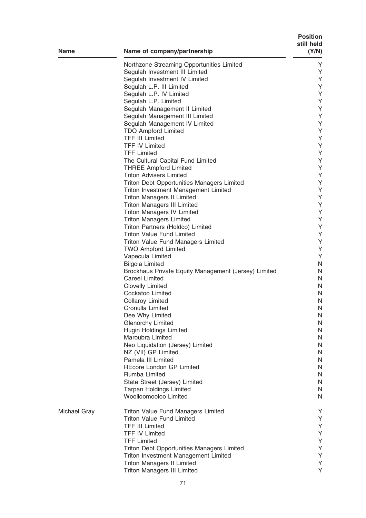| <b>Name</b>         | Name of company/partnership                                       | <b>Position</b><br>still held<br>(Y/N) |
|---------------------|-------------------------------------------------------------------|----------------------------------------|
|                     | Northzone Streaming Opportunities Limited                         | Y                                      |
|                     | Segulah Investment III Limited                                    | Υ                                      |
|                     | Segulah Investment IV Limited                                     | Υ                                      |
|                     | Segulah L.P. III Limited                                          | Υ                                      |
|                     | Segulah L.P. IV Limited                                           | Υ                                      |
|                     | Segulah L.P. Limited                                              | Υ                                      |
|                     | Segulah Management II Limited                                     | Υ                                      |
|                     | Segulah Management III Limited                                    | Υ                                      |
|                     | Segulah Management IV Limited                                     | Υ                                      |
|                     | <b>TDO Ampford Limited</b>                                        | Υ                                      |
|                     | <b>TFF III Limited</b>                                            | Υ                                      |
|                     | <b>TFF IV Limited</b>                                             | Υ                                      |
|                     | <b>TFF Limited</b>                                                | Υ                                      |
|                     | The Cultural Capital Fund Limited<br><b>THREE Ampford Limited</b> | Υ<br>Υ                                 |
|                     | <b>Triton Advisers Limited</b>                                    | Υ                                      |
|                     | <b>Triton Debt Opportunities Managers Limited</b>                 | Υ                                      |
|                     | Triton Investment Management Limited                              | Υ                                      |
|                     | <b>Triton Managers II Limited</b>                                 | Υ                                      |
|                     | <b>Triton Managers III Limited</b>                                | Υ                                      |
|                     | <b>Triton Managers IV Limited</b>                                 | Υ                                      |
|                     | <b>Triton Managers Limited</b>                                    | Υ                                      |
|                     | Triton Partners (Holdco) Limited                                  | Υ                                      |
|                     | <b>Triton Value Fund Limited</b>                                  | Υ                                      |
|                     | <b>Triton Value Fund Managers Limited</b>                         | Υ                                      |
|                     | <b>TWO Ampford Limited</b>                                        | Υ                                      |
|                     | Vapecula Limited                                                  | Υ                                      |
|                     | <b>Bilgola Limited</b>                                            | $\mathsf{N}$                           |
|                     | Brockhaus Private Equity Management (Jersey) Limited              | N                                      |
|                     | <b>Careel Limited</b>                                             | N                                      |
|                     | <b>Clovelly Limited</b>                                           | N                                      |
|                     | Cockatoo Limited                                                  | N                                      |
|                     | <b>Collaroy Limited</b>                                           | N                                      |
|                     | Cronulla Limited                                                  | N                                      |
|                     | Dee Why Limited                                                   | N                                      |
|                     | <b>Glenorchy Limited</b><br><b>Hugin Holdings Limited</b>         | N<br>N                                 |
|                     | Maroubra Limited                                                  | N                                      |
|                     | Neo Liquidation (Jersey) Limited                                  | N                                      |
|                     | NZ (VII) GP Limited                                               | N                                      |
|                     | Pamela III Limited                                                | N                                      |
|                     | <b>REcore London GP Limited</b>                                   | N                                      |
|                     | Rumba Limited                                                     | N                                      |
|                     | State Street (Jersey) Limited                                     | N                                      |
|                     | <b>Tarpan Holdings Limited</b>                                    | N                                      |
|                     | Woolloomooloo Limited                                             | N                                      |
| <b>Michael Gray</b> | <b>Triton Value Fund Managers Limited</b>                         | Y                                      |
|                     | <b>Triton Value Fund Limited</b>                                  | Υ                                      |
|                     | <b>TFF III Limited</b>                                            | Υ                                      |
|                     | <b>TFF IV Limited</b>                                             | Υ                                      |
|                     | <b>TFF Limited</b>                                                | Υ                                      |
|                     | <b>Triton Debt Opportunities Managers Limited</b>                 | Υ                                      |
|                     | Triton Investment Management Limited                              | Υ                                      |
|                     | <b>Triton Managers II Limited</b>                                 | Υ                                      |
|                     | <b>Triton Managers III Limited</b>                                | Υ                                      |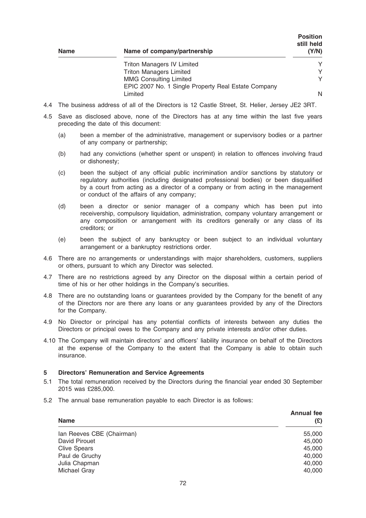| <b>Name</b> | Name of company/partnership                         | <b>Position</b><br>still held<br>(Y/N) |
|-------------|-----------------------------------------------------|----------------------------------------|
|             | <b>Triton Managers IV Limited</b>                   | Υ                                      |
|             | <b>Triton Managers Limited</b>                      |                                        |
|             | <b>MMG Consulting Limited</b>                       | γ                                      |
|             | EPIC 2007 No. 1 Single Property Real Estate Company |                                        |
|             | Limited                                             | N                                      |

- 4.4 The business address of all of the Directors is 12 Castle Street, St. Helier, Jersey JE2 3RT.
- 4.5 Save as disclosed above, none of the Directors has at any time within the last five years preceding the date of this document:
	- (a) been a member of the administrative, management or supervisory bodies or a partner of any company or partnership;
	- (b) had any convictions (whether spent or unspent) in relation to offences involving fraud or dishonesty;
	- (c) been the subject of any official public incrimination and/or sanctions by statutory or regulatory authorities (including designated professional bodies) or been disqualified by a court from acting as a director of a company or from acting in the management or conduct of the affairs of any company;
	- (d) been a director or senior manager of a company which has been put into receivership, compulsory liquidation, administration, company voluntary arrangement or any composition or arrangement with its creditors generally or any class of its creditors; or
	- (e) been the subject of any bankruptcy or been subject to an individual voluntary arrangement or a bankruptcy restrictions order.
- 4.6 There are no arrangements or understandings with major shareholders, customers, suppliers or others, pursuant to which any Director was selected.
- 4.7 There are no restrictions agreed by any Director on the disposal within a certain period of time of his or her other holdings in the Company's securities.
- 4.8 There are no outstanding loans or guarantees provided by the Company for the benefit of any of the Directors nor are there any loans or any guarantees provided by any of the Directors for the Company.
- 4.9 No Director or principal has any potential conflicts of interests between any duties the Directors or principal owes to the Company and any private interests and/or other duties.
- 4.10 The Company will maintain directors' and officers' liability insurance on behalf of the Directors at the expense of the Company to the extent that the Company is able to obtain such insurance.

#### 5 Directors' Remuneration and Service Agreements

- 5.1 The total remuneration received by the Directors during the financial year ended 30 September 2015 was £285,000.
- 5.2 The annual base remuneration payable to each Director is as follows:

| <b>Name</b>               | <b>Annual fee</b><br>(£) |
|---------------------------|--------------------------|
| Ian Reeves CBE (Chairman) | 55,000                   |
| David Pirouet             | 45,000                   |
| <b>Clive Spears</b>       | 45,000                   |
| Paul de Gruchy            | 40,000                   |
| Julia Chapman             | 40,000                   |
| Michael Gray              | 40,000                   |
|                           |                          |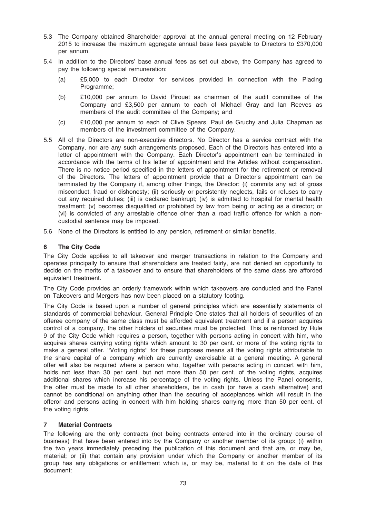- 5.3 The Company obtained Shareholder approval at the annual general meeting on 12 February 2015 to increase the maximum aggregate annual base fees payable to Directors to £370,000 per annum.
- 5.4 In addition to the Directors' base annual fees as set out above, the Company has agreed to pay the following special remuneration:
	- (a) £5,000 to each Director for services provided in connection with the Placing Programme;
	- (b) £10,000 per annum to David Pirouet as chairman of the audit committee of the Company and £3,500 per annum to each of Michael Gray and Ian Reeves as members of the audit committee of the Company; and
	- (c) £10,000 per annum to each of Clive Spears, Paul de Gruchy and Julia Chapman as members of the investment committee of the Company.
- 5.5 All of the Directors are non-executive directors. No Director has a service contract with the Company, nor are any such arrangements proposed. Each of the Directors has entered into a letter of appointment with the Company. Each Director's appointment can be terminated in accordance with the terms of his letter of appointment and the Articles without compensation. There is no notice period specified in the letters of appointment for the retirement or removal of the Directors. The letters of appointment provide that a Director's appointment can be terminated by the Company if, among other things, the Director: (i) commits any act of gross misconduct, fraud or dishonesty; (ii) seriously or persistently neglects, fails or refuses to carry out any required duties; (iii) is declared bankrupt; (iv) is admitted to hospital for mental health treatment; (v) becomes disqualified or prohibited by law from being or acting as a director; or (vi) is convicted of any arrestable offence other than a road traffic offence for which a noncustodial sentence may be imposed.
- 5.6 None of the Directors is entitled to any pension, retirement or similar benefits.

## 6 The City Code

The City Code applies to all takeover and merger transactions in relation to the Company and operates principally to ensure that shareholders are treated fairly, are not denied an opportunity to decide on the merits of a takeover and to ensure that shareholders of the same class are afforded equivalent treatment.

The City Code provides an orderly framework within which takeovers are conducted and the Panel on Takeovers and Mergers has now been placed on a statutory footing.

The City Code is based upon a number of general principles which are essentially statements of standards of commercial behaviour. General Principle One states that all holders of securities of an offeree company of the same class must be afforded equivalent treatment and if a person acquires control of a company, the other holders of securities must be protected. This is reinforced by Rule 9 of the City Code which requires a person, together with persons acting in concert with him, who acquires shares carrying voting rights which amount to 30 per cent. or more of the voting rights to make a general offer. ''Voting rights'' for these purposes means all the voting rights attributable to the share capital of a company which are currently exercisable at a general meeting. A general offer will also be required where a person who, together with persons acting in concert with him, holds not less than 30 per cent. but not more than 50 per cent. of the voting rights, acquires additional shares which increase his percentage of the voting rights. Unless the Panel consents, the offer must be made to all other shareholders, be in cash (or have a cash alternative) and cannot be conditional on anything other than the securing of acceptances which will result in the offeror and persons acting in concert with him holding shares carrying more than 50 per cent. of the voting rights.

#### 7 Material Contracts

The following are the only contracts (not being contracts entered into in the ordinary course of business) that have been entered into by the Company or another member of its group: (i) within the two years immediately preceding the publication of this document and that are, or may be, material; or (ii) that contain any provision under which the Company or another member of its group has any obligations or entitlement which is, or may be, material to it on the date of this document: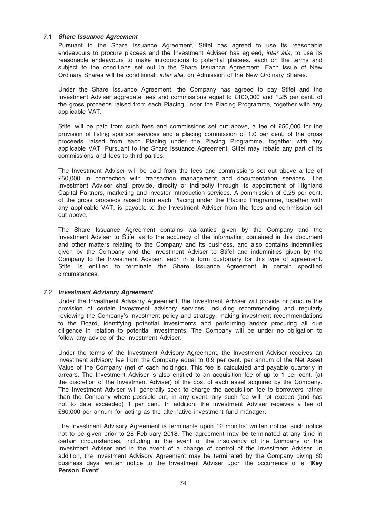## 7.1 Share Issuance Agreement

Pursuant to the Share Issuance Agreement, Stifel has agreed to use its reasonable endeavours to procure placees and the Investment Adviser has agreed, *inter alia*, to use its reasonable endeavours to make introductions to potential placees, each on the terms and subject to the conditions set out in the Share Issuance Agreement. Each issue of New Ordinary Shares will be conditional, inter alia, on Admission of the New Ordinary Shares.

Under the Share Issuance Agreement, the Company has agreed to pay Stifel and the Investment Adviser aggregate fees and commissions equal to £100,000 and 1.25 per cent. of the gross proceeds raised from each Placing under the Placing Programme, together with any applicable VAT.

Stifel will be paid from such fees and commissions set out above, a fee of £50,000 for the provision of listing sponsor services and a placing commission of 1.0 per cent. of the gross proceeds raised from each Placing under the Placing Programme, together with any applicable VAT. Pursuant to the Share Issuance Agreement, Stifel may rebate any part of its commissions and fees to third parties.

The Investment Adviser will be paid from the fees and commissions set out above a fee of £50,000 in connection with transaction management and documentation services. The Investment Adviser shall provide, directly or indirectly through its appointment of Highland Capital Partners, marketing and investor introduction services. A commission of 0.25 per cent. of the gross proceeds raised from each Placing under the Placing Programme, together with any applicable VAT, is payable to the Investment Adviser from the fees and commission set out above.

The Share Issuance Agreement contains warranties given by the Company and the Investment Adviser to Stifel as to the accuracy of the information contained in this document and other matters relating to the Company and its business, and also contains indemnities given by the Company and the Investment Adviser to Stifel and indemnities given by the Company to the Investment Adviser, each in a form customary for this type of agreement. Stifel is entitled to terminate the Share Issuance Agreement in certain specified circumstances.

## 7.2 Investment Advisory Agreement

Under the Investment Advisory Agreement, the Investment Adviser will provide or procure the provision of certain investment advisory services, including recommending and regularly reviewing the Company's investment policy and strategy, making investment recommendations to the Board, identifying potential investments and performing and/or procuring all due diligence in relation to potential investments. The Company will be under no obligation to follow any advice of the Investment Adviser.

Under the terms of the Investment Advisory Agreement, the Investment Adviser receives an investment advisory fee from the Company equal to 0.9 per cent. per annum of the Net Asset Value of the Company (net of cash holdings). This fee is calculated and payable quarterly in arrears. The Investment Adviser is also entitled to an acquisition fee of up to 1 per cent. (at the discretion of the Investment Adviser) of the cost of each asset acquired by the Company. The Investment Adviser will generally seek to charge the acquisition fee to borrowers rather than the Company where possible but, in any event, any such fee will not exceed (and has not to date exceeded) 1 per cent. In addition, the Investment Adviser receives a fee of £60,000 per annum for acting as the alternative investment fund manager.

The Investment Advisory Agreement is terminable upon 12 months' written notice, such notice not to be given prior to 28 February 2018. The agreement may be terminated at any time in certain circumstances, including in the event of the insolvency of the Company or the Investment Adviser and in the event of a change of control of the Investment Adviser. In addition, the Investment Advisory Agreement may be terminated by the Company giving 60 business days' written notice to the Investment Adviser upon the occurrence of a "Key Person Event''.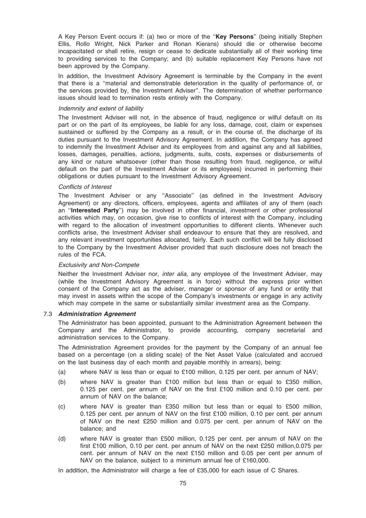A Key Person Event occurs if: (a) two or more of the "Key Persons" (being initially Stephen Ellis, Rollo Wright, Nick Parker and Ronan Kierans) should die or otherwise become incapacitated or shall retire, resign or cease to dedicate substantially all of their working time to providing services to the Company; and (b) suitable replacement Key Persons have not been approved by the Company.

In addition, the Investment Advisory Agreement is terminable by the Company in the event that there is a ''material and demonstrable deterioration in the quality of performance of, or the services provided by, the Investment Adviser''. The determination of whether performance issues should lead to termination rests entirely with the Company.

#### Indemnity and extent of liability

The Investment Adviser will not, in the absence of fraud, negligence or wilful default on its part or on the part of its employees, be liable for any loss, damage, cost, claim or expenses sustained or suffered by the Company as a result, or in the course of, the discharge of its duties pursuant to the Investment Advisory Agreement. In addition, the Company has agreed to indemnify the Investment Adviser and its employees from and against any and all liabilities, losses, damages, penalties, actions, judgments, suits, costs, expenses or disbursements of any kind or nature whatsoever (other than those resulting from fraud, negligence, or wilful default on the part of the Investment Adviser or its employees) incurred in performing their obligations or duties pursuant to the Investment Advisory Agreement.

#### Conflicts of Interest

The Investment Adviser or any ''Associate'' (as defined in the Investment Advisory Agreement) or any directors, officers, employees, agents and affiliates of any of them (each an "**Interested Party**") may be involved in other financial, investment or other professional activities which may, on occasion, give rise to conflicts of interest with the Company, including with regard to the allocation of investment opportunities to different clients. Whenever such conflicts arise, the Investment Adviser shall endeavour to ensure that they are resolved, and any relevant investment opportunities allocated, fairly. Each such conflict will be fully disclosed to the Company by the Investment Adviser provided that such disclosure does not breach the rules of the FCA.

#### Exclusivity and Non-Compete

Neither the Investment Adviser nor, *inter alia*, any employee of the Investment Adviser, may (while the Investment Advisory Agreement is in force) without the express prior written consent of the Company act as the adviser, manager or sponsor of any fund or entity that may invest in assets within the scope of the Company's investments or engage in any activity which may compete in the same or substantially similar investment area as the Company.

## 7.3 Administration Agreement

The Administrator has been appointed, pursuant to the Administration Agreement between the Company and the Administrator, to provide accounting, company secretarial and administration services to the Company.

The Administration Agreement provides for the payment by the Company of an annual fee based on a percentage (on a sliding scale) of the Net Asset Value (calculated and accrued on the last business day of each month and payable monthly in arrears), being:

- (a) where NAV is less than or equal to £100 million, 0.125 per cent. per annum of NAV;
- (b) where NAV is greater than £100 million but less than or equal to £350 million, 0.125 per cent. per annum of NAV on the first £100 million and 0.10 per cent. per annum of NAV on the balance;
- (c) where NAV is greater than £350 million but less than or equal to £500 million, 0.125 per cent. per annum of NAV on the first £100 million, 0.10 per cent. per annum of NAV on the next £250 million and 0.075 per cent. per annum of NAV on the balance; and
- (d) where NAV is greater than £500 million, 0.125 per cent. per annum of NAV on the first £100 million, 0.10 per cent. per annum of NAV on the next £250 million,0.075 per cent. per annum of NAV on the next £150 million and 0.05 per cent per annum of NAV on the balance, subject to a minimum annual fee of £160,000.

In addition, the Administrator will charge a fee of £35,000 for each issue of C Shares.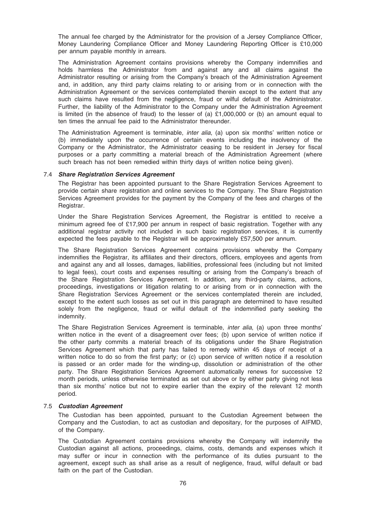The annual fee charged by the Administrator for the provision of a Jersey Compliance Officer, Money Laundering Compliance Officer and Money Laundering Reporting Officer is £10,000 per annum payable monthly in arrears.

The Administration Agreement contains provisions whereby the Company indemnifies and holds harmless the Administrator from and against any and all claims against the Administrator resulting or arising from the Company's breach of the Administration Agreement and, in addition, any third party claims relating to or arising from or in connection with the Administration Agreement or the services contemplated therein except to the extent that any such claims have resulted from the negligence, fraud or wilful default of the Administrator. Further, the liability of the Administrator to the Company under the Administration Agreement is limited (in the absence of fraud) to the lesser of (a)  $£1,000,000$  or (b) an amount equal to ten times the annual fee paid to the Administrator thereunder.

The Administration Agreement is terminable, *inter alia*, (a) upon six months' written notice or (b) immediately upon the occurrence of certain events including the insolvency of the Company or the Administrator, the Administrator ceasing to be resident in Jersey for fiscal purposes or a party committing a material breach of the Administration Agreement (where such breach has not been remedied within thirty days of written notice being given).

#### 7.4 Share Registration Services Agreement

The Registrar has been appointed pursuant to the Share Registration Services Agreement to provide certain share registration and online services to the Company. The Share Registration Services Agreement provides for the payment by the Company of the fees and charges of the Registrar.

Under the Share Registration Services Agreement, the Registrar is entitled to receive a minimum agreed fee of £17,900 per annum in respect of basic registration. Together with any additional registrar activity not included in such basic registration services, it is currently expected the fees payable to the Registrar will be approximately £57,500 per annum.

The Share Registration Services Agreement contains provisions whereby the Company indemnifies the Registrar, its affiliates and their directors, officers, employees and agents from and against any and all losses, damages, liabilities, professional fees (including but not limited to legal fees), court costs and expenses resulting or arising from the Company's breach of the Share Registration Services Agreement. In addition, any third-party claims, actions, proceedings, investigations or litigation relating to or arising from or in connection with the Share Registration Services Agreement or the services contemplated therein are included, except to the extent such losses as set out in this paragraph are determined to have resulted solely from the negligence, fraud or wilful default of the indemnified party seeking the indemnity.

The Share Registration Services Agreement is terminable, inter alia, (a) upon three months' written notice in the event of a disagreement over fees; (b) upon service of written notice if the other party commits a material breach of its obligations under the Share Registration Services Agreement which that party has failed to remedy within 45 days of receipt of a written notice to do so from the first party; or (c) upon service of written notice if a resolution is passed or an order made for the winding-up, dissolution or administration of the other party. The Share Registration Services Agreement automatically renews for successive 12 month periods, unless otherwise terminated as set out above or by either party giving not less than six months' notice but not to expire earlier than the expiry of the relevant 12 month period.

## 7.5 Custodian Agreement

The Custodian has been appointed, pursuant to the Custodian Agreement between the Company and the Custodian, to act as custodian and depositary, for the purposes of AIFMD, of the Company.

The Custodian Agreement contains provisions whereby the Company will indemnify the Custodian against all actions, proceedings, claims, costs, demands and expenses which it may suffer or incur in connection with the performance of its duties pursuant to the agreement, except such as shall arise as a result of negligence, fraud, wilful default or bad faith on the part of the Custodian.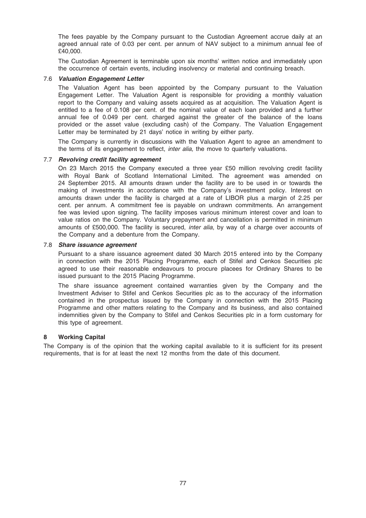The fees payable by the Company pursuant to the Custodian Agreement accrue daily at an agreed annual rate of 0.03 per cent. per annum of NAV subject to a minimum annual fee of £40,000.

The Custodian Agreement is terminable upon six months' written notice and immediately upon the occurrence of certain events, including insolvency or material and continuing breach.

## 7.6 Valuation Engagement Letter

The Valuation Agent has been appointed by the Company pursuant to the Valuation Engagement Letter. The Valuation Agent is responsible for providing a monthly valuation report to the Company and valuing assets acquired as at acquisition. The Valuation Agent is entitled to a fee of 0.108 per cent. of the nominal value of each loan provided and a further annual fee of 0.049 per cent. charged against the greater of the balance of the loans provided or the asset value (excluding cash) of the Company. The Valuation Engagement Letter may be terminated by 21 days' notice in writing by either party.

The Company is currently in discussions with the Valuation Agent to agree an amendment to the terms of its engagement to reflect, inter alia, the move to quarterly valuations.

## 7.7 Revolving credit facility agreement

On 23 March 2015 the Company executed a three year £50 million revolving credit facility with Royal Bank of Scotland International Limited. The agreement was amended on 24 September 2015. All amounts drawn under the facility are to be used in or towards the making of investments in accordance with the Company's investment policy. Interest on amounts drawn under the facility is charged at a rate of LIBOR plus a margin of 2.25 per cent. per annum. A commitment fee is payable on undrawn commitments. An arrangement fee was levied upon signing. The facility imposes various minimum interest cover and loan to value ratios on the Company. Voluntary prepayment and cancellation is permitted in minimum amounts of £500,000. The facility is secured, inter alia, by way of a charge over accounts of the Company and a debenture from the Company.

#### 7.8 Share issuance agreement

Pursuant to a share issuance agreement dated 30 March 2015 entered into by the Company in connection with the 2015 Placing Programme, each of Stifel and Cenkos Securities plc agreed to use their reasonable endeavours to procure placees for Ordinary Shares to be issued pursuant to the 2015 Placing Programme.

The share issuance agreement contained warranties given by the Company and the Investment Adviser to Stifel and Cenkos Securities plc as to the accuracy of the information contained in the prospectus issued by the Company in connection with the 2015 Placing Programme and other matters relating to the Company and its business, and also contained indemnities given by the Company to Stifel and Cenkos Securities plc in a form customary for this type of agreement.

#### 8 Working Capital

The Company is of the opinion that the working capital available to it is sufficient for its present requirements, that is for at least the next 12 months from the date of this document.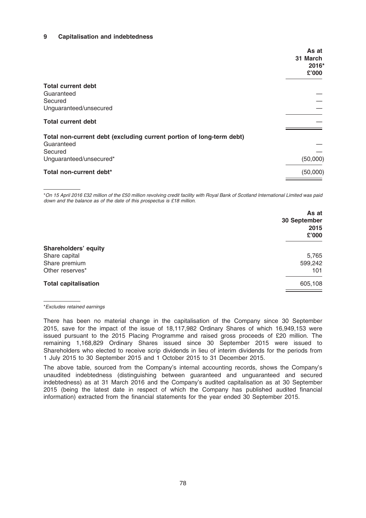## 9 Capitalisation and indebtedness

|                                                                      | As at<br>31 March<br>2016* |
|----------------------------------------------------------------------|----------------------------|
|                                                                      | £'000                      |
| <b>Total current debt</b>                                            |                            |
| Guaranteed                                                           |                            |
| Secured                                                              |                            |
| Unguaranteed/unsecured                                               |                            |
| <b>Total current debt</b>                                            |                            |
| Total non-current debt (excluding current portion of long-term debt) |                            |
| Guaranteed<br>Secured                                                |                            |
| Unguaranteed/unsecured*                                              | (50,000)                   |
| Total non-current debt*                                              | (50,000)                   |

\*On 15 April 2016 £32 million of the £50 million revolving credit facility with Royal Bank of Scotland International Limited was paid down and the balance as of the date of this prospectus is £18 million.

| As at<br>30 September<br>2015<br>£'000 |
|----------------------------------------|
|                                        |
| 5,765                                  |
| 599,242                                |
| 101                                    |
| 605,108                                |
|                                        |

\*Excludes retained earnings

There has been no material change in the capitalisation of the Company since 30 September 2015, save for the impact of the issue of 18,117,982 Ordinary Shares of which 16,949,153 were issued pursuant to the 2015 Placing Programme and raised gross proceeds of £20 million. The remaining 1,168,829 Ordinary Shares issued since 30 September 2015 were issued to Shareholders who elected to receive scrip dividends in lieu of interim dividends for the periods from 1 July 2015 to 30 September 2015 and 1 October 2015 to 31 December 2015.

The above table, sourced from the Company's internal accounting records, shows the Company's unaudited indebtedness (distinguishing between guaranteed and unguaranteed and secured indebtedness) as at 31 March 2016 and the Company's audited capitalisation as at 30 September 2015 (being the latest date in respect of which the Company has published audited financial information) extracted from the financial statements for the year ended 30 September 2015.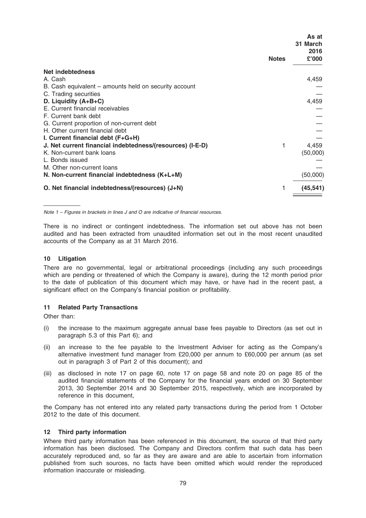|                                                           | As at<br>31 March<br>2016 |
|-----------------------------------------------------------|---------------------------|
| <b>Notes</b>                                              | £'000                     |
| Net indebtedness                                          |                           |
| A. Cash                                                   | 4,459                     |
| B. Cash equivalent – amounts held on security account     |                           |
| C. Trading securities                                     |                           |
| D. Liquidity (A+B+C)                                      | 4,459                     |
| E. Current financial receivables                          |                           |
| F. Current bank debt                                      |                           |
| G. Current proportion of non-current debt                 |                           |
| H. Other current financial debt                           |                           |
| I. Current financial debt (F+G+H)                         |                           |
| J. Net current financial indebtedness/(resources) (I-E-D) | 4,459                     |
| K. Non-current bank loans                                 | (50,000)                  |
| L. Bonds issued                                           |                           |
| M. Other non-current loans                                |                           |
| N. Non-current financial indebtedness (K+L+M)             | (50,000)                  |
| O. Net financial indebtedness/(resources) (J+N)           | (45, 541)                 |

Note 1 – Figures in brackets in lines J and O are indicative of financial resources.

There is no indirect or contingent indebtedness. The information set out above has not been audited and has been extracted from unaudited information set out in the most recent unaudited accounts of the Company as at 31 March 2016.

## 10 Litigation

There are no governmental, legal or arbitrational proceedings (including any such proceedings which are pending or threatened of which the Company is aware), during the 12 month period prior to the date of publication of this document which may have, or have had in the recent past, a significant effect on the Company's financial position or profitability.

#### 11 Related Party Transactions

Other than:

- (i) the increase to the maximum aggregate annual base fees payable to Directors (as set out in paragraph 5.3 of this Part 6); and
- (ii) an increase to the fee payable to the Investment Adviser for acting as the Company's alternative investment fund manager from £20,000 per annum to £60,000 per annum (as set out in paragraph 3 of Part 2 of this document); and
- (iii) as disclosed in note 17 on page 60, note 17 on page 58 and note 20 on page 85 of the audited financial statements of the Company for the financial years ended on 30 September 2013, 30 September 2014 and 30 September 2015, respectively, which are incorporated by reference in this document,

the Company has not entered into any related party transactions during the period from 1 October 2012 to the date of this document.

#### 12 Third party information

Where third party information has been referenced in this document, the source of that third party information has been disclosed. The Company and Directors confirm that such data has been accurately reproduced and, so far as they are aware and are able to ascertain from information published from such sources, no facts have been omitted which would render the reproduced information inaccurate or misleading.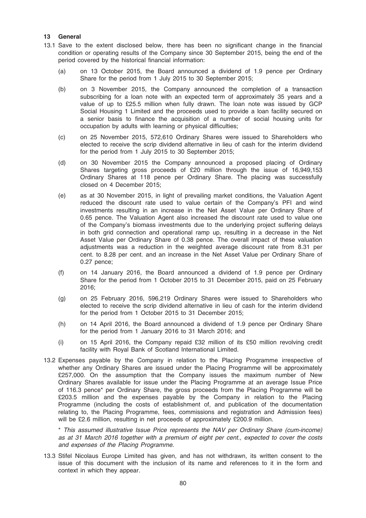## 13 General

- 13.1 Save to the extent disclosed below, there has been no significant change in the financial condition or operating results of the Company since 30 September 2015, being the end of the period covered by the historical financial information:
	- (a) on 13 October 2015, the Board announced a dividend of 1.9 pence per Ordinary Share for the period from 1 July 2015 to 30 September 2015;
	- (b) on 3 November 2015, the Company announced the completion of a transaction subscribing for a loan note with an expected term of approximately 35 years and a value of up to £25.5 million when fully drawn. The loan note was issued by GCP Social Housing 1 Limited and the proceeds used to provide a loan facility secured on a senior basis to finance the acquisition of a number of social housing units for occupation by adults with learning or physical difficulties;
	- (c) on 25 November 2015, 572,610 Ordinary Shares were issued to Shareholders who elected to receive the scrip dividend alternative in lieu of cash for the interim dividend for the period from 1 July 2015 to 30 September 2015;
	- (d) on 30 November 2015 the Company announced a proposed placing of Ordinary Shares targeting gross proceeds of £20 million through the issue of 16,949,153 Ordinary Shares at 118 pence per Ordinary Share. The placing was successfully closed on 4 December 2015;
	- (e) as at 30 November 2015, in light of prevailing market conditions, the Valuation Agent reduced the discount rate used to value certain of the Company's PFI and wind investments resulting in an increase in the Net Asset Value per Ordinary Share of 0.65 pence. The Valuation Agent also increased the discount rate used to value one of the Company's biomass investments due to the underlying project suffering delays in both grid connection and operational ramp up, resulting in a decrease in the Net Asset Value per Ordinary Share of 0.38 pence. The overall impact of these valuation adjustments was a reduction in the weighted average discount rate from 8.31 per cent. to 8.28 per cent. and an increase in the Net Asset Value per Ordinary Share of 0.27 pence;
	- (f) on 14 January 2016, the Board announced a dividend of 1.9 pence per Ordinary Share for the period from 1 October 2015 to 31 December 2015, paid on 25 February 2016;
	- (g) on 25 February 2016, 596,219 Ordinary Shares were issued to Shareholders who elected to receive the scrip dividend alternative in lieu of cash for the interim dividend for the period from 1 October 2015 to 31 December 2015;
	- (h) on 14 April 2016, the Board announced a dividend of 1.9 pence per Ordinary Share for the period from 1 January 2016 to 31 March 2016; and
	- (i) on 15 April 2016, the Company repaid £32 million of its £50 million revolving credit facility with Royal Bank of Scotland International Limited.
- 13.2 Expenses payable by the Company in relation to the Placing Programme irrespective of whether any Ordinary Shares are issued under the Placing Programme will be approximately £257,000. On the assumption that the Company issues the maximum number of New Ordinary Shares available for issue under the Placing Programme at an average Issue Price of 116.3 pence\* per Ordinary Share, the gross proceeds from the Placing Programme will be £203.5 million and the expenses payable by the Company in relation to the Placing Programme (including the costs of establishment of, and publication of the documentation relating to, the Placing Programme, fees, commissions and registration and Admission fees) will be £2.6 million, resulting in net proceeds of approximately £200.9 million.

\* This assumed illustrative Issue Price represents the NAV per Ordinary Share (cum-income) as at 31 March 2016 together with a premium of eight per cent., expected to cover the costs and expenses of the Placing Programme.

13.3 Stifel Nicolaus Europe Limited has given, and has not withdrawn, its written consent to the issue of this document with the inclusion of its name and references to it in the form and context in which they appear.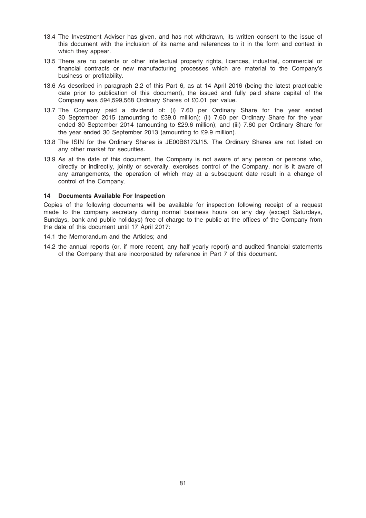- 13.4 The Investment Adviser has given, and has not withdrawn, its written consent to the issue of this document with the inclusion of its name and references to it in the form and context in which they appear.
- 13.5 There are no patents or other intellectual property rights, licences, industrial, commercial or financial contracts or new manufacturing processes which are material to the Company's business or profitability.
- 13.6 As described in paragraph 2.2 of this Part 6, as at 14 April 2016 (being the latest practicable date prior to publication of this document), the issued and fully paid share capital of the Company was 594,599,568 Ordinary Shares of £0.01 par value.
- 13.7 The Company paid a dividend of: (i) 7.60 per Ordinary Share for the year ended 30 September 2015 (amounting to £39.0 million); (ii) 7.60 per Ordinary Share for the year ended 30 September 2014 (amounting to £29.6 million); and (iii) 7.60 per Ordinary Share for the year ended 30 September 2013 (amounting to £9.9 million).
- 13.8 The ISIN for the Ordinary Shares is JE00B6173J15. The Ordinary Shares are not listed on any other market for securities.
- 13.9 As at the date of this document, the Company is not aware of any person or persons who, directly or indirectly, jointly or severally, exercises control of the Company, nor is it aware of any arrangements, the operation of which may at a subsequent date result in a change of control of the Company.

#### 14 Documents Available For Inspection

Copies of the following documents will be available for inspection following receipt of a request made to the company secretary during normal business hours on any day (except Saturdays, Sundays, bank and public holidays) free of charge to the public at the offices of the Company from the date of this document until 17 April 2017:

- 14.1 the Memorandum and the Articles; and
- 14.2 the annual reports (or, if more recent, any half yearly report) and audited financial statements of the Company that are incorporated by reference in Part 7 of this document.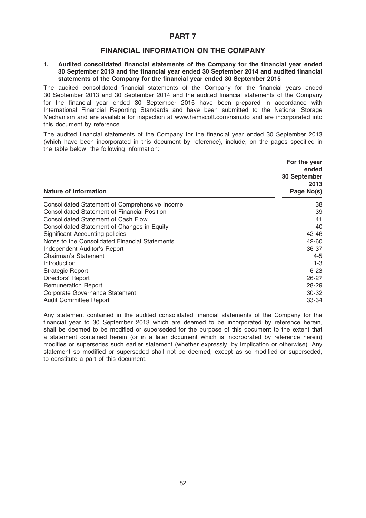## PART 7

## FINANCIAL INFORMATION ON THE COMPANY

## 1. Audited consolidated financial statements of the Company for the financial year ended 30 September 2013 and the financial year ended 30 September 2014 and audited financial statements of the Company for the financial year ended 30 September 2015

The audited consolidated financial statements of the Company for the financial years ended 30 September 2013 and 30 September 2014 and the audited financial statements of the Company for the financial year ended 30 September 2015 have been prepared in accordance with International Financial Reporting Standards and have been submitted to the National Storage Mechanism and are available for inspection at www.hemscott.com/nsm.do and are incorporated into this document by reference.

The audited financial statements of the Company for the financial year ended 30 September 2013 (which have been incorporated in this document by reference), include, on the pages specified in the table below, the following information:

| <b>Nature of information</b>                        | For the year<br>ended<br>30 September<br>2013<br>Page No(s) |
|-----------------------------------------------------|-------------------------------------------------------------|
| Consolidated Statement of Comprehensive Income      | 38                                                          |
| <b>Consolidated Statement of Financial Position</b> | 39                                                          |
| Consolidated Statement of Cash Flow                 | 41                                                          |
| Consolidated Statement of Changes in Equity         | 40                                                          |
| Significant Accounting policies                     | 42-46                                                       |
| Notes to the Consolidated Financial Statements      | $42 - 60$                                                   |
| Independent Auditor's Report                        | 36-37                                                       |
| Chairman's Statement                                | $4 - 5$                                                     |
| Introduction                                        | $1 - 3$                                                     |
| <b>Strategic Report</b>                             | $6 - 23$                                                    |
| Directors' Report                                   | $26 - 27$                                                   |
| <b>Remuneration Report</b>                          | 28-29                                                       |
| Corporate Governance Statement                      | 30-32                                                       |
| <b>Audit Committee Report</b>                       | 33-34                                                       |

Any statement contained in the audited consolidated financial statements of the Company for the financial year to 30 September 2013 which are deemed to be incorporated by reference herein, shall be deemed to be modified or superseded for the purpose of this document to the extent that a statement contained herein (or in a later document which is incorporated by reference herein) modifies or supersedes such earlier statement (whether expressly, by implication or otherwise). Any statement so modified or superseded shall not be deemed, except as so modified or superseded, to constitute a part of this document.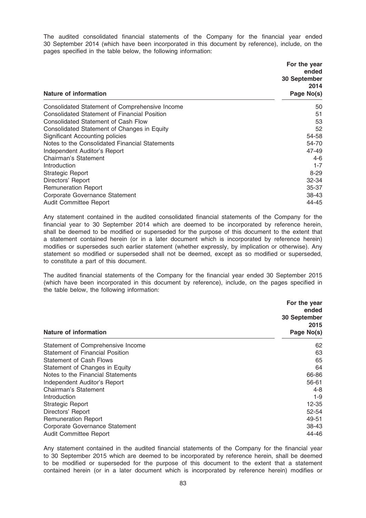The audited consolidated financial statements of the Company for the financial year ended 30 September 2014 (which have been incorporated in this document by reference), include, on the pages specified in the table below, the following information:

| <b>Nature of information</b>                        | For the year<br>ended<br>30 September<br>2014<br>Page No(s) |
|-----------------------------------------------------|-------------------------------------------------------------|
| Consolidated Statement of Comprehensive Income      | 50                                                          |
| <b>Consolidated Statement of Financial Position</b> | 51                                                          |
| Consolidated Statement of Cash Flow                 | 53                                                          |
| Consolidated Statement of Changes in Equity         | 52                                                          |
| Significant Accounting policies                     | 54-58                                                       |
| Notes to the Consolidated Financial Statements      | 54-70                                                       |
| Independent Auditor's Report                        | 47-49                                                       |
| Chairman's Statement                                | 4-6                                                         |
| Introduction                                        | $1 - 7$                                                     |
| Strategic Report                                    | $8-29$                                                      |
| Directors' Report                                   | 32-34                                                       |
| <b>Remuneration Report</b>                          | 35-37                                                       |
| Corporate Governance Statement                      | 38-43                                                       |
| Audit Committee Report                              | 44-45                                                       |

Any statement contained in the audited consolidated financial statements of the Company for the financial year to 30 September 2014 which are deemed to be incorporated by reference herein, shall be deemed to be modified or superseded for the purpose of this document to the extent that a statement contained herein (or in a later document which is incorporated by reference herein) modifies or supersedes such earlier statement (whether expressly, by implication or otherwise). Any statement so modified or superseded shall not be deemed, except as so modified or superseded, to constitute a part of this document.

The audited financial statements of the Company for the financial year ended 30 September 2015 (which have been incorporated in this document by reference), include, on the pages specified in the table below, the following information:

| Nature of information                  | For the year<br>ended<br>30 September<br>2015<br>Page No(s) |
|----------------------------------------|-------------------------------------------------------------|
|                                        |                                                             |
| Statement of Comprehensive Income      | 62                                                          |
| <b>Statement of Financial Position</b> | 63                                                          |
| <b>Statement of Cash Flows</b>         | 65                                                          |
| Statement of Changes in Equity         | 64                                                          |
| Notes to the Financial Statements      | 66-86                                                       |
| Independent Auditor's Report           | 56-61                                                       |
| Chairman's Statement                   | $4 - 8$                                                     |
| Introduction                           | 1-9                                                         |
| <b>Strategic Report</b>                | 12-35                                                       |
| Directors' Report                      | 52-54                                                       |
| <b>Remuneration Report</b>             | 49-51                                                       |
| Corporate Governance Statement         | 38-43                                                       |
| <b>Audit Committee Report</b>          | 44-46                                                       |

Any statement contained in the audited financial statements of the Company for the financial year to 30 September 2015 which are deemed to be incorporated by reference herein, shall be deemed to be modified or superseded for the purpose of this document to the extent that a statement contained herein (or in a later document which is incorporated by reference herein) modifies or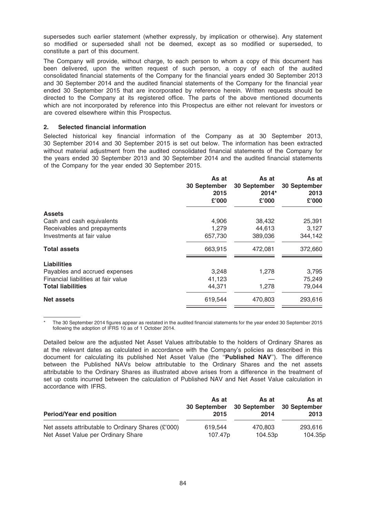supersedes such earlier statement (whether expressly, by implication or otherwise). Any statement so modified or superseded shall not be deemed, except as so modified or superseded, to constitute a part of this document.

The Company will provide, without charge, to each person to whom a copy of this document has been delivered, upon the written request of such person, a copy of each of the audited consolidated financial statements of the Company for the financial years ended 30 September 2013 and 30 September 2014 and the audited financial statements of the Company for the financial year ended 30 September 2015 that are incorporated by reference herein. Written requests should be directed to the Company at its registered office. The parts of the above mentioned documents which are not incorporated by reference into this Prospectus are either not relevant for investors or are covered elsewhere within this Prospectus.

## 2. Selected financial information

Selected historical key financial information of the Company as at 30 September 2013, 30 September 2014 and 30 September 2015 is set out below. The information has been extracted without material adjustment from the audited consolidated financial statements of the Company for the years ended 30 September 2013 and 30 September 2014 and the audited financial statements of the Company for the year ended 30 September 2015.

|                                     | As at<br>30 September<br>2015<br>£'000 | As at<br>30 September<br>$2014*$<br>£'000 | As at<br><b>30 September</b><br>2013<br>£'000 |
|-------------------------------------|----------------------------------------|-------------------------------------------|-----------------------------------------------|
| <b>Assets</b>                       |                                        |                                           |                                               |
| Cash and cash equivalents           | 4,906                                  | 38,432                                    | 25,391                                        |
| Receivables and prepayments         | 1,279                                  | 44,613                                    | 3,127                                         |
| Investments at fair value           | 657,730                                | 389,036                                   | 344,142                                       |
| <b>Total assets</b>                 | 663,915                                | 472,081                                   | 372,660                                       |
| <b>Liabilities</b>                  |                                        |                                           |                                               |
| Payables and accrued expenses       | 3,248                                  | 1,278                                     | 3,795                                         |
| Financial liabilities at fair value | 41,123                                 |                                           | 75,249                                        |
| <b>Total liabilities</b>            | 44,371                                 | 1,278                                     | 79,044                                        |
| Net assets                          | 619,544                                | 470,803                                   | 293,616                                       |

The 30 September 2014 figures appear as restated in the audited financial statements for the year ended 30 September 2015 following the adoption of IFRS 10 as of 1 October 2014.

Detailed below are the adjusted Net Asset Values attributable to the holders of Ordinary Shares as at the relevant dates as calculated in accordance with the Company's policies as described in this document for calculating its published Net Asset Value (the "Published NAV"). The difference between the Published NAVs below attributable to the Ordinary Shares and the net assets attributable to the Ordinary Shares as illustrated above arises from a difference in the treatment of set up costs incurred between the calculation of Published NAV and Net Asset Value calculation in accordance with IFRS.

| <b>Period/Year end position</b>                    | As at               | As at               | As at        |
|----------------------------------------------------|---------------------|---------------------|--------------|
|                                                    | 30 September        | 30 September        | 30 September |
|                                                    | 2015                | 2014                | 2013         |
| Net assets attributable to Ordinary Shares (£'000) | 619.544             | 470.803             | 293.616      |
| Net Asset Value per Ordinary Share                 | 107.47 <sub>p</sub> | 104.53 <sub>p</sub> | 104.35p      |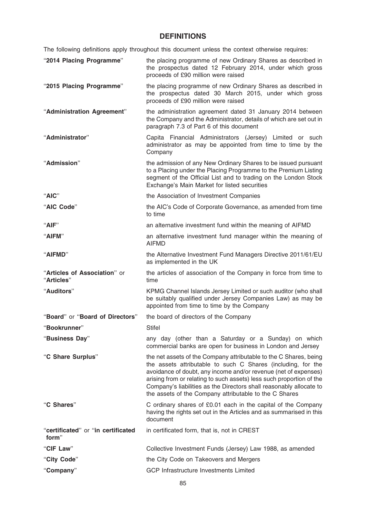# DEFINITIONS

The following definitions apply throughout this document unless the context otherwise requires:

| "2014 Placing Programme"                    | the placing programme of new Ordinary Shares as described in<br>the prospectus dated 12 February 2014, under which gross<br>proceeds of £90 million were raised                                                                                                                                                                                                                                               |
|---------------------------------------------|---------------------------------------------------------------------------------------------------------------------------------------------------------------------------------------------------------------------------------------------------------------------------------------------------------------------------------------------------------------------------------------------------------------|
| "2015 Placing Programme"                    | the placing programme of new Ordinary Shares as described in<br>the prospectus dated 30 March 2015, under which gross<br>proceeds of £90 million were raised                                                                                                                                                                                                                                                  |
| "Administration Agreement"                  | the administration agreement dated 31 January 2014 between<br>the Company and the Administrator, details of which are set out in<br>paragraph 7.3 of Part 6 of this document                                                                                                                                                                                                                                  |
| "Administrator"                             | Capita Financial Administrators (Jersey) Limited or such<br>administrator as may be appointed from time to time by the<br>Company                                                                                                                                                                                                                                                                             |
| "Admission"                                 | the admission of any New Ordinary Shares to be issued pursuant<br>to a Placing under the Placing Programme to the Premium Listing<br>segment of the Official List and to trading on the London Stock<br>Exchange's Main Market for listed securities                                                                                                                                                          |
| "AIC"                                       | the Association of Investment Companies                                                                                                                                                                                                                                                                                                                                                                       |
| "AIC Code"                                  | the AIC's Code of Corporate Governance, as amended from time<br>to time                                                                                                                                                                                                                                                                                                                                       |
| "AIF"                                       | an alternative investment fund within the meaning of AIFMD                                                                                                                                                                                                                                                                                                                                                    |
| "AIFM"                                      | an alternative investment fund manager within the meaning of<br><b>AIFMD</b>                                                                                                                                                                                                                                                                                                                                  |
| "AIFMD"                                     | the Alternative Investment Fund Managers Directive 2011/61/EU<br>as implemented in the UK                                                                                                                                                                                                                                                                                                                     |
| "Articles of Association" or<br>"Articles"  | the articles of association of the Company in force from time to<br>time                                                                                                                                                                                                                                                                                                                                      |
| "Auditors"                                  | KPMG Channel Islands Jersey Limited or such auditor (who shall<br>be suitably qualified under Jersey Companies Law) as may be<br>appointed from time to time by the Company                                                                                                                                                                                                                                   |
| "Board" or "Board of Directors"             | the board of directors of the Company                                                                                                                                                                                                                                                                                                                                                                         |
| "Bookrunner"                                | <b>Stifel</b>                                                                                                                                                                                                                                                                                                                                                                                                 |
| "Business Day"                              | any day (other than a Saturday or a Sunday) on which<br>commercial banks are open for business in London and Jersey                                                                                                                                                                                                                                                                                           |
| "C Share Surplus"                           | the net assets of the Company attributable to the C Shares, being<br>the assets attributable to such C Shares (including, for the<br>avoidance of doubt, any income and/or revenue (net of expenses)<br>arising from or relating to such assets) less such proportion of the<br>Company's liabilities as the Directors shall reasonably allocate to<br>the assets of the Company attributable to the C Shares |
| "C Shares"                                  | C ordinary shares of £0.01 each in the capital of the Company<br>having the rights set out in the Articles and as summarised in this<br>document                                                                                                                                                                                                                                                              |
| "certificated" or "in certificated<br>form" | in certificated form, that is, not in CREST                                                                                                                                                                                                                                                                                                                                                                   |
| "CIF Law"                                   | Collective Investment Funds (Jersey) Law 1988, as amended                                                                                                                                                                                                                                                                                                                                                     |
| "City Code"                                 | the City Code on Takeovers and Mergers                                                                                                                                                                                                                                                                                                                                                                        |
| "Company"                                   | <b>GCP Infrastructure Investments Limited</b>                                                                                                                                                                                                                                                                                                                                                                 |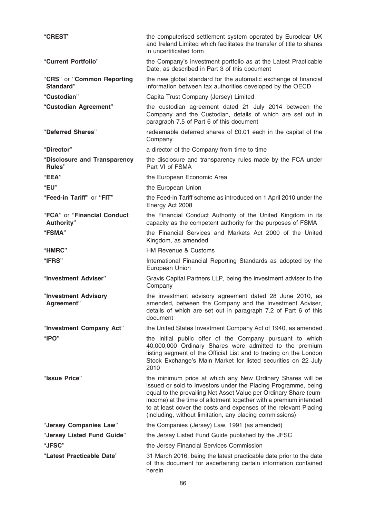| "CREST"                                   | the computerised settlement system operated by Euroclear UK<br>and Ireland Limited which facilitates the transfer of title to shares<br>in uncertificated form                                                                                                                                                                                                                                        |
|-------------------------------------------|-------------------------------------------------------------------------------------------------------------------------------------------------------------------------------------------------------------------------------------------------------------------------------------------------------------------------------------------------------------------------------------------------------|
| "Current Portfolio"                       | the Company's investment portfolio as at the Latest Practicable<br>Date, as described in Part 3 of this document                                                                                                                                                                                                                                                                                      |
| "CRS" or "Common Reporting<br>Standard"   | the new global standard for the automatic exchange of financial<br>information between tax authorities developed by the OECD                                                                                                                                                                                                                                                                          |
| "Custodian"                               | Capita Trust Company (Jersey) Limited                                                                                                                                                                                                                                                                                                                                                                 |
| "Custodian Agreement"                     | the custodian agreement dated 21 July 2014 between the<br>Company and the Custodian, details of which are set out in<br>paragraph 7.5 of Part 6 of this document                                                                                                                                                                                                                                      |
| "Deferred Shares"                         | redeemable deferred shares of £0.01 each in the capital of the<br>Company                                                                                                                                                                                                                                                                                                                             |
| "Director"                                | a director of the Company from time to time                                                                                                                                                                                                                                                                                                                                                           |
| "Disclosure and Transparency<br>Rules"    | the disclosure and transparency rules made by the FCA under<br>Part VI of FSMA                                                                                                                                                                                                                                                                                                                        |
| "EEA"                                     | the European Economic Area                                                                                                                                                                                                                                                                                                                                                                            |
| "EU"                                      | the European Union                                                                                                                                                                                                                                                                                                                                                                                    |
| "Feed-in Tariff" or "FIT"                 | the Feed-in Tariff scheme as introduced on 1 April 2010 under the<br>Energy Act 2008                                                                                                                                                                                                                                                                                                                  |
| "FCA" or "Financial Conduct<br>Authority" | the Financial Conduct Authority of the United Kingdom in its<br>capacity as the competent authority for the purposes of FSMA                                                                                                                                                                                                                                                                          |
| "FSMA"                                    | the Financial Services and Markets Act 2000 of the United<br>Kingdom, as amended                                                                                                                                                                                                                                                                                                                      |
| "HMRC"                                    | <b>HM Revenue &amp; Customs</b>                                                                                                                                                                                                                                                                                                                                                                       |
| "IFRS"                                    | International Financial Reporting Standards as adopted by the<br>European Union                                                                                                                                                                                                                                                                                                                       |
| "Investment Adviser"                      | Gravis Capital Partners LLP, being the investment adviser to the<br>Company                                                                                                                                                                                                                                                                                                                           |
| "Investment Advisory<br>Agreement"        | the investment advisory agreement dated 28 June 2010, as<br>amended, between the Company and the Investment Adviser,<br>details of which are set out in paragraph 7.2 of Part 6 of this<br>document                                                                                                                                                                                                   |
| "Investment Company Act"                  | the United States Investment Company Act of 1940, as amended                                                                                                                                                                                                                                                                                                                                          |
| " $IPO"$                                  | the initial public offer of the Company pursuant to which<br>40,000,000 Ordinary Shares were admitted to the premium<br>listing segment of the Official List and to trading on the London<br>Stock Exchange's Main Market for listed securities on 22 July<br>2010                                                                                                                                    |
| "Issue Price"                             | the minimum price at which any New Ordinary Shares will be<br>issued or sold to Investors under the Placing Programme, being<br>equal to the prevailing Net Asset Value per Ordinary Share (cum-<br>income) at the time of allotment together with a premium intended<br>to at least cover the costs and expenses of the relevant Placing<br>(including, without limitation, any placing commissions) |
| "Jersey Companies Law"                    | the Companies (Jersey) Law, 1991 (as amended)                                                                                                                                                                                                                                                                                                                                                         |
| "Jersey Listed Fund Guide"                | the Jersey Listed Fund Guide published by the JFSC                                                                                                                                                                                                                                                                                                                                                    |
| "JFSC"                                    | the Jersey Financial Services Commission                                                                                                                                                                                                                                                                                                                                                              |
| "Latest Practicable Date"                 | 31 March 2016, being the latest practicable date prior to the date<br>of this document for ascertaining certain information contained<br>herein                                                                                                                                                                                                                                                       |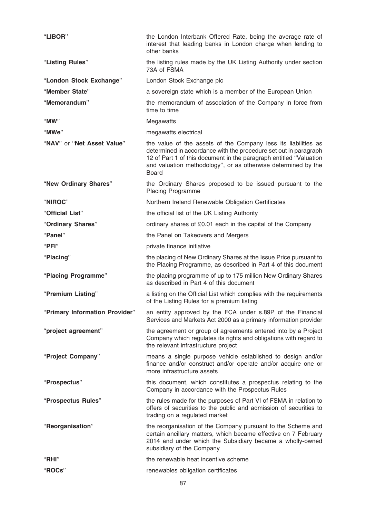| "LIBOR"                        | the London Interbank Offered Rate, being the average rate of<br>interest that leading banks in London charge when lending to<br>other banks                                                                                                                                               |
|--------------------------------|-------------------------------------------------------------------------------------------------------------------------------------------------------------------------------------------------------------------------------------------------------------------------------------------|
| "Listing Rules"                | the listing rules made by the UK Listing Authority under section<br>73A of FSMA                                                                                                                                                                                                           |
| "London Stock Exchange"        | London Stock Exchange plc                                                                                                                                                                                                                                                                 |
| "Member State"                 | a sovereign state which is a member of the European Union                                                                                                                                                                                                                                 |
| "Memorandum"                   | the memorandum of association of the Company in force from<br>time to time                                                                                                                                                                                                                |
| "MW"                           | Megawatts                                                                                                                                                                                                                                                                                 |
| "MWe"                          | megawatts electrical                                                                                                                                                                                                                                                                      |
| "NAV" or "Net Asset Value"     | the value of the assets of the Company less its liabilities as<br>determined in accordance with the procedure set out in paragraph<br>12 of Part 1 of this document in the paragraph entitled "Valuation<br>and valuation methodology", or as otherwise determined by the<br><b>Board</b> |
| "New Ordinary Shares"          | the Ordinary Shares proposed to be issued pursuant to the<br><b>Placing Programme</b>                                                                                                                                                                                                     |
| "NIROC"                        | Northern Ireland Renewable Obligation Certificates                                                                                                                                                                                                                                        |
| "Official List"                | the official list of the UK Listing Authority                                                                                                                                                                                                                                             |
| "Ordinary Shares"              | ordinary shares of £0.01 each in the capital of the Company                                                                                                                                                                                                                               |
| "Panel"                        | the Panel on Takeovers and Mergers                                                                                                                                                                                                                                                        |
| " $PFI"$                       | private finance initiative                                                                                                                                                                                                                                                                |
| "Placing"                      | the placing of New Ordinary Shares at the Issue Price pursuant to<br>the Placing Programme, as described in Part 4 of this document                                                                                                                                                       |
| "Placing Programme"            | the placing programme of up to 175 million New Ordinary Shares<br>as described in Part 4 of this document                                                                                                                                                                                 |
| "Premium Listing"              | a listing on the Official List which complies with the requirements<br>of the Listing Rules for a premium listing                                                                                                                                                                         |
| "Primary Information Provider" | an entity approved by the FCA under s.89P of the Financial<br>Services and Markets Act 2000 as a primary information provider                                                                                                                                                             |
| "project agreement"            | the agreement or group of agreements entered into by a Project<br>Company which regulates its rights and obligations with regard to<br>the relevant infrastructure project                                                                                                                |
| "Project Company"              | means a single purpose vehicle established to design and/or<br>finance and/or construct and/or operate and/or acquire one or<br>more infrastructure assets                                                                                                                                |
| "Prospectus"                   | this document, which constitutes a prospectus relating to the<br>Company in accordance with the Prospectus Rules                                                                                                                                                                          |
| "Prospectus Rules"             | the rules made for the purposes of Part VI of FSMA in relation to<br>offers of securities to the public and admission of securities to<br>trading on a regulated market                                                                                                                   |
| "Reorganisation"               | the reorganisation of the Company pursuant to the Scheme and<br>certain ancillary matters, which became effective on 7 February<br>2014 and under which the Subsidiary became a wholly-owned<br>subsidiary of the Company                                                                 |
| "RHI"                          | the renewable heat incentive scheme                                                                                                                                                                                                                                                       |
| "ROCs"                         | renewables obligation certificates                                                                                                                                                                                                                                                        |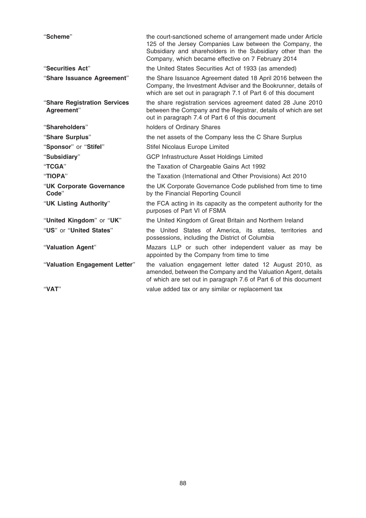| "Scheme"                                   | the court-sanctioned scheme of arrangement made under Article<br>125 of the Jersey Companies Law between the Company, the<br>Subsidiary and shareholders in the Subsidiary other than the<br>Company, which became effective on 7 February 2014 |
|--------------------------------------------|-------------------------------------------------------------------------------------------------------------------------------------------------------------------------------------------------------------------------------------------------|
| "Securities Act"                           | the United States Securities Act of 1933 (as amended)                                                                                                                                                                                           |
| "Share Issuance Agreement"                 | the Share Issuance Agreement dated 18 April 2016 between the<br>Company, the Investment Adviser and the Bookrunner, details of<br>which are set out in paragraph 7.1 of Part 6 of this document                                                 |
| "Share Registration Services<br>Agreement" | the share registration services agreement dated 28 June 2010<br>between the Company and the Registrar, details of which are set<br>out in paragraph 7.4 of Part 6 of this document                                                              |
| "Shareholders"                             | holders of Ordinary Shares                                                                                                                                                                                                                      |
| "Share Surplus"                            | the net assets of the Company less the C Share Surplus                                                                                                                                                                                          |
| "Sponsor" or "Stifel"                      | Stifel Nicolaus Europe Limited                                                                                                                                                                                                                  |
| "Subsidiary"                               | <b>GCP Infrastructure Asset Holdings Limited</b>                                                                                                                                                                                                |
| "TCGA"                                     | the Taxation of Chargeable Gains Act 1992                                                                                                                                                                                                       |
| "TIOPA"                                    | the Taxation (International and Other Provisions) Act 2010                                                                                                                                                                                      |
| "UK Corporate Governance<br>Code"          | the UK Corporate Governance Code published from time to time<br>by the Financial Reporting Council                                                                                                                                              |
| "UK Listing Authority"                     | the FCA acting in its capacity as the competent authority for the<br>purposes of Part VI of FSMA                                                                                                                                                |
| "United Kingdom" or "UK"                   | the United Kingdom of Great Britain and Northern Ireland                                                                                                                                                                                        |
| "US" or "United States"                    | the United States of America, its states, territories and<br>possessions, including the District of Columbia                                                                                                                                    |
| "Valuation Agent"                          | Mazars LLP or such other independent valuer as may be<br>appointed by the Company from time to time                                                                                                                                             |
| "Valuation Engagement Letter"              | the valuation engagement letter dated 12 August 2010, as<br>amended, between the Company and the Valuation Agent, details<br>of which are set out in paragraph 7.6 of Part 6 of this document                                                   |
| "VAT"                                      | value added tax or any similar or replacement tax                                                                                                                                                                                               |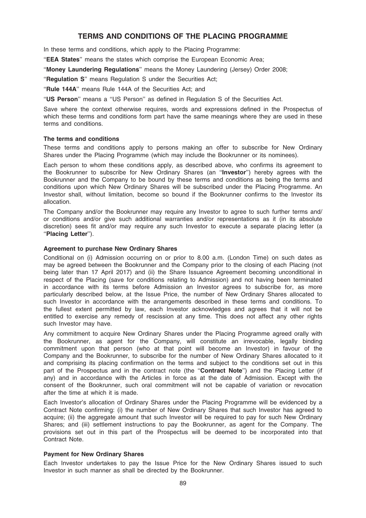# TERMS AND CONDITIONS OF THE PLACING PROGRAMME

In these terms and conditions, which apply to the Placing Programme:

''EEA States'' means the states which comprise the European Economic Area;

''Money Laundering Regulations'' means the Money Laundering (Jersey) Order 2008;

"Requlation S" means Regulation S under the Securities Act;

"Rule 144A" means Rule 144A of the Securities Act; and

''US Person'' means a ''US Person'' as defined in Regulation S of the Securities Act.

Save where the context otherwise requires, words and expressions defined in the Prospectus of which these terms and conditions form part have the same meanings where they are used in these terms and conditions.

## The terms and conditions

These terms and conditions apply to persons making an offer to subscribe for New Ordinary Shares under the Placing Programme (which may include the Bookrunner or its nominees).

Each person to whom these conditions apply, as described above, who confirms its agreement to the Bookrunner to subscribe for New Ordinary Shares (an ''Investor'') hereby agrees with the Bookrunner and the Company to be bound by these terms and conditions as being the terms and conditions upon which New Ordinary Shares will be subscribed under the Placing Programme. An Investor shall, without limitation, become so bound if the Bookrunner confirms to the Investor its allocation.

The Company and/or the Bookrunner may require any Investor to agree to such further terms and/ or conditions and/or give such additional warranties and/or representations as it (in its absolute discretion) sees fit and/or may require any such Investor to execute a separate placing letter (a ''Placing Letter'').

## Agreement to purchase New Ordinary Shares

Conditional on (i) Admission occurring on or prior to 8.00 a.m. (London Time) on such dates as may be agreed between the Bookrunner and the Company prior to the closing of each Placing (not being later than 17 April 2017) and (ii) the Share Issuance Agreement becoming unconditional in respect of the Placing (save for conditions relating to Admission) and not having been terminated in accordance with its terms before Admission an Investor agrees to subscribe for, as more particularly described below, at the Issue Price, the number of New Ordinary Shares allocated to such Investor in accordance with the arrangements described in these terms and conditions. To the fullest extent permitted by law, each Investor acknowledges and agrees that it will not be entitled to exercise any remedy of rescission at any time. This does not affect any other rights such Investor may have.

Any commitment to acquire New Ordinary Shares under the Placing Programme agreed orally with the Bookrunner, as agent for the Company, will constitute an irrevocable, legally binding commitment upon that person (who at that point will become an Investor) in favour of the Company and the Bookrunner, to subscribe for the number of New Ordinary Shares allocated to it and comprising its placing confirmation on the terms and subject to the conditions set out in this part of the Prospectus and in the contract note (the "Contract Note") and the Placing Letter (if any) and in accordance with the Articles in force as at the date of Admission. Except with the consent of the Bookrunner, such oral commitment will not be capable of variation or revocation after the time at which it is made.

Each Investor's allocation of Ordinary Shares under the Placing Programme will be evidenced by a Contract Note confirming: (i) the number of New Ordinary Shares that such Investor has agreed to acquire; (ii) the aggregate amount that such Investor will be required to pay for such New Ordinary Shares; and (iii) settlement instructions to pay the Bookrunner, as agent for the Company. The provisions set out in this part of the Prospectus will be deemed to be incorporated into that Contract Note.

## Payment for New Ordinary Shares

Each Investor undertakes to pay the Issue Price for the New Ordinary Shares issued to such Investor in such manner as shall be directed by the Bookrunner.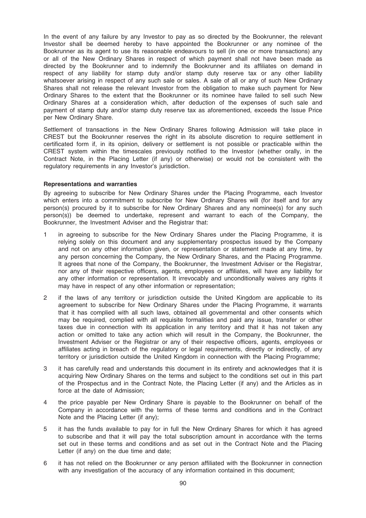In the event of any failure by any Investor to pay as so directed by the Bookrunner, the relevant Investor shall be deemed hereby to have appointed the Bookrunner or any nominee of the Bookrunner as its agent to use its reasonable endeavours to sell (in one or more transactions) any or all of the New Ordinary Shares in respect of which payment shall not have been made as directed by the Bookrunner and to indemnify the Bookrunner and its affiliates on demand in respect of any liability for stamp duty and/or stamp duty reserve tax or any other liability whatsoever arising in respect of any such sale or sales. A sale of all or any of such New Ordinary Shares shall not release the relevant Investor from the obligation to make such payment for New Ordinary Shares to the extent that the Bookrunner or its nominee have failed to sell such New Ordinary Shares at a consideration which, after deduction of the expenses of such sale and payment of stamp duty and/or stamp duty reserve tax as aforementioned, exceeds the Issue Price per New Ordinary Share.

Settlement of transactions in the New Ordinary Shares following Admission will take place in CREST but the Bookrunner reserves the right in its absolute discretion to require settlement in certificated form if, in its opinion, delivery or settlement is not possible or practicable within the CREST system within the timescales previously notified to the Investor (whether orally, in the Contract Note, in the Placing Letter (if any) or otherwise) or would not be consistent with the regulatory requirements in any Investor's jurisdiction.

#### Representations and warranties

By agreeing to subscribe for New Ordinary Shares under the Placing Programme, each Investor which enters into a commitment to subscribe for New Ordinary Shares will (for itself and for any person(s) procured by it to subscribe for New Ordinary Shares and any nominee(s) for any such person(s)) be deemed to undertake, represent and warrant to each of the Company, the Bookrunner, the Investment Adviser and the Registrar that:

- 1 in agreeing to subscribe for the New Ordinary Shares under the Placing Programme, it is relying solely on this document and any supplementary prospectus issued by the Company and not on any other information given, or representation or statement made at any time, by any person concerning the Company, the New Ordinary Shares, and the Placing Programme. It agrees that none of the Company, the Bookrunner, the Investment Adviser or the Registrar, nor any of their respective officers, agents, employees or affiliates, will have any liability for any other information or representation. It irrevocably and unconditionally waives any rights it may have in respect of any other information or representation;
- 2 if the laws of any territory or jurisdiction outside the United Kingdom are applicable to its agreement to subscribe for New Ordinary Shares under the Placing Programme, it warrants that it has complied with all such laws, obtained all governmental and other consents which may be required, complied with all requisite formalities and paid any issue, transfer or other taxes due in connection with its application in any territory and that it has not taken any action or omitted to take any action which will result in the Company, the Bookrunner, the Investment Adviser or the Registrar or any of their respective officers, agents, employees or affiliates acting in breach of the regulatory or legal requirements, directly or indirectly, of any territory or jurisdiction outside the United Kingdom in connection with the Placing Programme;
- 3 it has carefully read and understands this document in its entirety and acknowledges that it is acquiring New Ordinary Shares on the terms and subject to the conditions set out in this part of the Prospectus and in the Contract Note, the Placing Letter (if any) and the Articles as in force at the date of Admission;
- 4 the price payable per New Ordinary Share is payable to the Bookrunner on behalf of the Company in accordance with the terms of these terms and conditions and in the Contract Note and the Placing Letter (if any);
- 5 it has the funds available to pay for in full the New Ordinary Shares for which it has agreed to subscribe and that it will pay the total subscription amount in accordance with the terms set out in these terms and conditions and as set out in the Contract Note and the Placing Letter (if any) on the due time and date;
- 6 it has not relied on the Bookrunner or any person affiliated with the Bookrunner in connection with any investigation of the accuracy of any information contained in this document;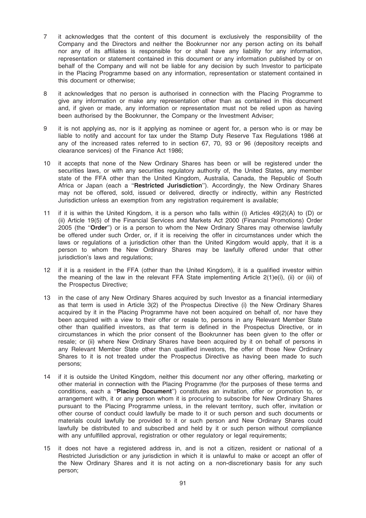- 7 it acknowledges that the content of this document is exclusively the responsibility of the Company and the Directors and neither the Bookrunner nor any person acting on its behalf nor any of its affiliates is responsible for or shall have any liability for any information, representation or statement contained in this document or any information published by or on behalf of the Company and will not be liable for any decision by such Investor to participate in the Placing Programme based on any information, representation or statement contained in this document or otherwise;
- 8 it acknowledges that no person is authorised in connection with the Placing Programme to give any information or make any representation other than as contained in this document and, if given or made, any information or representation must not be relied upon as having been authorised by the Bookrunner, the Company or the Investment Adviser;
- 9 it is not applying as, nor is it applying as nominee or agent for, a person who is or may be liable to notify and account for tax under the Stamp Duty Reserve Tax Regulations 1986 at any of the increased rates referred to in section 67, 70, 93 or 96 (depository receipts and clearance services) of the Finance Act 1986;
- 10 it accepts that none of the New Ordinary Shares has been or will be registered under the securities laws, or with any securities regulatory authority of, the United States, any member state of the FFA other than the United Kingdom, Australia, Canada, the Republic of South Africa or Japan (each a "Restricted Jurisdiction"). Accordingly, the New Ordinary Shares may not be offered, sold, issued or delivered, directly or indirectly, within any Restricted Jurisdiction unless an exemption from any registration requirement is available;
- 11 if it is within the United Kingdom, it is a person who falls within (i) Articles 49(2)(A) to (D) or (ii) Article 19(5) of the Financial Services and Markets Act 2000 (Financial Promotions) Order 2005 (the ''Order'') or is a person to whom the New Ordinary Shares may otherwise lawfully be offered under such Order, or, if it is receiving the offer in circumstances under which the laws or regulations of a jurisdiction other than the United Kingdom would apply, that it is a person to whom the New Ordinary Shares may be lawfully offered under that other jurisdiction's laws and regulations;
- 12 if it is a resident in the FFA (other than the United Kingdom), it is a qualified investor within the meaning of the law in the relevant FFA State implementing Article 2(1)e(i), (ii) or (iii) of the Prospectus Directive;
- 13 in the case of any New Ordinary Shares acquired by such Investor as a financial intermediary as that term is used in Article 3(2) of the Prospectus Directive (i) the New Ordinary Shares acquired by it in the Placing Programme have not been acquired on behalf of, nor have they been acquired with a view to their offer or resale to, persons in any Relevant Member State other than qualified investors, as that term is defined in the Prospectus Directive, or in circumstances in which the prior consent of the Bookrunner has been given to the offer or resale; or (ii) where New Ordinary Shares have been acquired by it on behalf of persons in any Relevant Member State other than qualified investors, the offer of those New Ordinary Shares to it is not treated under the Prospectus Directive as having been made to such persons;
- 14 if it is outside the United Kingdom, neither this document nor any other offering, marketing or other material in connection with the Placing Programme (for the purposes of these terms and conditions, each a "Placing Document") constitutes an invitation, offer or promotion to, or arrangement with, it or any person whom it is procuring to subscribe for New Ordinary Shares pursuant to the Placing Programme unless, in the relevant territory, such offer, invitation or other course of conduct could lawfully be made to it or such person and such documents or materials could lawfully be provided to it or such person and New Ordinary Shares could lawfully be distributed to and subscribed and held by it or such person without compliance with any unfulfilled approval, registration or other regulatory or legal requirements;
- 15 it does not have a registered address in, and is not a citizen, resident or national of a Restricted Jurisdiction or any jurisdiction in which it is unlawful to make or accept an offer of the New Ordinary Shares and it is not acting on a non-discretionary basis for any such person;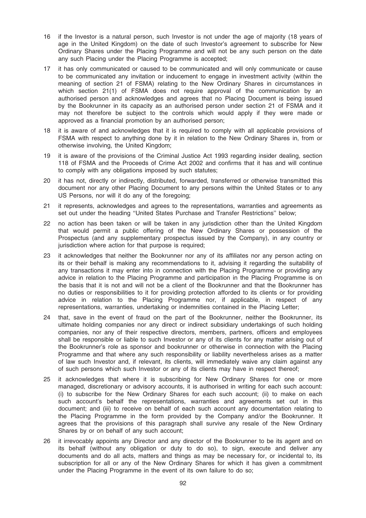- 16 if the Investor is a natural person, such Investor is not under the age of majority (18 years of age in the United Kingdom) on the date of such Investor's agreement to subscribe for New Ordinary Shares under the Placing Programme and will not be any such person on the date any such Placing under the Placing Programme is accepted;
- 17 it has only communicated or caused to be communicated and will only communicate or cause to be communicated any invitation or inducement to engage in investment activity (within the meaning of section 21 of FSMA) relating to the New Ordinary Shares in circumstances in which section 21(1) of FSMA does not require approval of the communication by an authorised person and acknowledges and agrees that no Placing Document is being issued by the Bookrunner in its capacity as an authorised person under section 21 of FSMA and it may not therefore be subject to the controls which would apply if they were made or approved as a financial promotion by an authorised person;
- 18 it is aware of and acknowledges that it is required to comply with all applicable provisions of FSMA with respect to anything done by it in relation to the New Ordinary Shares in, from or otherwise involving, the United Kingdom;
- 19 it is aware of the provisions of the Criminal Justice Act 1993 regarding insider dealing, section 118 of FSMA and the Proceeds of Crime Act 2002 and confirms that it has and will continue to comply with any obligations imposed by such statutes;
- 20 it has not, directly or indirectly, distributed, forwarded, transferred or otherwise transmitted this document nor any other Placing Document to any persons within the United States or to any US Persons, nor will it do any of the foregoing;
- 21 it represents, acknowledges and agrees to the representations, warranties and agreements as set out under the heading ''United States Purchase and Transfer Restrictions'' below;
- 22 no action has been taken or will be taken in any jurisdiction other than the United Kingdom that would permit a public offering of the New Ordinary Shares or possession of the Prospectus (and any supplementary prospectus issued by the Company), in any country or jurisdiction where action for that purpose is required;
- 23 it acknowledges that neither the Bookrunner nor any of its affiliates nor any person acting on its or their behalf is making any recommendations to it, advising it regarding the suitability of any transactions it may enter into in connection with the Placing Programme or providing any advice in relation to the Placing Programme and participation in the Placing Programme is on the basis that it is not and will not be a client of the Bookrunner and that the Bookrunner has no duties or responsibilities to it for providing protection afforded to its clients or for providing advice in relation to the Placing Programme nor, if applicable, in respect of any representations, warranties, undertaking or indemnities contained in the Placing Letter;
- 24 that, save in the event of fraud on the part of the Bookrunner, neither the Bookrunner, its ultimate holding companies nor any direct or indirect subsidiary undertakings of such holding companies, nor any of their respective directors, members, partners, officers and employees shall be responsible or liable to such Investor or any of its clients for any matter arising out of the Bookrunner's role as sponsor and bookrunner or otherwise in connection with the Placing Programme and that where any such responsibility or liability nevertheless arises as a matter of law such Investor and, if relevant, its clients, will immediately waive any claim against any of such persons which such Investor or any of its clients may have in respect thereof;
- 25 it acknowledges that where it is subscribing for New Ordinary Shares for one or more managed, discretionary or advisory accounts, it is authorised in writing for each such account: (i) to subscribe for the New Ordinary Shares for each such account; (ii) to make on each such account's behalf the representations, warranties and agreements set out in this document; and (iii) to receive on behalf of each such account any documentation relating to the Placing Programme in the form provided by the Company and/or the Bookrunner. It agrees that the provisions of this paragraph shall survive any resale of the New Ordinary Shares by or on behalf of any such account;
- 26 it irrevocably appoints any Director and any director of the Bookrunner to be its agent and on its behalf (without any obligation or duty to do so), to sign, execute and deliver any documents and do all acts, matters and things as may be necessary for, or incidental to, its subscription for all or any of the New Ordinary Shares for which it has given a commitment under the Placing Programme in the event of its own failure to do so;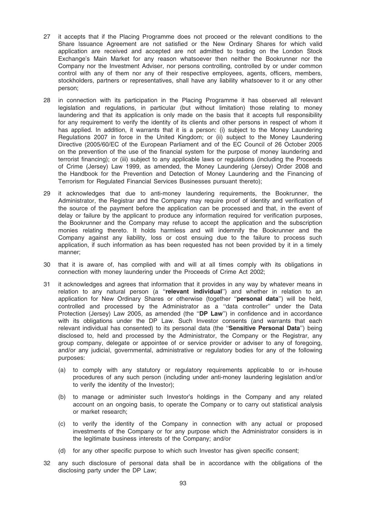- 27 it accepts that if the Placing Programme does not proceed or the relevant conditions to the Share Issuance Agreement are not satisfied or the New Ordinary Shares for which valid application are received and accepted are not admitted to trading on the London Stock Exchange's Main Market for any reason whatsoever then neither the Bookrunner nor the Company nor the Investment Adviser, nor persons controlling, controlled by or under common control with any of them nor any of their respective employees, agents, officers, members, stockholders, partners or representatives, shall have any liability whatsoever to it or any other person;
- 28 in connection with its participation in the Placing Programme it has observed all relevant legislation and regulations, in particular (but without limitation) those relating to money laundering and that its application is only made on the basis that it accepts full responsibility for any requirement to verify the identity of its clients and other persons in respect of whom it has applied. In addition, it warrants that it is a person: (i) subject to the Money Laundering Regulations 2007 in force in the United Kingdom; or (ii) subject to the Money Laundering Directive (2005/60/EC of the European Parliament and of the EC Council of 26 October 2005 on the prevention of the use of the financial system for the purpose of money laundering and terrorist financing); or (iii) subject to any applicable laws or regulations (including the Proceeds of Crime (Jersey) Law 1999, as amended, the Money Laundering (Jersey) Order 2008 and the Handbook for the Prevention and Detection of Money Laundering and the Financing of Terrorism for Regulated Financial Services Businesses pursuant thereto);
- 29 it acknowledges that due to anti-money laundering requirements, the Bookrunner, the Administrator, the Registrar and the Company may require proof of identity and verification of the source of the payment before the application can be processed and that, in the event of delay or failure by the applicant to produce any information required for verification purposes, the Bookrunner and the Company may refuse to accept the application and the subscription monies relating thereto. It holds harmless and will indemnify the Bookrunner and the Company against any liability, loss or cost ensuing due to the failure to process such application, if such information as has been requested has not been provided by it in a timely manner;
- 30 that it is aware of, has complied with and will at all times comply with its obligations in connection with money laundering under the Proceeds of Crime Act 2002;
- 31 it acknowledges and agrees that information that it provides in any way by whatever means in relation to any natural person (a "relevant individual") and whether in relation to an application for New Ordinary Shares or otherwise (together "personal data") will be held, controlled and processed by the Administrator as a ''data controller'' under the Data Protection (Jersey) Law 2005, as amended (the "DP Law") in confidence and in accordance with its obligations under the DP Law. Such Investor consents (and warrants that each relevant individual has consented) to its personal data (the "Sensitive Personal Data") being disclosed to, held and processed by the Administrator, the Company or the Registrar, any group company, delegate or appointee of or service provider or adviser to any of foregoing, and/or any judicial, governmental, administrative or regulatory bodies for any of the following purposes:
	- (a) to comply with any statutory or regulatory requirements applicable to or in-house procedures of any such person (including under anti-money laundering legislation and/or to verify the identity of the Investor);
	- (b) to manage or administer such Investor's holdings in the Company and any related account on an ongoing basis, to operate the Company or to carry out statistical analysis or market research;
	- (c) to verify the identity of the Company in connection with any actual or proposed investments of the Company or for any purpose which the Administrator considers is in the legitimate business interests of the Company; and/or
	- (d) for any other specific purpose to which such Investor has given specific consent;
- 32 any such disclosure of personal data shall be in accordance with the obligations of the disclosing party under the DP Law;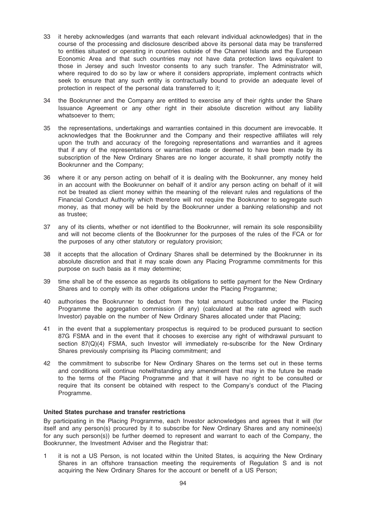- 33 it hereby acknowledges (and warrants that each relevant individual acknowledges) that in the course of the processing and disclosure described above its personal data may be transferred to entities situated or operating in countries outside of the Channel Islands and the European Economic Area and that such countries may not have data protection laws equivalent to those in Jersey and such Investor consents to any such transfer. The Administrator will, where required to do so by law or where it considers appropriate, implement contracts which seek to ensure that any such entity is contractually bound to provide an adequate level of protection in respect of the personal data transferred to it;
- 34 the Bookrunner and the Company are entitled to exercise any of their rights under the Share Issuance Agreement or any other right in their absolute discretion without any liability whatsoever to them;
- 35 the representations, undertakings and warranties contained in this document are irrevocable. It acknowledges that the Bookrunner and the Company and their respective affiliates will rely upon the truth and accuracy of the foregoing representations and warranties and it agrees that if any of the representations or warranties made or deemed to have been made by its subscription of the New Ordinary Shares are no longer accurate, it shall promptly notify the Bookrunner and the Company;
- 36 where it or any person acting on behalf of it is dealing with the Bookrunner, any money held in an account with the Bookrunner on behalf of it and/or any person acting on behalf of it will not be treated as client money within the meaning of the relevant rules and regulations of the Financial Conduct Authority which therefore will not require the Bookrunner to segregate such money, as that money will be held by the Bookrunner under a banking relationship and not as trustee;
- 37 any of its clients, whether or not identified to the Bookrunner, will remain its sole responsibility and will not become clients of the Bookrunner for the purposes of the rules of the FCA or for the purposes of any other statutory or regulatory provision;
- 38 it accepts that the allocation of Ordinary Shares shall be determined by the Bookrunner in its absolute discretion and that it may scale down any Placing Programme commitments for this purpose on such basis as it may determine;
- 39 time shall be of the essence as regards its obligations to settle payment for the New Ordinary Shares and to comply with its other obligations under the Placing Programme;
- 40 authorises the Bookrunner to deduct from the total amount subscribed under the Placing Programme the aggregation commission (if any) (calculated at the rate agreed with such Investor) payable on the number of New Ordinary Shares allocated under that Placing;
- 41 in the event that a supplementary prospectus is required to be produced pursuant to section 87G FSMA and in the event that it chooses to exercise any right of withdrawal pursuant to section 87(Q)(4) FSMA, such Investor will immediately re-subscribe for the New Ordinary Shares previously comprising its Placing commitment; and
- 42 the commitment to subscribe for New Ordinary Shares on the terms set out in these terms and conditions will continue notwithstanding any amendment that may in the future be made to the terms of the Placing Programme and that it will have no right to be consulted or require that its consent be obtained with respect to the Company's conduct of the Placing Programme.

#### United States purchase and transfer restrictions

By participating in the Placing Programme, each Investor acknowledges and agrees that it will (for itself and any person(s) procured by it to subscribe for New Ordinary Shares and any nominee(s) for any such person(s)) be further deemed to represent and warrant to each of the Company, the Bookrunner, the Investment Adviser and the Registrar that:

1 it is not a US Person, is not located within the United States, is acquiring the New Ordinary Shares in an offshore transaction meeting the requirements of Regulation S and is not acquiring the New Ordinary Shares for the account or benefit of a US Person;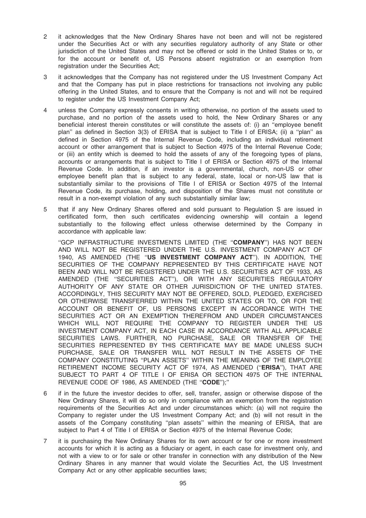- 2 it acknowledges that the New Ordinary Shares have not been and will not be registered under the Securities Act or with any securities regulatory authority of any State or other jurisdiction of the United States and may not be offered or sold in the United States or to, or for the account or benefit of, US Persons absent registration or an exemption from registration under the Securities Act;
- 3 it acknowledges that the Company has not registered under the US Investment Company Act and that the Company has put in place restrictions for transactions not involving any public offering in the United States, and to ensure that the Company is not and will not be required to register under the US Investment Company Act;
- 4 unless the Company expressly consents in writing otherwise, no portion of the assets used to purchase, and no portion of the assets used to hold, the New Ordinary Shares or any beneficial interest therein constitutes or will constitute the assets of: (i) an ''employee benefit plan'' as defined in Section 3(3) of ERISA that is subject to Title I of ERISA; (ii) a ''plan'' as defined in Section 4975 of the Internal Revenue Code, including an individual retirement account or other arrangement that is subject to Section 4975 of the Internal Revenue Code; or (iii) an entity which is deemed to hold the assets of any of the foregoing types of plans, accounts or arrangements that is subject to Title I of ERISA or Section 4975 of the Internal Revenue Code. In addition, if an investor is a governmental, church, non-US or other employee benefit plan that is subject to any federal, state, local or non-US law that is substantially similar to the provisions of Title I of ERISA or Section 4975 of the Internal Revenue Code, its purchase, holding, and disposition of the Shares must not constitute or result in a non-exempt violation of any such substantially similar law;
- 5 that if any New Ordinary Shares offered and sold pursuant to Regulation S are issued in certificated form, then such certificates evidencing ownership will contain a legend substantially to the following effect unless otherwise determined by the Company in accordance with applicable law:

"GCP INFRASTRUCTURE INVESTMENTS LIMITED (THE "COMPANY") HAS NOT BEEN AND WILL NOT BE REGISTERED UNDER THE U.S. INVESTMENT COMPANY ACT OF 1940, AS AMENDED (THE ''US INVESTMENT COMPANY ACT''). IN ADDITION, THE SECURITIES OF THE COMPANY REPRESENTED BY THIS CERTIFICATE HAVE NOT BEEN AND WILL NOT BE REGISTERED UNDER THE U.S. SECURITIES ACT OF 1933, AS AMENDED (THE ''SECURITIES ACT''), OR WITH ANY SECURITIES REGULATORY AUTHORITY OF ANY STATE OR OTHER JURISDICTION OF THE UNITED STATES. ACCORDINGLY, THIS SECURITY MAY NOT BE OFFERED, SOLD, PLEDGED, EXERCISED OR OTHERWISE TRANSFERRED WITHIN THE UNITED STATES OR TO, OR FOR THE ACCOUNT OR BENEFIT OF, US PERSONS EXCEPT IN ACCORDANCE WITH THE SECURITIES ACT OR AN EXEMPTION THEREFROM AND UNDER CIRCUMSTANCES WHICH WILL NOT REQUIRE THE COMPANY TO REGISTER UNDER THE US INVESTMENT COMPANY ACT, IN EACH CASE IN ACCORDANCE WITH ALL APPLICABLE SECURITIES LAWS. FURTHER, NO PURCHASE, SALE OR TRANSFER OF THE SECURITIES REPRESENTED BY THIS CERTIFICATE MAY BE MADE UNLESS SUCH PURCHASE, SALE OR TRANSFER WILL NOT RESULT IN THE ASSETS OF THE COMPANY CONSTITUTING ''PLAN ASSETS'' WITHIN THE MEANING OF THE EMPLOYEE RETIREMENT INCOME SECURITY ACT OF 1974, AS AMENDED (''ERISA''), THAT ARE SUBJECT TO PART 4 OF TITLE I OF ERISA OR SECTION 4975 OF THE INTERNAL REVENUE CODE OF 1986, AS AMENDED (THE "CODE");"

- 6 if in the future the investor decides to offer, sell, transfer, assign or otherwise dispose of the New Ordinary Shares, it will do so only in compliance with an exemption from the registration requirements of the Securities Act and under circumstances which: (a) will not require the Company to register under the US Investment Company Act; and (b) will not result in the assets of the Company constituting ''plan assets'' within the meaning of ERISA, that are subject to Part 4 of Title I of ERISA or Section 4975 of the Internal Revenue Code;
- 7 it is purchasing the New Ordinary Shares for its own account or for one or more investment accounts for which it is acting as a fiduciary or agent, in each case for investment only, and not with a view to or for sale or other transfer in connection with any distribution of the New Ordinary Shares in any manner that would violate the Securities Act, the US Investment Company Act or any other applicable securities laws;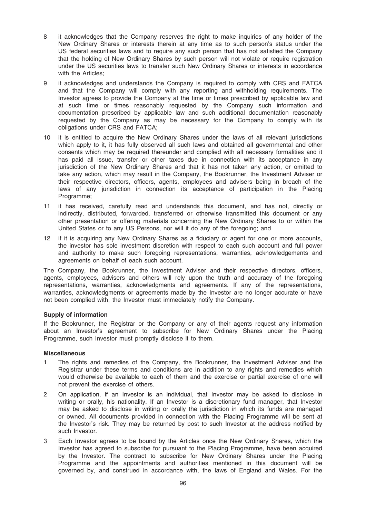- 8 it acknowledges that the Company reserves the right to make inquiries of any holder of the New Ordinary Shares or interests therein at any time as to such person's status under the US federal securities laws and to require any such person that has not satisfied the Company that the holding of New Ordinary Shares by such person will not violate or require registration under the US securities laws to transfer such New Ordinary Shares or interests in accordance with the Articles:
- 9 it acknowledges and understands the Company is required to comply with CRS and FATCA and that the Company will comply with any reporting and withholding requirements. The Investor agrees to provide the Company at the time or times prescribed by applicable law and at such time or times reasonably requested by the Company such information and documentation prescribed by applicable law and such additional documentation reasonably requested by the Company as may be necessary for the Company to comply with its obligations under CRS and FATCA;
- 10 it is entitled to acquire the New Ordinary Shares under the laws of all relevant jurisdictions which apply to it, it has fully observed all such laws and obtained all governmental and other consents which may be required thereunder and complied with all necessary formalities and it has paid all issue, transfer or other taxes due in connection with its acceptance in any jurisdiction of the New Ordinary Shares and that it has not taken any action, or omitted to take any action, which may result in the Company, the Bookrunner, the Investment Adviser or their respective directors, officers, agents, employees and advisers being in breach of the laws of any jurisdiction in connection its acceptance of participation in the Placing Programme;
- 11 it has received, carefully read and understands this document, and has not, directly or indirectly, distributed, forwarded, transferred or otherwise transmitted this document or any other presentation or offering materials concerning the New Ordinary Shares to or within the United States or to any US Persons, nor will it do any of the foregoing; and
- 12 if it is acquiring any New Ordinary Shares as a fiduciary or agent for one or more accounts, the investor has sole investment discretion with respect to each such account and full power and authority to make such foregoing representations, warranties, acknowledgements and agreements on behalf of each such account.

The Company, the Bookrunner, the Investment Adviser and their respective directors, officers, agents, employees, advisers and others will rely upon the truth and accuracy of the foregoing representations, warranties, acknowledgments and agreements. If any of the representations, warranties, acknowledgments or agreements made by the Investor are no longer accurate or have not been complied with, the Investor must immediately notify the Company.

## Supply of information

If the Bookrunner, the Registrar or the Company or any of their agents request any information about an Investor's agreement to subscribe for New Ordinary Shares under the Placing Programme, such Investor must promptly disclose it to them.

#### Miscellaneous

- 1 The rights and remedies of the Company, the Bookrunner, the Investment Adviser and the Registrar under these terms and conditions are in addition to any rights and remedies which would otherwise be available to each of them and the exercise or partial exercise of one will not prevent the exercise of others.
- 2 On application, if an Investor is an individual, that Investor may be asked to disclose in writing or orally, his nationality. If an Investor is a discretionary fund manager, that Investor may be asked to disclose in writing or orally the jurisdiction in which its funds are managed or owned. All documents provided in connection with the Placing Programme will be sent at the Investor's risk. They may be returned by post to such Investor at the address notified by such Investor.
- 3 Each Investor agrees to be bound by the Articles once the New Ordinary Shares, which the Investor has agreed to subscribe for pursuant to the Placing Programme, have been acquired by the Investor. The contract to subscribe for New Ordinary Shares under the Placing Programme and the appointments and authorities mentioned in this document will be governed by, and construed in accordance with, the laws of England and Wales. For the